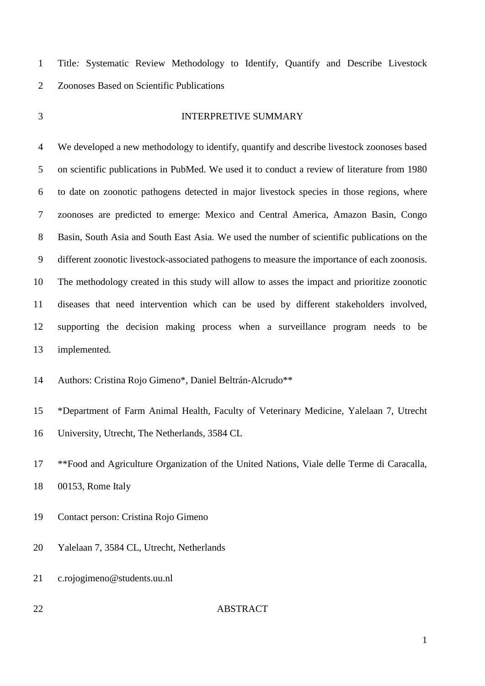Title*:* Systematic Review Methodology to Identify, Quantify and Describe Livestock Zoonoses Based on Scientific Publications

#### INTERPRETIVE SUMMARY

 We developed a new methodology to identify, quantify and describe livestock zoonoses based on scientific publications in PubMed. We used it to conduct a review of literature from 1980 to date on zoonotic pathogens detected in major livestock species in those regions, where zoonoses are predicted to emerge: Mexico and Central America, Amazon Basin, Congo Basin, South Asia and South East Asia. We used the number of scientific publications on the different zoonotic livestock-associated pathogens to measure the importance of each zoonosis. The methodology created in this study will allow to asses the impact and prioritize zoonotic diseases that need intervention which can be used by different stakeholders involved, supporting the decision making process when a surveillance program needs to be implemented.

Authors: Cristina Rojo Gimeno\*, Daniel Beltrán-Alcrudo\*\*

 \*Department of Farm Animal Health, Faculty of Veterinary Medicine, Yalelaan 7, Utrecht University, Utrecht, The Netherlands, 3584 CL

 \*\*Food and Agriculture Organization of the United Nations, Viale delle Terme di Caracalla, 00153, Rome Italy

Contact person: Cristina Rojo Gimeno

- Yalelaan 7, 3584 CL, Utrecht, Netherlands
- c.rojogimeno@students.uu.nl
- 

### ABSTRACT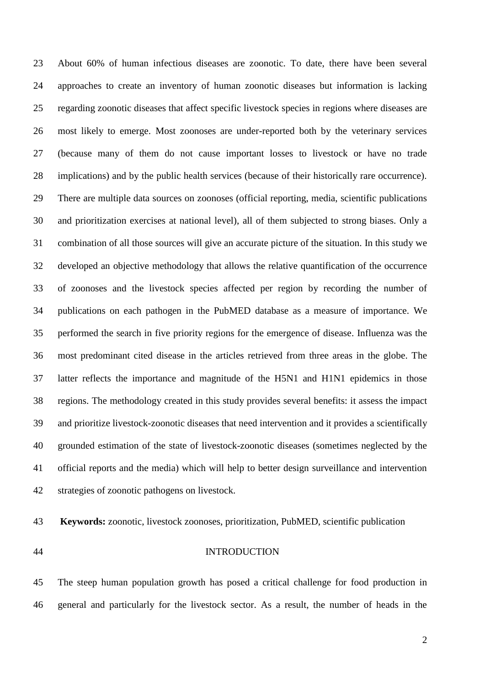About 60% of human infectious diseases are zoonotic. To date, there have been several approaches to create an inventory of human zoonotic diseases but information is lacking regarding zoonotic diseases that affect specific livestock species in regions where diseases are most likely to emerge. Most zoonoses are under-reported both by the veterinary services (because many of them do not cause important losses to livestock or have no trade implications) and by the public health services (because of their historically rare occurrence). There are multiple data sources on zoonoses (official reporting, media, scientific publications and prioritization exercises at national level), all of them subjected to strong biases. Only a combination of all those sources will give an accurate picture of the situation. In this study we developed an objective methodology that allows the relative quantification of the occurrence of zoonoses and the livestock species affected per region by recording the number of publications on each pathogen in the PubMED database as a measure of importance. We performed the search in five priority regions for the emergence of disease. Influenza was the most predominant cited disease in the articles retrieved from three areas in the globe. The latter reflects the importance and magnitude of the H5N1 and H1N1 epidemics in those regions. The methodology created in this study provides several benefits: it assess the impact and prioritize livestock-zoonotic diseases that need intervention and it provides a scientifically grounded estimation of the state of livestock-zoonotic diseases (sometimes neglected by the official reports and the media) which will help to better design surveillance and intervention strategies of zoonotic pathogens on livestock.

**Keywords:** zoonotic, livestock zoonoses, prioritization, PubMED, scientific publication

#### INTRODUCTION

 The steep human population growth has posed a critical challenge for food production in general and particularly for the livestock sector. As a result, the number of heads in the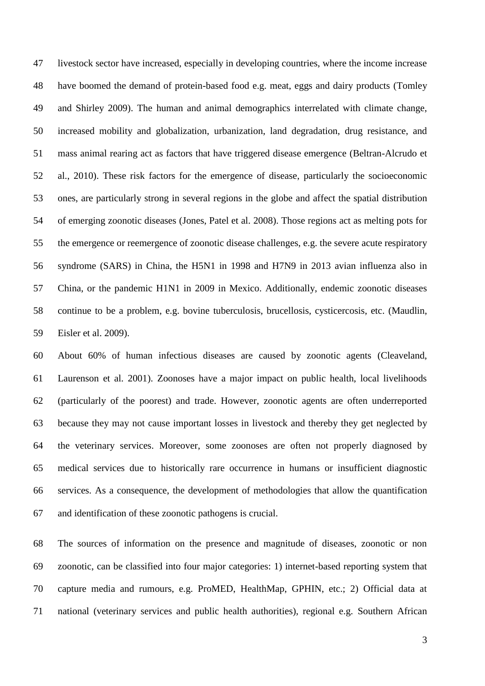livestock sector have increased, especially in developing countries, where the income increase have boomed the demand of protein-based food e.g. meat, eggs and dairy products (Tomley and Shirley 2009). The human and animal demographics interrelated with climate change, increased mobility and globalization, urbanization, land degradation, drug resistance, and mass animal rearing act as factors that have triggered disease emergence (Beltran-Alcrudo et al., 2010). These risk factors for the emergence of disease, particularly the socioeconomic ones, are particularly strong in several regions in the globe and affect the spatial distribution of emerging zoonotic diseases (Jones, Patel et al. 2008). Those regions act as melting pots for the emergence or reemergence of zoonotic disease challenges, e.g. the severe acute respiratory syndrome (SARS) in China, the H5N1 in 1998 and H7N9 in 2013 avian influenza also in China, or the pandemic H1N1 in 2009 in Mexico. Additionally, endemic zoonotic diseases continue to be a problem, e.g. bovine tuberculosis, brucellosis, cysticercosis, etc. (Maudlin, Eisler et al. 2009).

 About 60% of human infectious diseases are caused by zoonotic agents (Cleaveland, Laurenson et al. 2001). Zoonoses have a major impact on public health, local livelihoods (particularly of the poorest) and trade. However, zoonotic agents are often underreported because they may not cause important losses in livestock and thereby they get neglected by the veterinary services. Moreover, some zoonoses are often not properly diagnosed by medical services due to historically rare occurrence in humans or insufficient diagnostic services. As a consequence, the development of methodologies that allow the quantification and identification of these zoonotic pathogens is crucial.

 The sources of information on the presence and magnitude of diseases, zoonotic or non zoonotic, can be classified into four major categories: 1) internet-based reporting system that capture media and rumours, e.g. ProMED, HealthMap, GPHIN, etc.; 2) Official data at national (veterinary services and public health authorities), regional e.g. [Southern African](http://www.sadc.int/fanr/livestock/print/lims.php)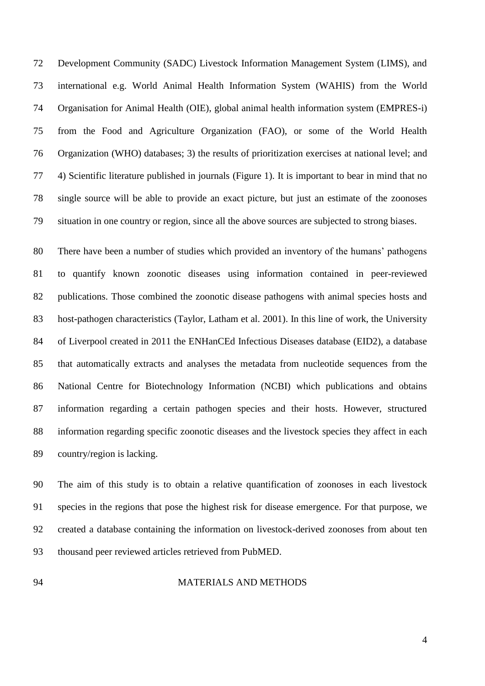[Development Community](http://www.sadc.int/fanr/livestock/print/lims.php) (SADC) Livestock Information Management System (LIMS), and international e.g. World Animal Health Information System (WAHIS) from the [World](http://www.oie.int/)  [Organisation for Animal Health](http://www.oie.int/) (OIE), global animal health information system (EMPRES-i) from the Food and Agriculture Organization (FAO), or some of the World Health Organization (WHO) databases; 3) the results of prioritization exercises at national level; and 4) Scientific literature published in journals (Figure 1). It is important to bear in mind that no single source will be able to provide an exact picture, but just an estimate of the zoonoses situation in one country or region, since all the above sources are subjected to strong biases.

 There have been a number of studies which provided an inventory of the humans' pathogens to quantify known zoonotic diseases using information contained in peer-reviewed publications. Those combined the zoonotic disease pathogens with animal species hosts and host-pathogen characteristics (Taylor, Latham et al. 2001). In this line of work, the University of Liverpool created in 2011 the ENHanCEd Infectious Diseases database (EID2), a database that automatically extracts and analyses the metadata from nucleotide sequences from the National Centre for Biotechnology Information (NCBI) which publications and obtains information regarding a certain pathogen species and their hosts. However, structured information regarding specific zoonotic diseases and the livestock species they affect in each country/region is lacking.

 The aim of this study is to obtain a relative quantification of zoonoses in each livestock species in the regions that pose the highest risk for disease emergence. For that purpose, we created a database containing the information on livestock-derived zoonoses from about ten thousand peer reviewed articles retrieved from PubMED.

#### MATERIALS AND METHODS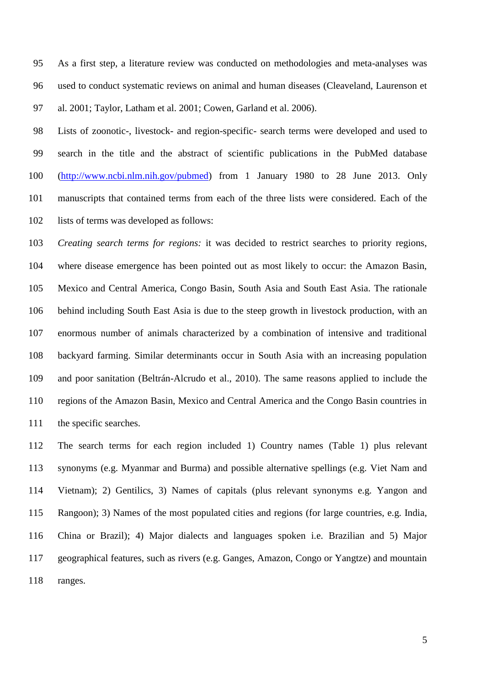As a first step, a literature review was conducted on methodologies and meta-analyses was used to conduct systematic reviews on animal and human diseases (Cleaveland, Laurenson et al. 2001; Taylor, Latham et al. 2001; Cowen, Garland et al. 2006).

 Lists of zoonotic-, livestock- and region-specific- search terms were developed and used to search in the title and the abstract of scientific publications in the PubMed database [\(http://www.ncbi.nlm.nih.gov/pubmed\)](http://www.ncbi.nlm.nih.gov/pubmed) from 1 January 1980 to 28 June 2013. Only manuscripts that contained terms from each of the three lists were considered. Each of the lists of terms was developed as follows:

 *Creating search terms for regions:* it was decided to restrict searches to priority regions, where disease emergence has been pointed out as most likely to occur: the Amazon Basin, Mexico and Central America, Congo Basin, South Asia and South East Asia. The rationale behind including South East Asia is due to the steep growth in livestock production, with an enormous number of animals characterized by a combination of intensive and traditional backyard farming. Similar determinants occur in South Asia with an increasing population and poor sanitation (Beltrán-Alcrudo et al., 2010). The same reasons applied to include the regions of the Amazon Basin, Mexico and Central America and the Congo Basin countries in the specific searches.

 The search terms for each region included 1) Country names (Table 1) plus relevant synonyms (e.g. Myanmar and Burma) and possible alternative spellings (e.g. Viet Nam and Vietnam); 2) Gentilics, 3) Names of capitals (plus relevant synonyms e.g. Yangon and Rangoon); 3) Names of the most populated cities and regions (for large countries, e.g. India, China or Brazil); 4) Major dialects and languages spoken i.e. Brazilian and 5) Major geographical features, such as rivers (e.g. Ganges, Amazon, Congo or Yangtze) and mountain ranges.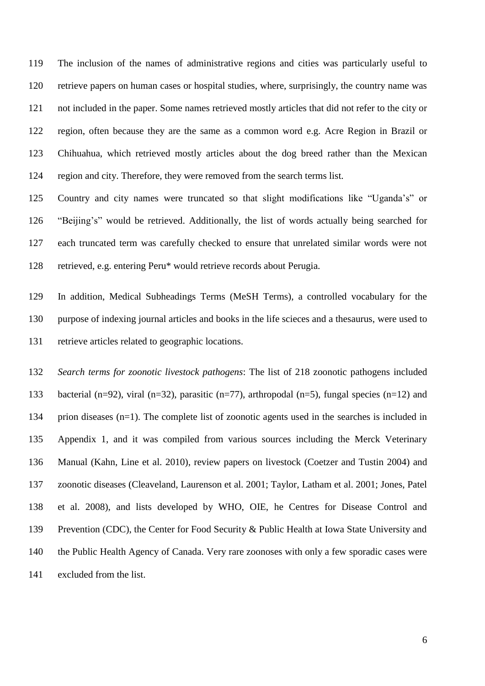The inclusion of the names of administrative regions and cities was particularly useful to retrieve papers on human cases or hospital studies, where, surprisingly, the country name was not included in the paper. Some names retrieved mostly articles that did not refer to the city or region, often because they are the same as a common word e.g. Acre Region in Brazil or Chihuahua, which retrieved mostly articles about the dog breed rather than the Mexican region and city. Therefore, they were removed from the search terms list.

 Country and city names were truncated so that slight modifications like "Uganda's" or "Beijing's" would be retrieved. Additionally, the list of words actually being searched for each truncated term was carefully checked to ensure that unrelated similar words were not retrieved, e.g. entering Peru\* would retrieve records about Perugia.

 In addition, Medical Subheadings Terms (MeSH Terms), a controlled vocabulary for the purpose of indexing journal articles and books in the life scieces and a thesaurus, were used to retrieve articles related to geographic locations.

 *Search terms for zoonotic livestock pathogens*: The list of 218 zoonotic pathogens included bacterial (n=92), viral (n=32), parasitic (n=77), arthropodal (n=5), fungal species (n=12) and prion diseases (n=1). The complete list of zoonotic agents used in the searches is included in Appendix 1, and it was compiled from various sources including the Merck Veterinary Manual (Kahn, Line et al. 2010), review papers on livestock (Coetzer and Tustin 2004) and zoonotic diseases (Cleaveland, Laurenson et al. 2001; Taylor, Latham et al. 2001; Jones, Patel et al. 2008), and lists developed by WHO, OIE, he Centres for Disease Control and 139 Prevention (CDC), the Center for Food Security & Public Health at Iowa State University and the Public Health Agency of Canada. Very rare zoonoses with only a few sporadic cases were excluded from the list.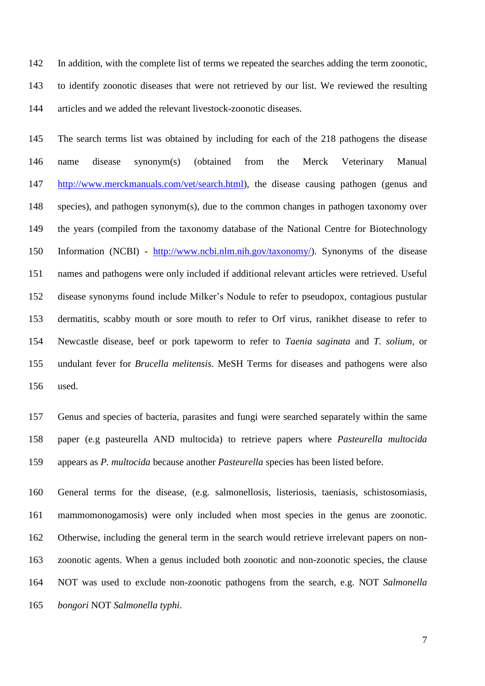In addition, with the complete list of terms we repeated the searches adding the term zoonotic, to identify zoonotic diseases that were not retrieved by our list. We reviewed the resulting articles and we added the relevant livestock-zoonotic diseases.

 The search terms list was obtained by including for each of the 218 pathogens the disease name disease synonym(s) (obtained from the Merck Veterinary Manual [http://www.merckmanuals.com/vet/search.html\)](http://www.merckmanuals.com/vet/search.html), the disease causing pathogen (genus and species), and pathogen synonym(s), due to the common changes in pathogen taxonomy over the years (compiled from the taxonomy database of the National Centre for Biotechnology Information (NCBI) - [http://www.ncbi.nlm.nih.gov/taxonomy/\)](http://www.ncbi.nlm.nih.gov/taxonomy/). Synonyms of the disease names and pathogens were only included if additional relevant articles were retrieved. Useful disease synonyms found include Milker's Nodule to refer to pseudopox, contagious pustular dermatitis, scabby mouth or sore mouth to refer to Orf virus, ranikhet disease to refer to Newcastle disease, beef or pork tapeworm to refer to *Taenia saginata* and *T. solium,* or undulant fever for *Brucella melitensis*. MeSH Terms for diseases and pathogens were also used.

 Genus and species of bacteria, parasites and fungi were searched separately within the same paper (e.g pasteurella AND multocida) to retrieve papers where *Pasteurella multocida* appears as *P. multocida* because another *Pasteurella* species has been listed before.

 General terms for the disease, (e.g. salmonellosis, listeriosis, taeniasis, schistosomiasis, mammomonogamosis) were only included when most species in the genus are zoonotic. Otherwise, including the general term in the search would retrieve irrelevant papers on non- zoonotic agents. When a genus included both zoonotic and non-zoonotic species, the clause NOT was used to exclude non-zoonotic pathogens from the search, e.g. NOT *Salmonella bongori* NOT *Salmonella typhi*.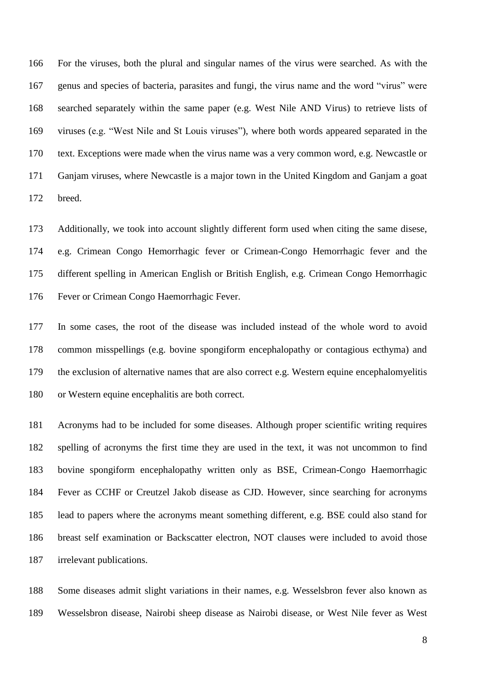For the viruses, both the plural and singular names of the virus were searched. As with the genus and species of bacteria, parasites and fungi, the virus name and the word "virus" were searched separately within the same paper (e.g. West Nile AND Virus) to retrieve lists of viruses (e.g. "West Nile and St Louis viruses"), where both words appeared separated in the text. Exceptions were made when the virus name was a very common word, e.g. Newcastle or Ganjam viruses, where Newcastle is a major town in the United Kingdom and Ganjam a goat breed.

 Additionally, we took into account slightly different form used when citing the same disese, e.g. Crimean Congo Hemorrhagic fever or Crimean-Congo Hemorrhagic fever and the different spelling in American English or British English, e.g. Crimean Congo Hemorrhagic Fever or Crimean Congo Haemorrhagic Fever.

 In some cases, the root of the disease was included instead of the whole word to avoid common misspellings (e.g. bovine spongiform encephalopathy or contagious ecthyma) and the exclusion of alternative names that are also correct e.g. Western equine encephalomyelitis or Western equine encephalitis are both correct.

 Acronyms had to be included for some diseases. Although proper scientific writing requires spelling of acronyms the first time they are used in the text, it was not uncommon to find bovine spongiform encephalopathy written only as BSE, Crimean-Congo Haemorrhagic Fever as CCHF or Creutzel Jakob disease as CJD. However, since searching for acronyms lead to papers where the acronyms meant something different, e.g. BSE could also stand for breast self examination or Backscatter electron, NOT clauses were included to avoid those irrelevant publications.

 Some diseases admit slight variations in their names, e.g. Wesselsbron fever also known as Wesselsbron disease, Nairobi sheep disease as Nairobi disease, or West Nile fever as West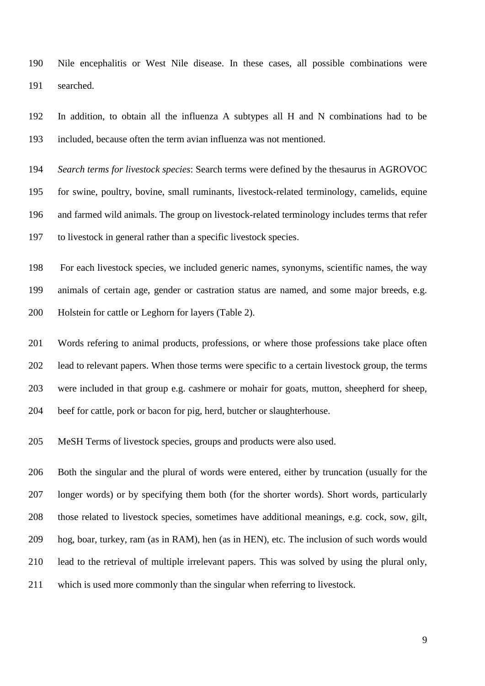Nile encephalitis or West Nile disease. In these cases, all possible combinations were searched.

 In addition, to obtain all the influenza A subtypes all H and N combinations had to be included, because often the term avian influenza was not mentioned.

 *Search terms for livestock species*: Search terms were defined by the thesaurus in AGROVOC for swine, poultry, bovine, small ruminants, livestock-related terminology, camelids, equine and farmed wild animals. The group on livestock-related terminology includes terms that refer to livestock in general rather than a specific livestock species.

 For each livestock species, we included generic names, synonyms, scientific names, the way animals of certain age, gender or castration status are named, and some major breeds, e.g. Holstein for cattle or Leghorn for layers (Table 2).

 Words refering to animal products, professions, or where those professions take place often lead to relevant papers. When those terms were specific to a certain livestock group, the terms were included in that group e.g. cashmere or mohair for goats, mutton, sheepherd for sheep, beef for cattle, pork or bacon for pig, herd, butcher or slaughterhouse.

MeSH Terms of livestock species, groups and products were also used.

 Both the singular and the plural of words were entered, either by truncation (usually for the longer words) or by specifying them both (for the shorter words). Short words, particularly those related to livestock species, sometimes have additional meanings, e.g. cock, sow, gilt, hog, boar, turkey, ram (as in RAM), hen (as in HEN), etc. The inclusion of such words would lead to the retrieval of multiple irrelevant papers. This was solved by using the plural only, which is used more commonly than the singular when referring to livestock.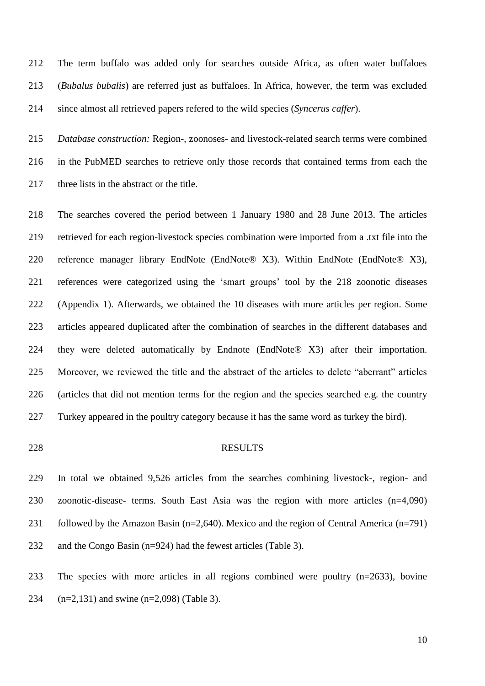The term buffalo was added only for searches outside Africa, as often water buffaloes (*Bubalus bubalis*) are referred just as buffaloes. In Africa, however, the term was excluded since almost all retrieved papers refered to the wild species (*Syncerus caffer*).

 *Database construction:* Region-, zoonoses- and livestock-related search terms were combined in the PubMED searches to retrieve only those records that contained terms from each the three lists in the abstract or the title.

 The searches covered the period between 1 January 1980 and 28 June 2013. The articles retrieved for each region-livestock species combination were imported from a .txt file into the reference manager library EndNote (EndNote® X3). Within EndNote (EndNote® X3), references were categorized using the 'smart groups' tool by the 218 zoonotic diseases (Appendix 1). Afterwards, we obtained the 10 diseases with more articles per region. Some articles appeared duplicated after the combination of searches in the different databases and they were deleted automatically by Endnote (EndNote® X3) after their importation. Moreover, we reviewed the title and the abstract of the articles to delete "aberrant" articles (articles that did not mention terms for the region and the species searched e.g. the country Turkey appeared in the poultry category because it has the same word as turkey the bird).

#### RESULTS

 In total we obtained 9,526 articles from the searches combining livestock-, region- and zoonotic-disease- terms. South East Asia was the region with more articles (n=4,090) followed by the Amazon Basin (n=2,640). Mexico and the region of Central America (n=791) and the Congo Basin (n=924) had the fewest articles (Table 3).

 The species with more articles in all regions combined were poultry (n=2633), bovine (n=2,131) and swine (n=2,098) (Table 3).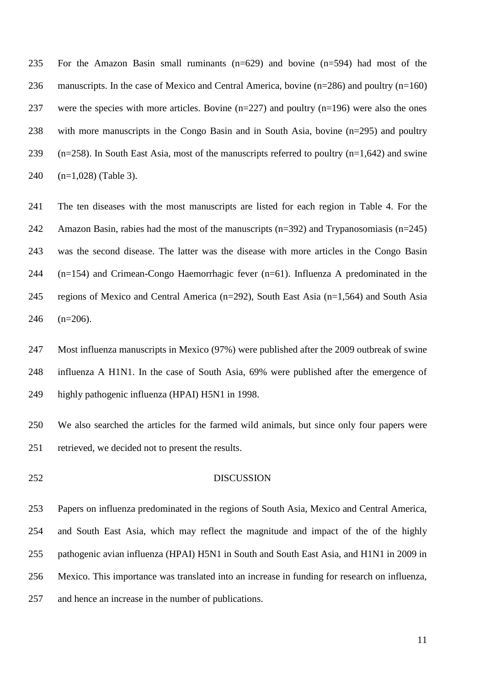For the Amazon Basin small ruminants (n=629) and bovine (n=594) had most of the manuscripts. In the case of Mexico and Central America, bovine (n=286) and poultry (n=160) 237 were the species with more articles. Bovine  $(n=227)$  and poultry  $(n=196)$  were also the ones with more manuscripts in the Congo Basin and in South Asia, bovine (n=295) and poultry (n=258). In South East Asia, most of the manuscripts referred to poultry (n=1,642) and swine (n=1,028) (Table 3).

 The ten diseases with the most manuscripts are listed for each region in Table 4. For the 242 Amazon Basin, rabies had the most of the manuscripts  $(n=392)$  and Trypanosomiasis  $(n=245)$  was the second disease. The latter was the disease with more articles in the Congo Basin (n=154) and Crimean-Congo Haemorrhagic fever (n=61). Influenza A predominated in the regions of Mexico and Central America (n=292), South East Asia (n=1,564) and South Asia (n=206).

 Most influenza manuscripts in Mexico (97%) were published after the 2009 outbreak of swine influenza A H1N1. In the case of South Asia, 69% were published after the emergence of highly pathogenic influenza (HPAI) H5N1 in 1998.

 We also searched the articles for the farmed wild animals, but since only four papers were retrieved, we decided not to present the results.

#### DISCUSSION

 Papers on influenza predominated in the regions of South Asia, Mexico and Central America, and South East Asia, which may reflect the magnitude and impact of the of the highly pathogenic avian influenza (HPAI) H5N1 in South and South East Asia, and H1N1 in 2009 in Mexico. This importance was translated into an increase in funding for research on influenza, and hence an increase in the number of publications.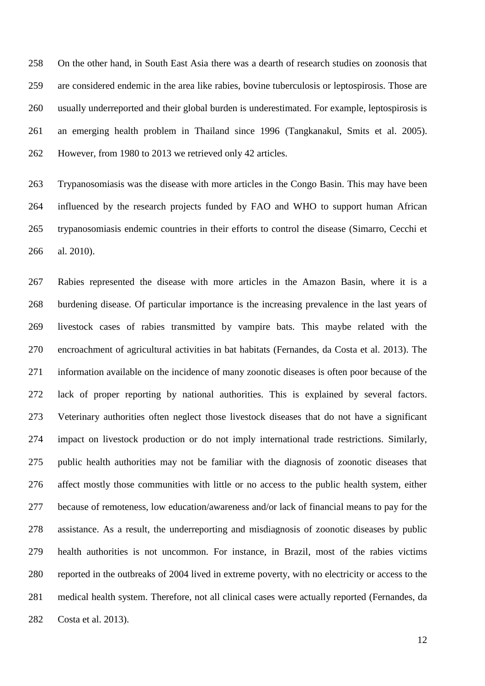On the other hand, in South East Asia there was a dearth of research studies on zoonosis that are considered endemic in the area like rabies, bovine tuberculosis or leptospirosis. Those are usually underreported and their global burden is underestimated. For example, leptospirosis is an emerging health problem in Thailand since 1996 (Tangkanakul, Smits et al. 2005). However, from 1980 to 2013 we retrieved only 42 articles.

 Trypanosomiasis was the disease with more articles in the Congo Basin. This may have been influenced by the research projects funded by FAO and WHO to support human African trypanosomiasis endemic countries in their efforts to control the disease (Simarro, Cecchi et al. 2010).

 Rabies represented the disease with more articles in the Amazon Basin, where it is a burdening disease. Of particular importance is the increasing prevalence in the last years of livestock cases of rabies transmitted by vampire bats. This maybe related with the encroachment of agricultural activities in bat habitats (Fernandes, da Costa et al. 2013). The information available on the incidence of many zoonotic diseases is often poor because of the lack of proper reporting by national authorities. This is explained by several factors. Veterinary authorities often neglect those livestock diseases that do not have a significant impact on livestock production or do not imply international trade restrictions. Similarly, public health authorities may not be familiar with the diagnosis of zoonotic diseases that affect mostly those communities with little or no access to the public health system, either because of remoteness, low education/awareness and/or lack of financial means to pay for the assistance. As a result, the underreporting and misdiagnosis of zoonotic diseases by public health authorities is not uncommon. For instance, in Brazil, most of the rabies victims reported in the outbreaks of 2004 lived in extreme poverty, with no electricity or access to the medical health system. Therefore, not all clinical cases were actually reported (Fernandes, da Costa et al. 2013).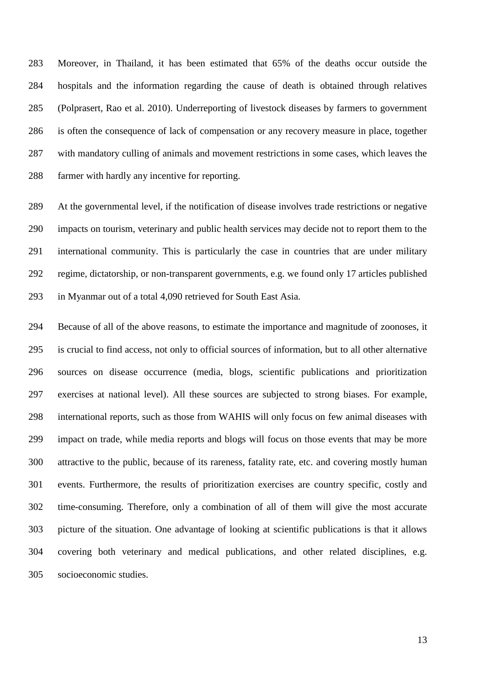Moreover, in Thailand, it has been estimated that 65% of the deaths occur outside the hospitals and the information regarding the cause of death is obtained through relatives (Polprasert, Rao et al. 2010). Underreporting of livestock diseases by farmers to government is often the consequence of lack of compensation or any recovery measure in place, together with mandatory culling of animals and movement restrictions in some cases, which leaves the farmer with hardly any incentive for reporting.

 At the governmental level, if the notification of disease involves trade restrictions or negative impacts on tourism, veterinary and public health services may decide not to report them to the international community. This is particularly the case in countries that are under military regime, dictatorship, or non-transparent governments, e.g. we found only 17 articles published in Myanmar out of a total 4,090 retrieved for South East Asia.

 Because of all of the above reasons, to estimate the importance and magnitude of zoonoses, it is crucial to find access, not only to official sources of information, but to all other alternative sources on disease occurrence (media, blogs, scientific publications and prioritization exercises at national level). All these sources are subjected to strong biases. For example, international reports, such as those from WAHIS will only focus on few animal diseases with impact on trade, while media reports and blogs will focus on those events that may be more attractive to the public, because of its rareness, fatality rate, etc. and covering mostly human events. Furthermore, the results of prioritization exercises are country specific, costly and time-consuming. Therefore, only a combination of all of them will give the most accurate picture of the situation. One advantage of looking at scientific publications is that it allows covering both veterinary and medical publications, and other related disciplines, e.g. socioeconomic studies.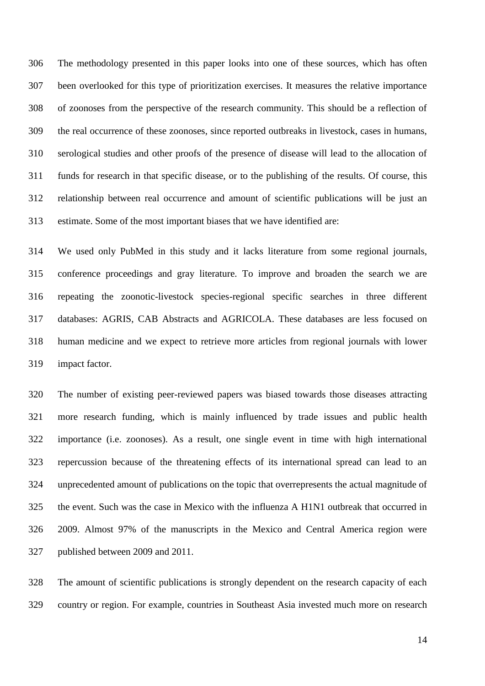The methodology presented in this paper looks into one of these sources, which has often been overlooked for this type of prioritization exercises. It measures the relative importance of zoonoses from the perspective of the research community. This should be a reflection of the real occurrence of these zoonoses, since reported outbreaks in livestock, cases in humans, serological studies and other proofs of the presence of disease will lead to the allocation of funds for research in that specific disease, or to the publishing of the results. Of course, this relationship between real occurrence and amount of scientific publications will be just an estimate. Some of the most important biases that we have identified are:

 We used only PubMed in this study and it lacks literature from some regional journals, conference proceedings and gray literature. To improve and broaden the search we are repeating the zoonotic-livestock species-regional specific searches in three different databases: AGRIS, CAB Abstracts and AGRICOLA. These databases are less focused on human medicine and we expect to retrieve more articles from regional journals with lower impact factor.

 The number of existing peer-reviewed papers was biased towards those diseases attracting more research funding, which is mainly influenced by trade issues and public health importance (i.e. zoonoses). As a result, one single event in time with high international repercussion because of the threatening effects of its international spread can lead to an unprecedented amount of publications on the topic that overrepresents the actual magnitude of the event. Such was the case in Mexico with the influenza A H1N1 outbreak that occurred in 2009. Almost 97% of the manuscripts in the Mexico and Central America region were published between 2009 and 2011.

 The amount of scientific publications is strongly dependent on the research capacity of each country or region. For example, countries in Southeast Asia invested much more on research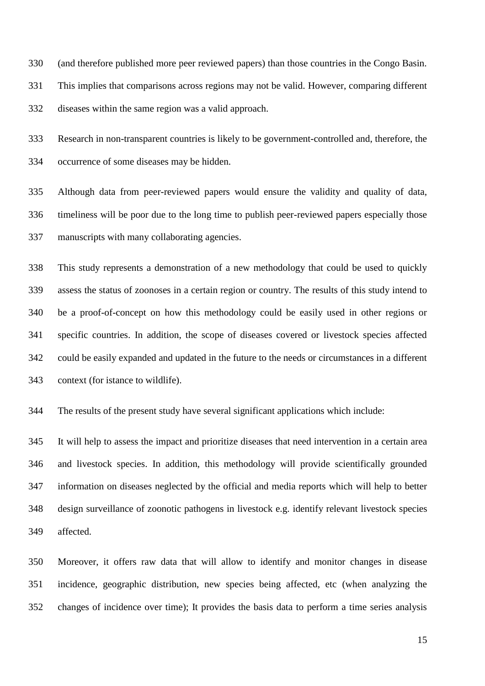(and therefore published more peer reviewed papers) than those countries in the Congo Basin. This implies that comparisons across regions may not be valid. However, comparing different diseases within the same region was a valid approach.

 Research in non-transparent countries is likely to be government-controlled and, therefore, the occurrence of some diseases may be hidden.

 Although data from peer-reviewed papers would ensure the validity and quality of data, timeliness will be poor due to the long time to publish peer-reviewed papers especially those manuscripts with many collaborating agencies.

 This study represents a demonstration of a new methodology that could be used to quickly assess the status of zoonoses in a certain region or country. The results of this study intend to be a proof-of-concept on how this methodology could be easily used in other regions or specific countries. In addition, the scope of diseases covered or livestock species affected could be easily expanded and updated in the future to the needs or circumstances in a different context (for istance to wildlife).

The results of the present study have several significant applications which include:

 It will help to assess the impact and prioritize diseases that need intervention in a certain area and livestock species. In addition, this methodology will provide scientifically grounded information on diseases neglected by the official and media reports which will help to better design surveillance of zoonotic pathogens in livestock e.g. identify relevant livestock species affected.

 Moreover, it offers raw data that will allow to identify and monitor changes in disease incidence, geographic distribution, new species being affected, etc (when analyzing the changes of incidence over time); It provides the basis data to perform a time series analysis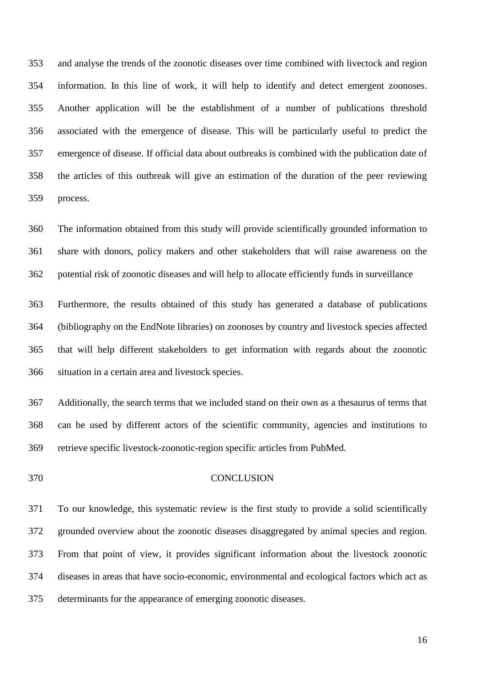and analyse the trends of the zoonotic diseases over time combined with livectock and region information. In this line of work, it will help to identify and detect emergent zoonoses. Another application will be the establishment of a number of publications threshold associated with the emergence of disease. This will be particularly useful to predict the emergence of disease. If official data about outbreaks is combined with the publication date of the articles of this outbreak will give an estimation of the duration of the peer reviewing process.

 The information obtained from this study will provide scientifically grounded information to share with donors, policy makers and other stakeholders that will raise awareness on the potential risk of zoonotic diseases and will help to allocate efficiently funds in surveillance

 Furthermore, the results obtained of this study has generated a database of publications (bibliography on the EndNote libraries) on zoonoses by country and livestock species affected that will help different stakeholders to get information with regards about the zoonotic situation in a certain area and livestock species.

 Additionally, the search terms that we included stand on their own as a thesaurus of terms that can be used by different actors of the scientific community, agencies and institutions to retrieve specific livestock-zoonotic-region specific articles from PubMed.

#### CONCLUSION

 To our knowledge, this systematic review is the first study to provide a solid scientifically grounded overview about the zoonotic diseases disaggregated by animal species and region. From that point of view, it provides significant information about the livestock zoonotic diseases in areas that have socio-economic, environmental and ecological factors which act as determinants for the appearance of emerging zoonotic diseases.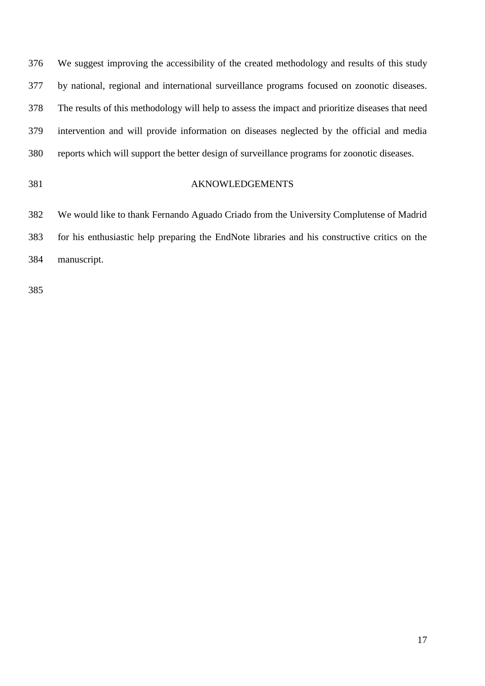We suggest improving the accessibility of the created methodology and results of this study by national, regional and international surveillance programs focused on zoonotic diseases. The results of this methodology will help to assess the impact and prioritize diseases that need intervention and will provide information on diseases neglected by the official and media reports which will support the better design of surveillance programs for zoonotic diseases.

#### AKNOWLEDGEMENTS

 We would like to thank Fernando Aguado Criado from the University Complutense of Madrid for his enthusiastic help preparing the EndNote libraries and his constructive critics on the manuscript.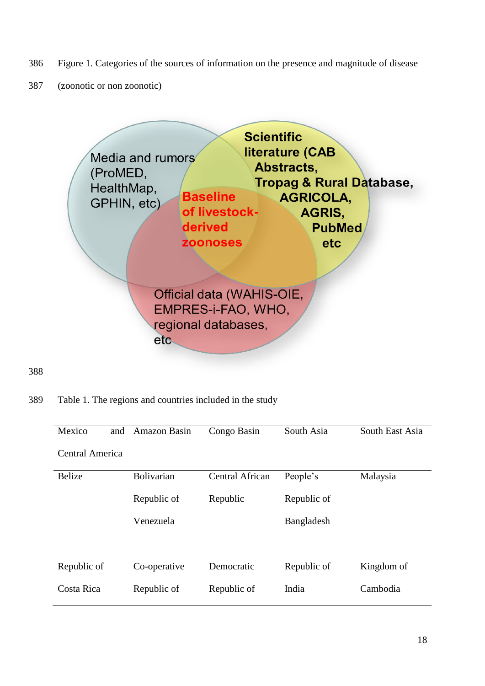- 386 Figure 1. Categories of the sources of information on the presence and magnitude of disease
- 387 (zoonotic or non zoonotic)



388

389 Table 1. The regions and countries included in the study

| Mexico<br>and   | Amazon Basin      | Congo Basin            | South Asia  | South East Asia |
|-----------------|-------------------|------------------------|-------------|-----------------|
| Central America |                   |                        |             |                 |
| <b>Belize</b>   | <b>Bolivarian</b> | <b>Central African</b> | People's    | Malaysia        |
|                 | Republic of       | Republic               | Republic of |                 |
|                 | Venezuela         |                        | Bangladesh  |                 |
|                 |                   |                        |             |                 |
| Republic of     | Co-operative      | Democratic             | Republic of | Kingdom of      |
| Costa Rica      | Republic of       | Republic of            | India       | Cambodia        |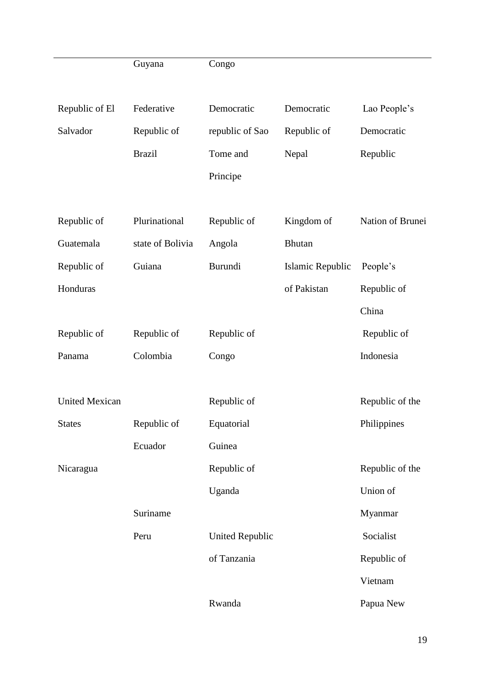|                       | Guyana           | Congo                  |                  |                  |
|-----------------------|------------------|------------------------|------------------|------------------|
|                       |                  |                        |                  |                  |
| Republic of El        | Federative       | Democratic             | Democratic       | Lao People's     |
| Salvador              | Republic of      | republic of Sao        | Republic of      | Democratic       |
|                       | <b>Brazil</b>    | Tome and               | Nepal            | Republic         |
|                       |                  | Principe               |                  |                  |
|                       |                  |                        |                  |                  |
| Republic of           | Plurinational    | Republic of            | Kingdom of       | Nation of Brunei |
| Guatemala             | state of Bolivia | Angola                 | <b>Bhutan</b>    |                  |
| Republic of           | Guiana           | Burundi                | Islamic Republic | People's         |
| Honduras              |                  |                        | of Pakistan      | Republic of      |
|                       |                  |                        |                  | China            |
| Republic of           | Republic of      | Republic of            |                  | Republic of      |
| Panama                | Colombia         | Congo                  |                  | Indonesia        |
|                       |                  |                        |                  |                  |
| <b>United Mexican</b> |                  | Republic of            |                  | Republic of the  |
| <b>States</b>         | Republic of      | Equatorial             |                  | Philippines      |
|                       | Ecuador          | Guinea                 |                  |                  |
| Nicaragua             |                  | Republic of            |                  | Republic of the  |
|                       |                  | Uganda                 |                  | Union of         |
|                       | Suriname         |                        |                  | Myanmar          |
|                       | Peru             | <b>United Republic</b> |                  | Socialist        |
|                       |                  | of Tanzania            |                  | Republic of      |
|                       |                  |                        |                  | Vietnam          |
|                       |                  | Rwanda                 |                  | Papua New        |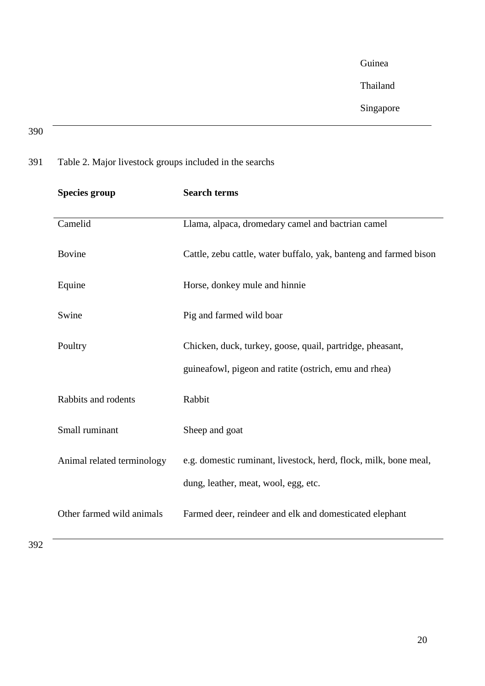Guinea

Thailand

# Singapore

## 390

# 391 Table 2. Major livestock groups included in the searchs

| <b>Species group</b>       | <b>Search terms</b>                                               |
|----------------------------|-------------------------------------------------------------------|
| Camelid                    | Llama, alpaca, dromedary camel and bactrian camel                 |
| <b>Bovine</b>              | Cattle, zebu cattle, water buffalo, yak, banteng and farmed bison |
| Equine                     | Horse, donkey mule and hinnie                                     |
| Swine                      | Pig and farmed wild boar                                          |
| Poultry                    | Chicken, duck, turkey, goose, quail, partridge, pheasant,         |
|                            | guineafowl, pigeon and ratite (ostrich, emu and rhea)             |
| Rabbits and rodents        | Rabbit                                                            |
| Small ruminant             | Sheep and goat                                                    |
| Animal related terminology | e.g. domestic ruminant, livestock, herd, flock, milk, bone meal,  |
|                            | dung, leather, meat, wool, egg, etc.                              |
| Other farmed wild animals  | Farmed deer, reindeer and elk and domesticated elephant           |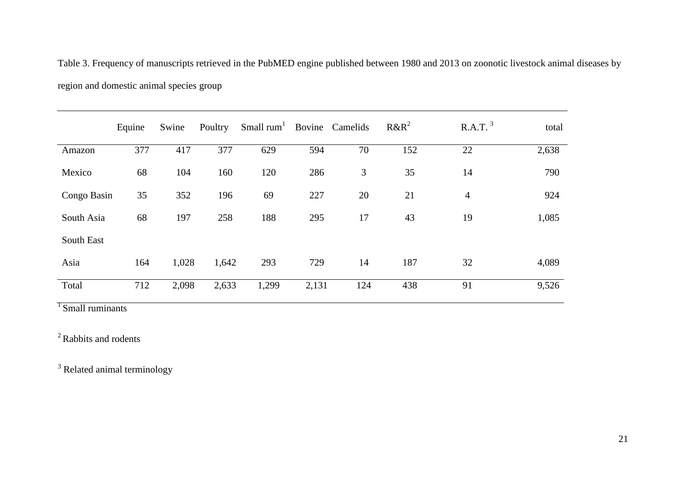Table 3. Frequency of manuscripts retrieved in the PubMED engine published between 1980 and 2013 on zoonotic livestock animal diseases by region and domestic animal species group

|             | Equine | Swine | Poultry | Small $rum1$ |       | Bovine Camelids | $R\&R^2$ | R.A.T. <sup>3</sup> | total |
|-------------|--------|-------|---------|--------------|-------|-----------------|----------|---------------------|-------|
| Amazon      | 377    | 417   | 377     | 629          | 594   | 70              | 152      | 22                  | 2,638 |
| Mexico      | 68     | 104   | 160     | 120          | 286   | 3               | 35       | 14                  | 790   |
| Congo Basin | 35     | 352   | 196     | 69           | 227   | 20              | 21       | 4                   | 924   |
| South Asia  | 68     | 197   | 258     | 188          | 295   | 17              | 43       | 19                  | 1,085 |
| South East  |        |       |         |              |       |                 |          |                     |       |
| Asia        | 164    | 1,028 | 1,642   | 293          | 729   | 14              | 187      | 32                  | 4,089 |
| Total       | 712    | 2,098 | 2,633   | 1,299        | 2,131 | 124             | 438      | 91                  | 9,526 |

<sup>1</sup> Small ruminants

<sup>2</sup> Rabbits and rodents

<sup>3</sup> Related animal terminology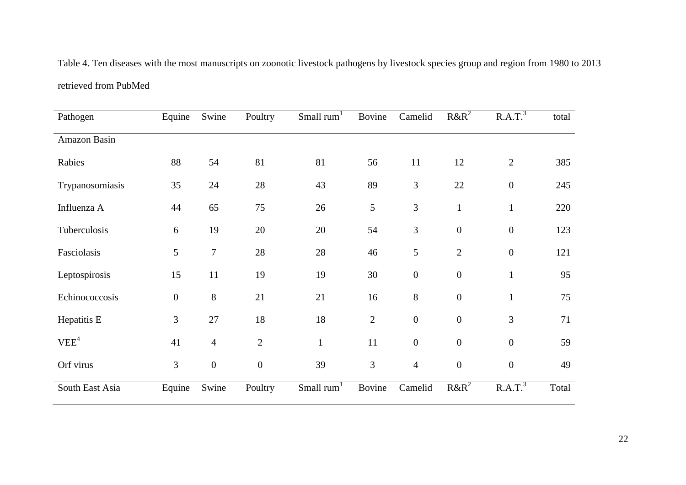Table 4. Ten diseases with the most manuscripts on zoonotic livestock pathogens by livestock species group and region from 1980 to 2013 retrieved from PubMed

| Pathogen         | Equine           | Swine            | Poultry          | Small rum <sup>1</sup> | Bovine         | Camelid          | $R\&R^2$         | R.A.T. <sup>3</sup> | total |
|------------------|------------------|------------------|------------------|------------------------|----------------|------------------|------------------|---------------------|-------|
| Amazon Basin     |                  |                  |                  |                        |                |                  |                  |                     |       |
| Rabies           | 88               | 54               | 81               | 81                     | 56             | 11               | 12               | $\overline{2}$      | 385   |
| Trypanosomiasis  | 35               | 24               | 28               | 43                     | 89             | $\mathfrak{Z}$   | $22\,$           | $\boldsymbol{0}$    | 245   |
| Influenza A      | 44               | 65               | 75               | 26                     | 5              | $\overline{3}$   | $\mathbf{1}$     | $\mathbf{1}$        | 220   |
| Tuberculosis     | 6                | 19               | 20               | 20                     | 54             | $\overline{3}$   | $\boldsymbol{0}$ | $\boldsymbol{0}$    | 123   |
| Fasciolasis      | 5                | $\tau$           | 28               | 28                     | 46             | 5                | $\overline{2}$   | $\overline{0}$      | 121   |
| Leptospirosis    | 15               | 11               | 19               | 19                     | 30             | $\boldsymbol{0}$ | $\boldsymbol{0}$ | $\mathbf{1}$        | 95    |
| Echinococcosis   | $\boldsymbol{0}$ | 8                | 21               | 21                     | 16             | 8                | $\boldsymbol{0}$ | $\mathbf{1}$        | 75    |
| Hepatitis E      | 3                | 27               | 18               | 18                     | $\overline{2}$ | $\boldsymbol{0}$ | $\boldsymbol{0}$ | 3                   | 71    |
| VEE <sup>4</sup> | 41               | $\overline{4}$   | $\mathbf{2}$     | $\mathbf{1}$           | 11             | $\boldsymbol{0}$ | $\boldsymbol{0}$ | $\boldsymbol{0}$    | 59    |
| Orf virus        | 3                | $\boldsymbol{0}$ | $\boldsymbol{0}$ | 39                     | 3              | $\overline{4}$   | $\boldsymbol{0}$ | $\boldsymbol{0}$    | 49    |
| South East Asia  | Equine           | Swine            | Poultry          | Small rum <sup>1</sup> | <b>Bovine</b>  | Camelid          | $R\&R^2$         | R.A.T. <sup>3</sup> | Total |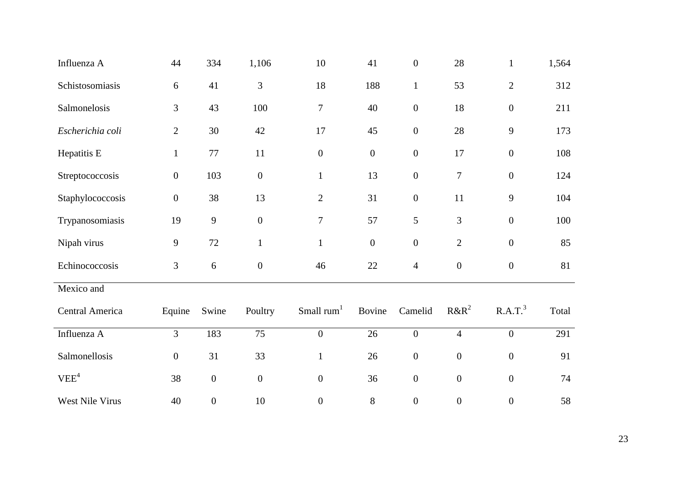| Influenza A      | 44               | 334              | 1,106            | 10               | 41               | $\boldsymbol{0}$ | 28               | $\mathbf{1}$        | 1,564 |
|------------------|------------------|------------------|------------------|------------------|------------------|------------------|------------------|---------------------|-------|
| Schistosomiasis  | 6                | 41               | 3                | 18               | 188              | $\mathbf{1}$     | 53               | $\sqrt{2}$          | 312   |
| Salmonelosis     | 3                | 43               | 100              | $\tau$           | 40               | $\boldsymbol{0}$ | 18               | $\boldsymbol{0}$    | 211   |
| Escherichia coli | $\overline{2}$   | 30               | 42               | 17               | 45               | $\boldsymbol{0}$ | 28               | $\overline{9}$      | 173   |
| Hepatitis E      | $\mathbf{1}$     | 77               | 11               | $\boldsymbol{0}$ | $\boldsymbol{0}$ | $\boldsymbol{0}$ | 17               | $\boldsymbol{0}$    | 108   |
| Streptococcosis  | $\boldsymbol{0}$ | 103              | $\boldsymbol{0}$ | $\mathbf{1}$     | 13               | $\boldsymbol{0}$ | $\boldsymbol{7}$ | $\boldsymbol{0}$    | 124   |
| Staphylococcosis | $\boldsymbol{0}$ | 38               | 13               | $\sqrt{2}$       | 31               | $\boldsymbol{0}$ | 11               | $\overline{9}$      | 104   |
| Trypanosomiasis  | 19               | 9                | $\boldsymbol{0}$ | $\boldsymbol{7}$ | 57               | 5                | 3                | $\boldsymbol{0}$    | 100   |
| Nipah virus      | $\mathbf{9}$     | 72               | $\mathbf{1}$     | $\mathbf{1}$     | $\boldsymbol{0}$ | $\boldsymbol{0}$ | $\mathbf{2}$     | $\boldsymbol{0}$    | 85    |
| Echinococcosis   | 3                | 6                | $\boldsymbol{0}$ | 46               | 22               | $\overline{4}$   | $\boldsymbol{0}$ | $\boldsymbol{0}$    | 81    |
| Mexico and       |                  |                  |                  |                  |                  |                  |                  |                     |       |
| Central America  | Equine           | Swine            | Poultry          | Small $rum1$     | Bovine           | Camelid          | $R\&R^2$         | R.A.T. <sup>3</sup> | Total |
| Influenza A      | $\overline{3}$   | 183              | $\overline{75}$  | $\overline{0}$   | $\overline{26}$  | $\boldsymbol{0}$ | $\overline{4}$   | $\overline{0}$      | 291   |
| Salmonellosis    | $\boldsymbol{0}$ | 31               | 33               | $\mathbf{1}$     | 26               | $\boldsymbol{0}$ | $\boldsymbol{0}$ | $\boldsymbol{0}$    | 91    |
| VEE <sup>4</sup> | 38               | $\boldsymbol{0}$ | $\boldsymbol{0}$ | $\boldsymbol{0}$ | 36               | $\boldsymbol{0}$ | $\boldsymbol{0}$ | $\boldsymbol{0}$    | 74    |
| West Nile Virus  | 40               | $\boldsymbol{0}$ | 10               | $\boldsymbol{0}$ | $8\,$            | $\boldsymbol{0}$ | $\boldsymbol{0}$ | $\boldsymbol{0}$    | 58    |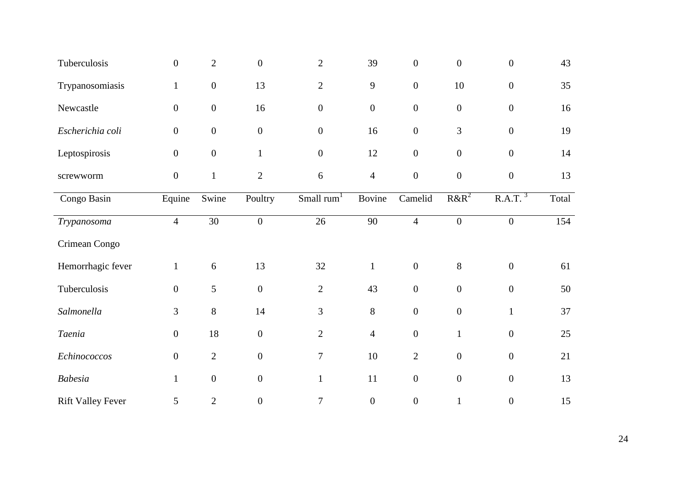| Tuberculosis             | $\boldsymbol{0}$ | $\overline{2}$   | $\overline{0}$   | $\overline{2}$         | 39               | $\overline{0}$   | $\boldsymbol{0}$ | $\boldsymbol{0}$    | 43    |
|--------------------------|------------------|------------------|------------------|------------------------|------------------|------------------|------------------|---------------------|-------|
| Trypanosomiasis          | $\mathbf{1}$     | $\boldsymbol{0}$ | 13               | $\overline{2}$         | $\mathbf{9}$     | $\boldsymbol{0}$ | $10\,$           | $\boldsymbol{0}$    | 35    |
| Newcastle                | $\overline{0}$   | $\overline{0}$   | 16               | $\boldsymbol{0}$       | $\boldsymbol{0}$ | $\boldsymbol{0}$ | $\boldsymbol{0}$ | $\boldsymbol{0}$    | 16    |
| Escherichia coli         | $\boldsymbol{0}$ | $\boldsymbol{0}$ | $\boldsymbol{0}$ | $\boldsymbol{0}$       | 16               | $\boldsymbol{0}$ | 3                | $\boldsymbol{0}$    | 19    |
| Leptospirosis            | $\boldsymbol{0}$ | $\boldsymbol{0}$ | $\mathbf{1}$     | $\boldsymbol{0}$       | 12               | $\boldsymbol{0}$ | $\boldsymbol{0}$ | $\boldsymbol{0}$    | 14    |
| screwworm                | $\overline{0}$   | $\mathbf{1}$     | $\overline{2}$   | 6                      | $\overline{4}$   | $\overline{0}$   | $\boldsymbol{0}$ | $\overline{0}$      | 13    |
| Congo Basin              | Equine           | Swine            | Poultry          | Small rum <sup>1</sup> | Bovine           | Camelid          | $R\&R^2$         | R.A.T. <sup>3</sup> | Total |
| Trypanosoma              | $\overline{4}$   | $\overline{30}$  | $\boldsymbol{0}$ | 26                     | $\overline{90}$  | $\overline{4}$   | $\overline{0}$   | $\boldsymbol{0}$    | 154   |
| Crimean Congo            |                  |                  |                  |                        |                  |                  |                  |                     |       |
| Hemorrhagic fever        | $\mathbf{1}$     | 6                | 13               | 32                     | $\mathbf{1}$     | $\boldsymbol{0}$ | $8\,$            | $\boldsymbol{0}$    | 61    |
| Tuberculosis             | $\boldsymbol{0}$ | 5                | $\boldsymbol{0}$ | $\overline{2}$         | 43               | $\boldsymbol{0}$ | $\boldsymbol{0}$ | $\boldsymbol{0}$    | 50    |
| Salmonella               | 3                | 8                | 14               | 3                      | 8                | $\boldsymbol{0}$ | $\boldsymbol{0}$ | $\mathbf{1}$        | 37    |
| Taenia                   | $\overline{0}$   | 18               | $\overline{0}$   | $\overline{2}$         | $\overline{4}$   | $\overline{0}$   | $\mathbf{1}$     | $\overline{0}$      | 25    |
| Echinococcos             | $\boldsymbol{0}$ | $\overline{2}$   | $\boldsymbol{0}$ | $\boldsymbol{7}$       | 10               | $\overline{2}$   | $\boldsymbol{0}$ | $\boldsymbol{0}$    | 21    |
| <b>Babesia</b>           | $\mathbf{1}$     | $\boldsymbol{0}$ | $\boldsymbol{0}$ | $\mathbf{1}$           | 11               | $\boldsymbol{0}$ | $\boldsymbol{0}$ | $\overline{0}$      | 13    |
| <b>Rift Valley Fever</b> | 5                | $\overline{2}$   | $\boldsymbol{0}$ | 7                      | $\boldsymbol{0}$ | $\boldsymbol{0}$ | $\mathbf{1}$     | $\boldsymbol{0}$    | 15    |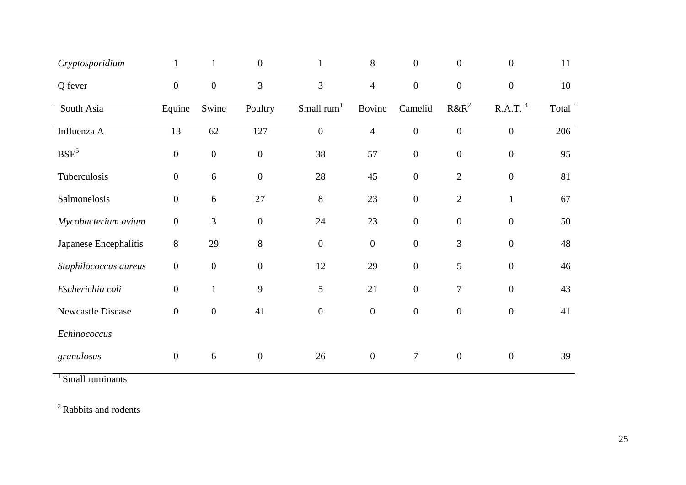| Cryptosporidium       | $\mathbf{1}$     |                  | $\overline{0}$   |                        | 8                | $\overline{0}$   | $\boldsymbol{0}$ | $\overline{0}$      | 11    |
|-----------------------|------------------|------------------|------------------|------------------------|------------------|------------------|------------------|---------------------|-------|
| Q fever               | $\boldsymbol{0}$ | $\mathbf{0}$     | 3                | 3                      | $\overline{4}$   | $\boldsymbol{0}$ | $\boldsymbol{0}$ | $\boldsymbol{0}$    | 10    |
| South Asia            | Equine           | Swine            | Poultry          | Small rum <sup>1</sup> | Bovine           | Camelid          | $R\&R^2$         | R.A.T. <sup>3</sup> | Total |
| Influenza A           | 13               | 62               | 127              | $\overline{0}$         | $\overline{4}$   | $\boldsymbol{0}$ | $\boldsymbol{0}$ | $\mathbf{0}$        | 206   |
| BSE <sup>5</sup>      | $\boldsymbol{0}$ | $\boldsymbol{0}$ | $\boldsymbol{0}$ | 38                     | 57               | $\boldsymbol{0}$ | $\boldsymbol{0}$ | $\boldsymbol{0}$    | 95    |
| Tuberculosis          | $\boldsymbol{0}$ | $6\,$            | $\boldsymbol{0}$ | $28\,$                 | 45               | $\boldsymbol{0}$ | $\mathbf{2}$     | $\boldsymbol{0}$    | 81    |
| Salmonelosis          | $\boldsymbol{0}$ | 6                | 27               | $8\,$                  | 23               | $\boldsymbol{0}$ | $\overline{2}$   | $\mathbf{1}$        | 67    |
| Mycobacterium avium   | $\boldsymbol{0}$ | 3                | $\mathbf{0}$     | 24                     | 23               | $\overline{0}$   | $\boldsymbol{0}$ | $\boldsymbol{0}$    | 50    |
| Japanese Encephalitis | 8                | 29               | 8                | $\boldsymbol{0}$       | $\overline{0}$   | $\overline{0}$   | $\mathfrak{Z}$   | $\boldsymbol{0}$    | 48    |
| Staphilococcus aureus | $\boldsymbol{0}$ | $\boldsymbol{0}$ | $\boldsymbol{0}$ | 12                     | 29               | $\boldsymbol{0}$ | 5                | $\boldsymbol{0}$    | 46    |
| Escherichia coli      | $\mathbf{0}$     | $\mathbf{1}$     | 9                | 5                      | 21               | $\overline{0}$   | $\overline{7}$   | $\overline{0}$      | 43    |
| Newcastle Disease     | $\boldsymbol{0}$ | $\boldsymbol{0}$ | 41               | $\boldsymbol{0}$       | $\boldsymbol{0}$ | $\boldsymbol{0}$ | $\boldsymbol{0}$ | $\boldsymbol{0}$    | 41    |
| Echinococcus          |                  |                  |                  |                        |                  |                  |                  |                     |       |
| granulosus            | $\boldsymbol{0}$ | 6                | $\boldsymbol{0}$ | 26                     | $\overline{0}$   | $\tau$           | $\overline{0}$   | $\boldsymbol{0}$    | 39    |

 $1$ Small ruminants

<sup>2</sup> Rabbits and rodents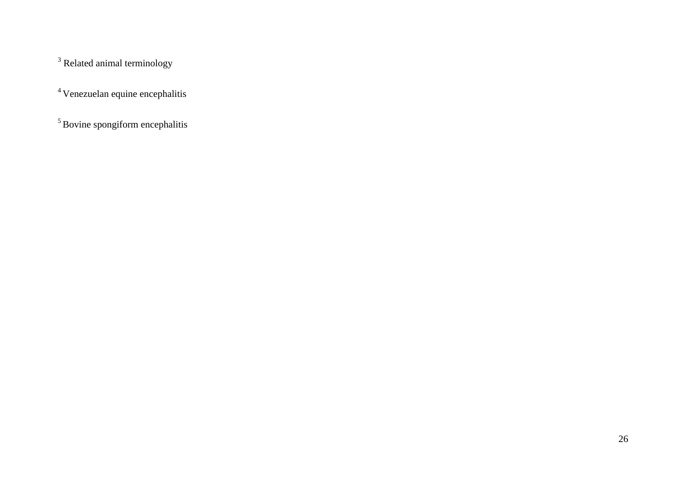<sup>3</sup> Related animal terminology

<sup>4</sup>Venezuelan equine encephalitis

<sup>5</sup> Bovine spongiform encephalitis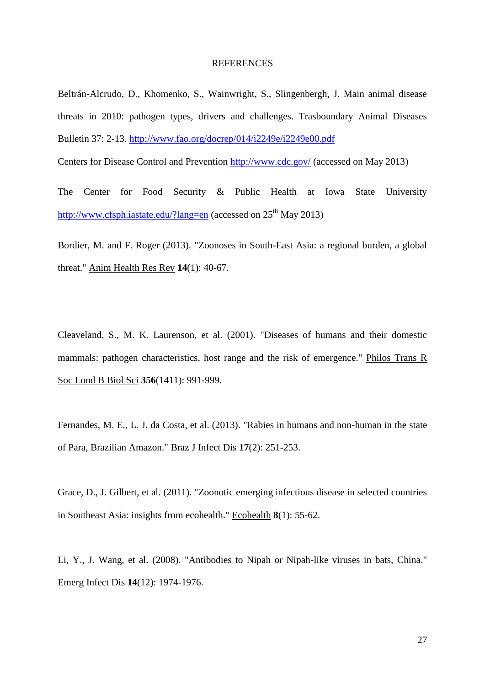#### **REFERENCES**

Beltrán-Alcrudo, D., Khomenko, S., Wainwright, S., Slingenbergh, J. Main animal disease threats in 2010: pathogen types, drivers and challenges. Trasboundary Animal Diseases Bulletin 37: 2-13.<http://www.fao.org/docrep/014/i2249e/i2249e00.pdf>

Centers for Disease Control and Prevention <http://www.cdc.gov/> (accessed on May 2013)

The Center for Food Security & Public Health at Iowa State University <http://www.cfsph.iastate.edu/?lang=en> (accessed on  $25<sup>th</sup>$  May 2013)

Bordier, M. and F. Roger (2013). "Zoonoses in South-East Asia: a regional burden, a global threat." Anim Health Res Rev **14**(1): 40-67.

Cleaveland, S., M. K. Laurenson, et al. (2001). "Diseases of humans and their domestic mammals: pathogen characteristics, host range and the risk of emergence." Philos Trans R Soc Lond B Biol Sci **356**(1411): 991-999.

Fernandes, M. E., L. J. da Costa, et al. (2013). "Rabies in humans and non-human in the state of Para, Brazilian Amazon." Braz J Infect Dis **17**(2): 251-253.

Grace, D., J. Gilbert, et al. (2011). "Zoonotic emerging infectious disease in selected countries in Southeast Asia: insights from ecohealth." Ecohealth **8**(1): 55-62.

Li, Y., J. Wang, et al. (2008). "Antibodies to Nipah or Nipah-like viruses in bats, China." Emerg Infect Dis **14**(12): 1974-1976.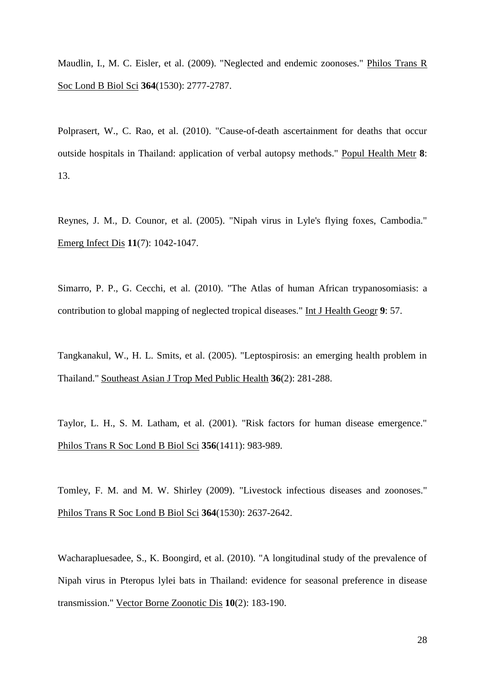Maudlin, I., M. C. Eisler, et al. (2009). "Neglected and endemic zoonoses." Philos Trans R Soc Lond B Biol Sci **364**(1530): 2777-2787.

Polprasert, W., C. Rao, et al. (2010). "Cause-of-death ascertainment for deaths that occur outside hospitals in Thailand: application of verbal autopsy methods." Popul Health Metr **8**: 13.

Reynes, J. M., D. Counor, et al. (2005). "Nipah virus in Lyle's flying foxes, Cambodia." Emerg Infect Dis **11**(7): 1042-1047.

Simarro, P. P., G. Cecchi, et al. (2010). "The Atlas of human African trypanosomiasis: a contribution to global mapping of neglected tropical diseases." Int J Health Geogr **9**: 57.

Tangkanakul, W., H. L. Smits, et al. (2005). "Leptospirosis: an emerging health problem in Thailand." Southeast Asian J Trop Med Public Health **36**(2): 281-288.

Taylor, L. H., S. M. Latham, et al. (2001). "Risk factors for human disease emergence." Philos Trans R Soc Lond B Biol Sci **356**(1411): 983-989.

Tomley, F. M. and M. W. Shirley (2009). "Livestock infectious diseases and zoonoses." Philos Trans R Soc Lond B Biol Sci **364**(1530): 2637-2642.

Wacharapluesadee, S., K. Boongird, et al. (2010). "A longitudinal study of the prevalence of Nipah virus in Pteropus lylei bats in Thailand: evidence for seasonal preference in disease transmission." Vector Borne Zoonotic Dis **10**(2): 183-190.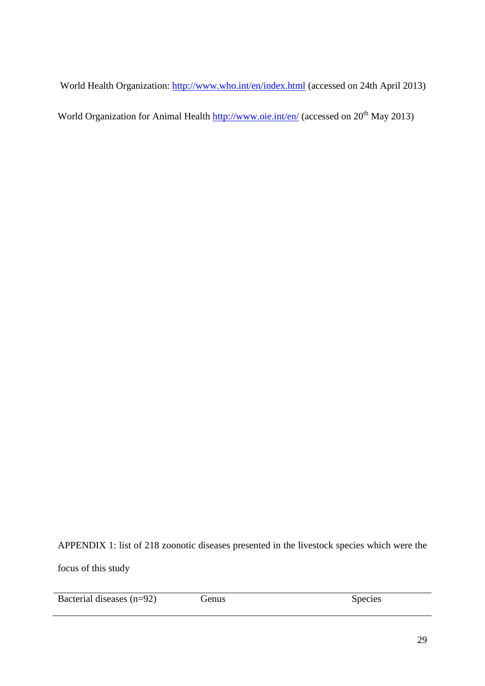World Health Organization: <http://www.who.int/en/index.html> (accessed on 24th April 2013)

World Organization for Animal Health<http://www.oie.int/en/> (accessed on 20<sup>th</sup> May 2013)

APPENDIX 1: list of 218 zoonotic diseases presented in the livestock species which were the focus of this study

| Bacterial diseases $(n=92)$ | Genus | <b>Species</b> |
|-----------------------------|-------|----------------|
|                             |       |                |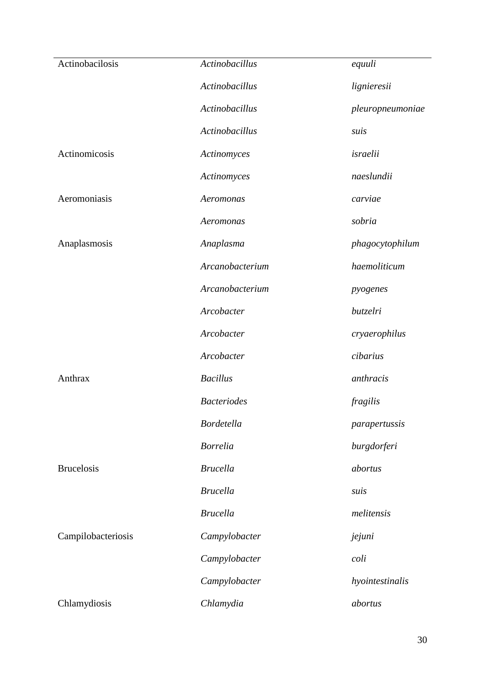| Actinobacilosis    | <b>Actinobacillus</b> | equuli           |
|--------------------|-----------------------|------------------|
|                    | Actinobacillus        | lignieresii      |
|                    | Actinobacillus        | pleuropneumoniae |
|                    | Actinobacillus        | suis             |
| Actinomicosis      | Actinomyces           | israelii         |
|                    | Actinomyces           | naeslundii       |
| Aeromoniasis       | Aeromonas             | carviae          |
|                    | Aeromonas             | sobria           |
| Anaplasmosis       | Anaplasma             | phagocytophilum  |
|                    | Arcanobacterium       | haemoliticum     |
|                    | Arcanobacterium       | pyogenes         |
|                    | Arcobacter            | butzelri         |
|                    | Arcobacter            | cryaerophilus    |
|                    | Arcobacter            | cibarius         |
| Anthrax            | <b>Bacillus</b>       | anthracis        |
|                    | <b>Bacteriodes</b>    | fragilis         |
|                    | <b>Bordetella</b>     | parapertussis    |
|                    | <b>Borrelia</b>       | burgdorferi      |
| <b>Brucelosis</b>  | <b>Brucella</b>       | abortus          |
|                    | <b>Brucella</b>       | suis             |
|                    | <b>Brucella</b>       | melitensis       |
| Campilobacteriosis | Campylobacter         | jejuni           |
|                    | Campylobacter         | coli             |
|                    | Campylobacter         | hyointestinalis  |
| Chlamydiosis       | Chlamydia             | abortus          |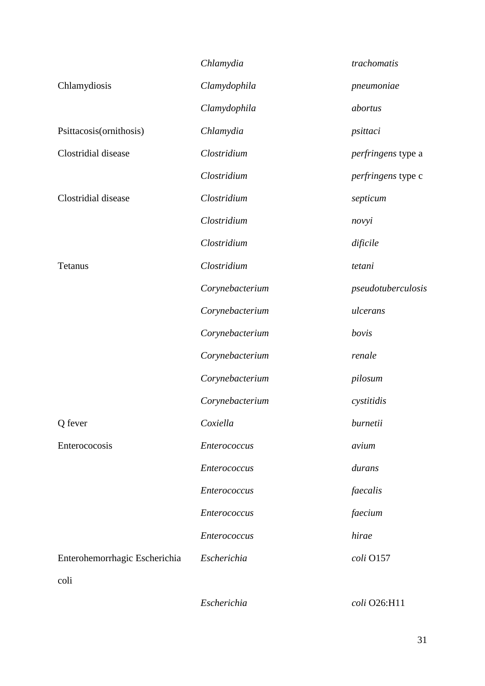|                               | Chlamydia       | trachomatis        |
|-------------------------------|-----------------|--------------------|
| Chlamydiosis                  | Clamydophila    | pneumoniae         |
|                               | Clamydophila    | abortus            |
| Psittacosis(ornithosis)       | Chlamydia       | psittaci           |
| Clostridial disease           | Clostridium     | perfringens type a |
|                               | Clostridium     | perfringens type c |
| Clostridial disease           | Clostridium     | septicum           |
|                               | Clostridium     | novyi              |
|                               | Clostridium     | dificile           |
| <b>Tetanus</b>                | Clostridium     | tetani             |
|                               | Corynebacterium | pseudotuberculosis |
|                               | Corynebacterium | ulcerans           |
|                               | Corynebacterium | bovis              |
|                               | Corynebacterium | renale             |
|                               | Corynebacterium | pilosum            |
|                               | Corynebacterium | cystitidis         |
| Q fever                       | Coxiella        | burnetii           |
| Enterococosis                 | Enterococcus    | avium              |
|                               | Enterococcus    | durans             |
|                               | Enterococcus    | faecalis           |
|                               | Enterococcus    | faecium            |
|                               | Enterococcus    | hirae              |
| Enterohemorrhagic Escherichia | Escherichia     | coli O157          |
| coli                          |                 |                    |

*Escherichia coli* O26:H11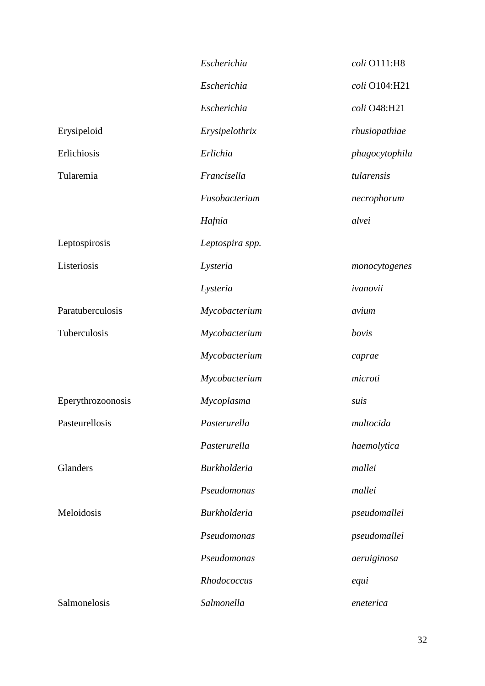|                   | Escherichia         | coli O111:H8   |
|-------------------|---------------------|----------------|
|                   | Escherichia         | coli O104:H21  |
|                   | Escherichia         | coli O48:H21   |
| Erysipeloid       | Erysipelothrix      | rhusiopathiae  |
| Erlichiosis       | Erlichia            | phagocytophila |
| Tularemia         | Francisella         | tularensis     |
|                   | Fusobacterium       | necrophorum    |
|                   | Hafnia              | alvei          |
| Leptospirosis     | Leptospira spp.     |                |
| Listeriosis       | Lysteria            | monocytogenes  |
|                   | Lysteria            | ivanovii       |
| Paratuberculosis  | Mycobacterium       | avium          |
| Tuberculosis      | Mycobacterium       | bovis          |
|                   | Mycobacterium       | caprae         |
|                   | Mycobacterium       | microti        |
| Eperythrozoonosis | Mycoplasma          | suis           |
| Pasteurellosis    | Pasterurella        | multocida      |
|                   | Pasterurella        | haemolytica    |
| Glanders          | <b>Burkholderia</b> | mallei         |
|                   | Pseudomonas         | mallei         |
| Meloidosis        | <b>Burkholderia</b> | pseudomallei   |
|                   | Pseudomonas         | pseudomallei   |
|                   | Pseudomonas         | aeruiginosa    |
|                   | Rhodococcus         | equi           |
| Salmonelosis      | Salmonella          | eneterica      |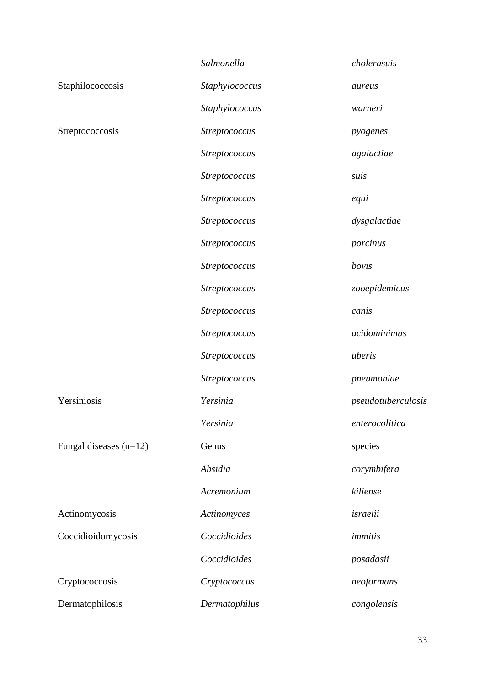|                          | Salmonella           | cholerasuis        |
|--------------------------|----------------------|--------------------|
| Staphilococcosis         | Staphylococcus       | aureus             |
|                          | Staphylococcus       | warneri            |
| Streptococcosis          | Streptococcus        | pyogenes           |
|                          | Streptococcus        | agalactiae         |
|                          | <b>Streptococcus</b> | suis               |
|                          | Streptococcus        | equi               |
|                          | Streptococcus        | dysgalactiae       |
|                          | Streptococcus        | porcinus           |
|                          | Streptococcus        | bovis              |
|                          | Streptococcus        | zooepidemicus      |
|                          | Streptococcus        | canis              |
|                          | Streptococcus        | acidominimus       |
|                          | Streptococcus        | uberis             |
|                          | Streptococcus        | pneumoniae         |
| Yersiniosis              | Yersinia             | pseudotuberculosis |
|                          | Yersinia             | enterocolitica     |
| Fungal diseases $(n=12)$ | Genus                | species            |
|                          | Absidia              | corymbifera        |
|                          | Acremonium           | kiliense           |
| Actinomycosis            | Actinomyces          | israelii           |
| Coccidioidomycosis       | Coccidioides         | immitis            |
|                          | Coccidioides         | posadasii          |
| Cryptococcosis           | Cryptococcus         | neoformans         |
| Dermatophilosis          | Dermatophilus        | congolensis        |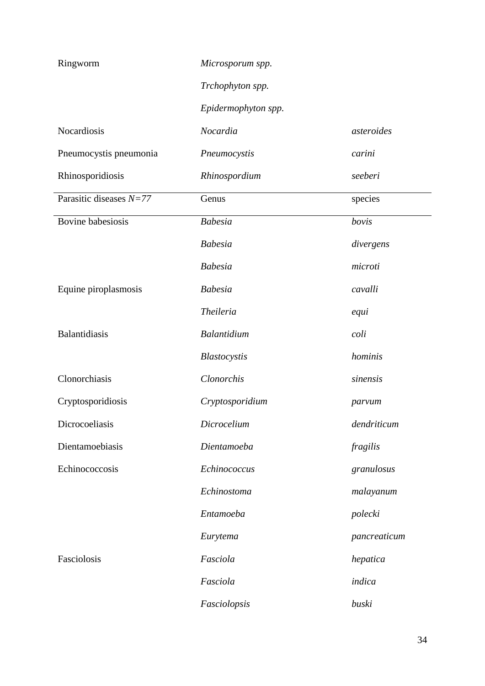| Ringworm                  | Microsporum spp.    |              |
|---------------------------|---------------------|--------------|
|                           | Trchophyton spp.    |              |
|                           | Epidermophyton spp. |              |
| Nocardiosis               | Nocardia            | asteroides   |
| Pneumocystis pneumonia    | Pneumocystis        | carini       |
| Rhinosporidiosis          | Rhinospordium       | seeberi      |
| Parasitic diseases $N=77$ | Genus               | species      |
| Bovine babesiosis         | <b>Babesia</b>      | bovis        |
|                           | <b>Babesia</b>      | divergens    |
|                           | <b>Babesia</b>      | microti      |
| Equine piroplasmosis      | <b>Babesia</b>      | cavalli      |
|                           | <b>Theileria</b>    | equi         |
| Balantidiasis             | Balantidium         | coli         |
|                           | Blastocystis        | hominis      |
| Clonorchiasis             | Clonorchis          | sinensis     |
| Cryptosporidiosis         | Cryptosporidium     | parvum       |
| Dicrocoeliasis            | Dicrocelium         | dendriticum  |
| Dientamoebiasis           | Dientamoeba         | fragilis     |
| Echinococcosis            | Echinococcus        | granulosus   |
|                           | Echinostoma         | malayanum    |
|                           | Entamoeba           | polecki      |
|                           | Eurytema            | pancreaticum |
| Fasciolosis               | Fasciola            | hepatica     |
|                           | Fasciola            | indica       |
|                           | Fasciolopsis        | buski        |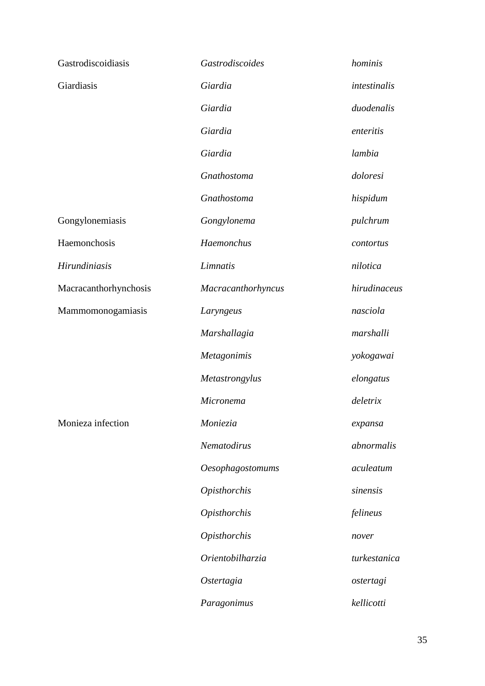| Gastrodiscoidiasis    | Gastrodiscoides         | hominis      |
|-----------------------|-------------------------|--------------|
| Giardiasis            | Giardia                 | intestinalis |
|                       | Giardia                 | duodenalis   |
|                       | Giardia                 | enteritis    |
|                       | Giardia                 | lambia       |
|                       | Gnathostoma             | doloresi     |
|                       | Gnathostoma             | hispidum     |
| Gongylonemiasis       | Gongylonema             | pulchrum     |
| Haemonchosis          | Haemonchus              | contortus    |
| Hirundiniasis         | Limnatis                | nilotica     |
| Macracanthorhynchosis | Macracanthorhyncus      | hirudinaceus |
| Mammomonogamiasis     | Laryngeus               | nasciola     |
|                       | Marshallagia            | marshalli    |
|                       | Metagonimis             | yokogawai    |
|                       | Metastrongylus          | elongatus    |
|                       | Micronema               | deletrix     |
| Monieza infection     | Moniezia                | expansa      |
|                       | Nematodirus             | abnormalis   |
|                       | <b>Oesophagostomums</b> | aculeatum    |
|                       | Opisthorchis            | sinensis     |
|                       | <b>Opisthorchis</b>     | felineus     |
|                       | <b>Opisthorchis</b>     | nover        |
|                       | Orientobilharzia        | turkestanica |
|                       | Ostertagia              | ostertagi    |
|                       | Paragonimus             | kellicotti   |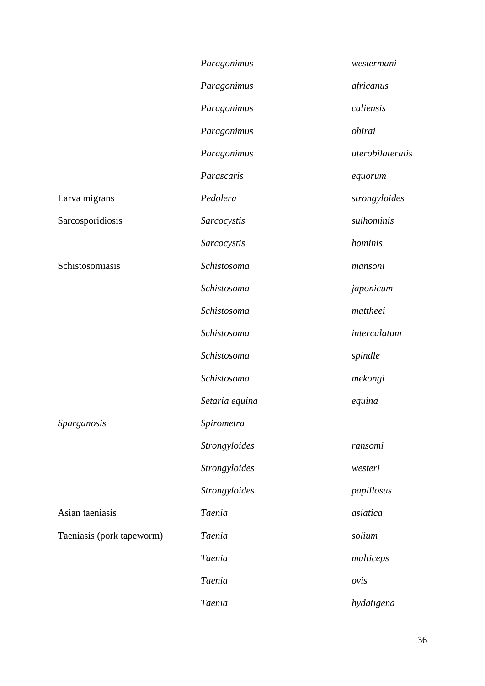|                           | Paragonimus    | westermani       |
|---------------------------|----------------|------------------|
|                           | Paragonimus    | africanus        |
|                           | Paragonimus    | caliensis        |
|                           | Paragonimus    | ohirai           |
|                           | Paragonimus    | uterobilateralis |
|                           | Parascaris     | equorum          |
| Larva migrans             | Pedolera       | strongyloides    |
| Sarcosporidiosis          | Sarcocystis    | suihominis       |
|                           | Sarcocystis    | hominis          |
| Schistosomiasis           | Schistosoma    | mansoni          |
|                           | Schistosoma    | japonicum        |
|                           | Schistosoma    | mattheei         |
|                           | Schistosoma    | intercalatum     |
|                           | Schistosoma    | spindle          |
|                           | Schistosoma    | mekongi          |
|                           | Setaria equina | equina           |
| <i>Sparganosis</i>        | Spirometra     |                  |
|                           | Strongyloides  | ransomi          |
|                           | Strongyloides  | westeri          |
|                           | Strongyloides  | papillosus       |
| Asian taeniasis           | Taenia         | asiatica         |
| Taeniasis (pork tapeworm) | <b>Taenia</b>  | solium           |
|                           | Taenia         | multiceps        |
|                           | Taenia         | ovis             |
|                           | Taenia         | hydatigena       |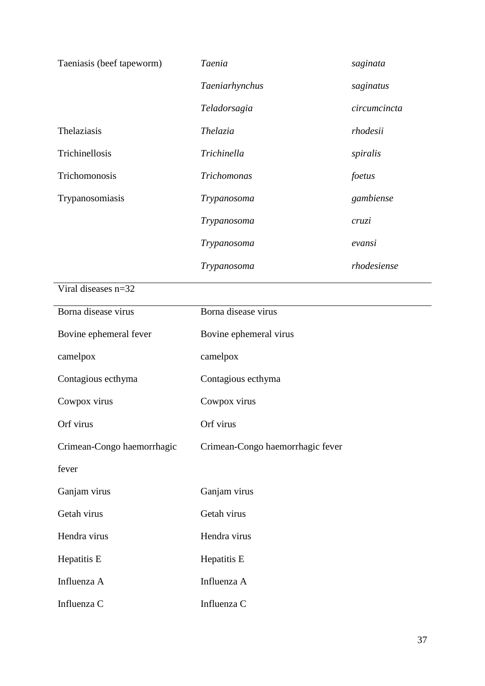| Taeniasis (beef tapeworm)  | Taenia                           | saginata     |  |
|----------------------------|----------------------------------|--------------|--|
|                            | Taeniarhynchus                   | saginatus    |  |
|                            | Teladorsagia                     | circumcincta |  |
| Thelaziasis                | Thelazia                         | rhodesii     |  |
| Trichinellosis             | Trichinella                      | spiralis     |  |
| Trichomonosis              | Trichomonas                      | foetus       |  |
| Trypanosomiasis            | Trypanosoma                      | gambiense    |  |
|                            | Trypanosoma                      | cruzi        |  |
|                            | Trypanosoma                      | evansi       |  |
|                            | Trypanosoma                      | rhodesiense  |  |
| Viral diseases n=32        |                                  |              |  |
| Borna disease virus        | Borna disease virus              |              |  |
| Bovine ephemeral fever     | Bovine ephemeral virus           |              |  |
| camelpox                   | camelpox                         |              |  |
| Contagious ecthyma         | Contagious ecthyma               |              |  |
| Cowpox virus               | Cowpox virus                     |              |  |
| Orf virus                  | Orf virus                        |              |  |
| Crimean-Congo haemorrhagic | Crimean-Congo haemorrhagic fever |              |  |
| fever                      |                                  |              |  |
| Ganjam virus               | Ganjam virus                     |              |  |
| Getah virus                | Getah virus                      |              |  |
| Hendra virus               | Hendra virus                     |              |  |
| Hepatitis E                | Hepatitis E                      |              |  |
| Influenza A                | Influenza A                      |              |  |
| Influenza C                | Influenza C                      |              |  |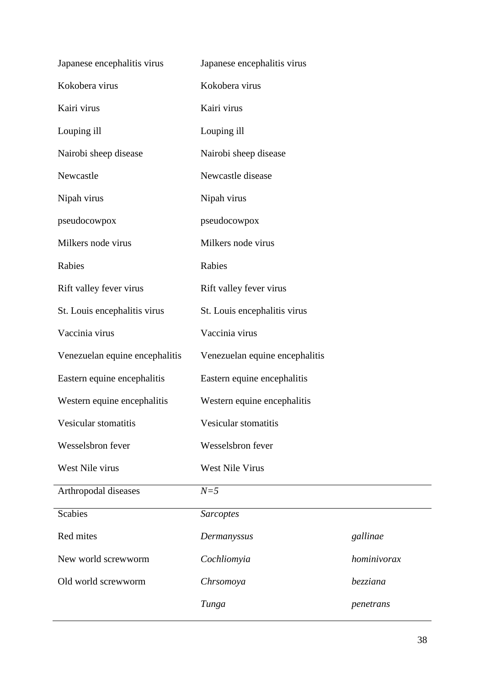| Japanese encephalitis virus    | Japanese encephalitis virus    |             |  |
|--------------------------------|--------------------------------|-------------|--|
| Kokobera virus                 | Kokobera virus                 |             |  |
| Kairi virus                    | Kairi virus                    |             |  |
| Louping ill                    | Louping ill                    |             |  |
| Nairobi sheep disease          | Nairobi sheep disease          |             |  |
| Newcastle                      | Newcastle disease              |             |  |
| Nipah virus                    | Nipah virus                    |             |  |
| pseudocowpox                   | pseudocowpox                   |             |  |
| Milkers node virus             | Milkers node virus             |             |  |
| Rabies                         | Rabies                         |             |  |
| Rift valley fever virus        | Rift valley fever virus        |             |  |
| St. Louis encephalitis virus   | St. Louis encephalitis virus   |             |  |
| Vaccinia virus                 | Vaccinia virus                 |             |  |
| Venezuelan equine encephalitis | Venezuelan equine encephalitis |             |  |
| Eastern equine encephalitis    | Eastern equine encephalitis    |             |  |
| Western equine encephalitis    | Western equine encephalitis    |             |  |
| Vesicular stomatitis           | Vesicular stomatitis           |             |  |
| Wesselsbron fever              | Wesselsbron fever              |             |  |
| West Nile virus                | <b>West Nile Virus</b>         |             |  |
| Arthropodal diseases           | $N=5$                          |             |  |
| <b>Scabies</b>                 | <b>Sarcoptes</b>               |             |  |
| Red mites                      | Dermanyssus                    | gallinae    |  |
| New world screwworm            | Cochliomyia                    | hominivorax |  |
| Old world screwworm            | Chrsomoya                      | bezziana    |  |
|                                | Tunga                          | penetrans   |  |
|                                |                                |             |  |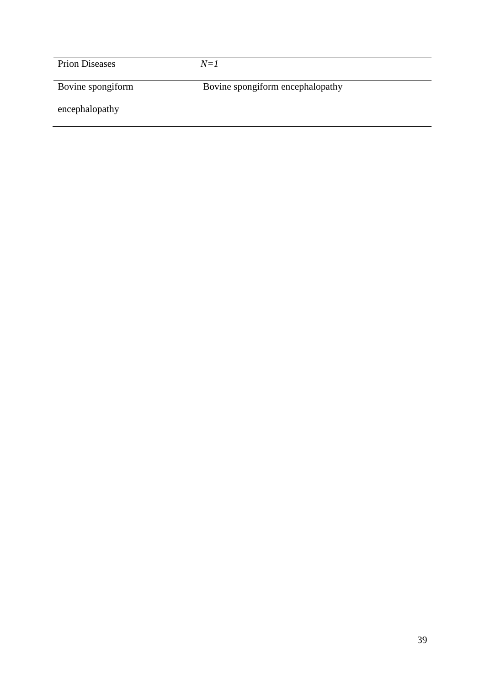| <b>Prion Diseases</b> | $N = I$                          |  |
|-----------------------|----------------------------------|--|
| Bovine spongiform     | Bovine spongiform encephalopathy |  |
| encephalopathy        |                                  |  |
|                       |                                  |  |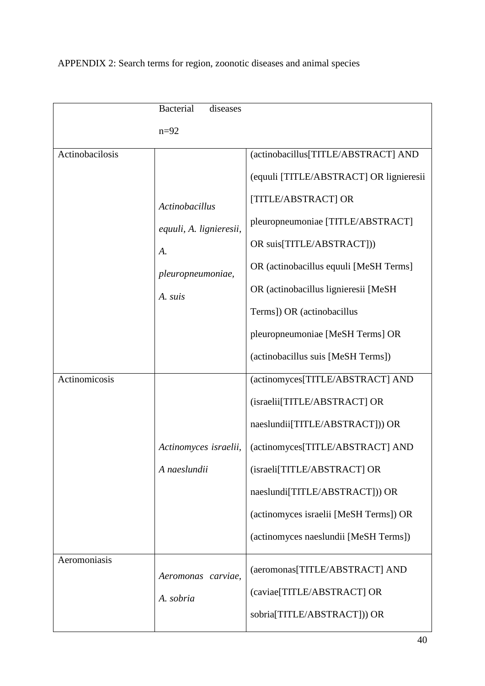|                 | <b>Bacterial</b><br>diseases    |                                                              |
|-----------------|---------------------------------|--------------------------------------------------------------|
|                 | $n=92$                          |                                                              |
| Actinobacilosis |                                 | (actinobacillus[TITLE/ABSTRACT] AND                          |
|                 |                                 | (equuli [TITLE/ABSTRACT] OR lignieresii                      |
|                 | <b>Actinobacillus</b>           | [TITLE/ABSTRACT] OR                                          |
|                 | equuli, A. lignieresii,         | pleuropneumoniae [TITLE/ABSTRACT]                            |
|                 | A.                              | OR suis[TITLE/ABSTRACT]))                                    |
|                 | pleuropneumoniae,               | OR (actinobacillus equuli [MeSH Terms]                       |
|                 | A. suis                         | OR (actinobacillus lignieresii [MeSH]                        |
|                 |                                 | Terms]) OR (actinobacillus                                   |
|                 |                                 | pleuropneumoniae [MeSH Terms] OR                             |
|                 |                                 | (actinobacillus suis [MeSH Terms])                           |
| Actinomicosis   |                                 | (actinomyces[TITLE/ABSTRACT] AND                             |
|                 |                                 | (israelii[TITLE/ABSTRACT] OR                                 |
|                 |                                 | naeslundii[TITLE/ABSTRACT])) OR                              |
|                 | Actinomyces israelii,           | (actinomyces[TITLE/ABSTRACT] AND                             |
|                 | A naeslundii                    | (israeli[TITLE/ABSTRACT] OR                                  |
|                 |                                 | naeslundi[TITLE/ABSTRACT])) OR                               |
|                 |                                 | (actinomyces israelii [MeSH Terms]) OR                       |
|                 |                                 | (actinomyces naeslundii [MeSH Terms])                        |
| Aeromoniasis    | Aeromonas carviae,<br>A. sobria | (aeromonas[TITLE/ABSTRACT] AND<br>(caviae[TITLE/ABSTRACT] OR |
|                 |                                 | sobria[TITLE/ABSTRACT])) OR                                  |

## APPENDIX 2: Search terms for region, zoonotic diseases and animal species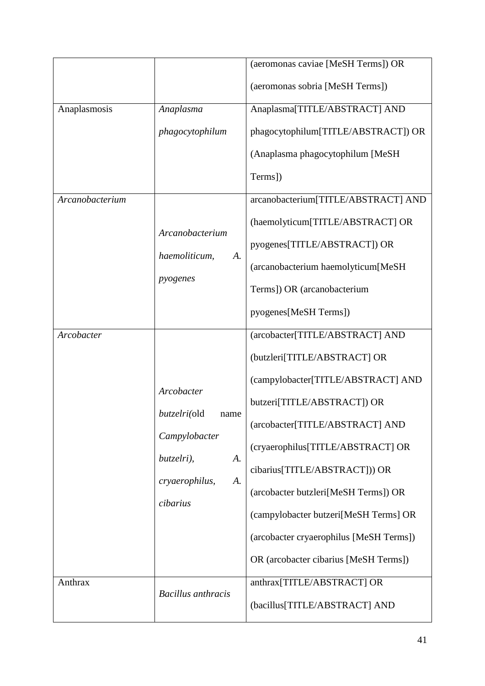|                 |                                                             | (aeromonas caviae [MeSH Terms]) OR<br>(aeromonas sobria [MeSH Terms]) |
|-----------------|-------------------------------------------------------------|-----------------------------------------------------------------------|
|                 |                                                             |                                                                       |
| Anaplasmosis    | Anaplasma                                                   | Anaplasma[TITLE/ABSTRACT] AND                                         |
|                 | phagocytophilum                                             | phagocytophilum[TITLE/ABSTRACT]) OR                                   |
|                 |                                                             | (Anaplasma phagocytophilum [MeSH]                                     |
|                 |                                                             | Terms])                                                               |
| Arcanobacterium |                                                             | arcanobacterium[TITLE/ABSTRACT] AND                                   |
|                 | Arcanobacterium                                             | (haemolyticum[TITLE/ABSTRACT] OR                                      |
|                 | haemoliticum,<br>A.                                         | pyogenes[TITLE/ABSTRACT]) OR                                          |
|                 | pyogenes                                                    | (arcanobacterium haemolyticum[MeSH                                    |
|                 |                                                             | Terms]) OR (arcanobacterium                                           |
|                 |                                                             | pyogenes[MeSH Terms])                                                 |
| Arcobacter      |                                                             | (arcobacter[TITLE/ABSTRACT] AND                                       |
|                 |                                                             | (butzleri[TITLE/ABSTRACT] OR                                          |
|                 | Arcobacter<br><i>butzelri</i> (old<br>name<br>Campylobacter | (campylobacter[TITLE/ABSTRACT] AND                                    |
|                 |                                                             | butzeri[TITLE/ABSTRACT]) OR                                           |
|                 |                                                             | (arcobacter[TITLE/ABSTRACT] AND                                       |
|                 | butzelri),<br>А.                                            | (cryaerophilus[TITLE/ABSTRACT] OR                                     |
|                 | А.                                                          | cibarius[TITLE/ABSTRACT])) OR                                         |
|                 | cryaerophilus,<br>cibarius                                  | (arcobacter butzleri[MeSH Terms]) OR                                  |
|                 |                                                             | (campylobacter butzeri[MeSH Terms] OR                                 |
|                 |                                                             | (arcobacter cryaerophilus [MeSH Terms])                               |
|                 | OR (arcobacter cibarius [MeSH Terms])                       |                                                                       |
| Anthrax         |                                                             | anthrax[TITLE/ABSTRACT] OR                                            |
|                 | <b>Bacillus</b> anthracis                                   | (bacillus[TITLE/ABSTRACT] AND                                         |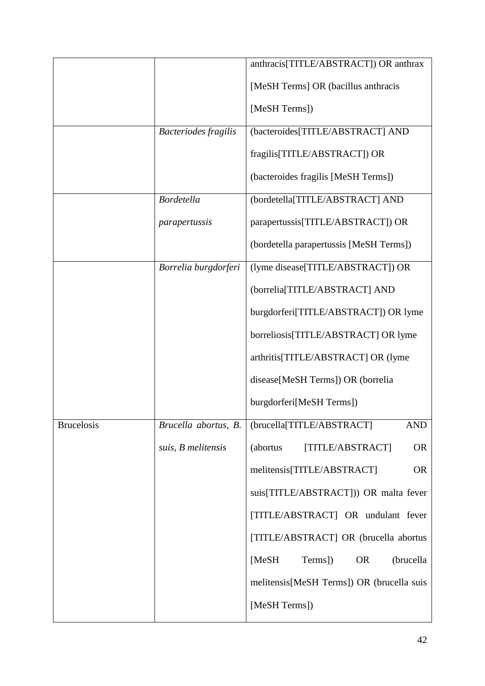|                   |                             | anthracis[TITLE/ABSTRACT]) OR anthrax      |
|-------------------|-----------------------------|--------------------------------------------|
|                   |                             | [MeSH Terms] OR (bacillus anthracis        |
|                   |                             |                                            |
|                   |                             | [MeSH Terms])                              |
|                   | <b>Bacteriodes fragilis</b> | (bacteroides[TITLE/ABSTRACT] AND           |
|                   |                             | fragilis[TITLE/ABSTRACT]) OR               |
|                   |                             | (bacteroides fragilis [MeSH Terms])        |
|                   | <b>Bordetella</b>           | (bordetella[TITLE/ABSTRACT] AND            |
|                   | parapertussis               | parapertussis[TITLE/ABSTRACT]) OR          |
|                   |                             | (bordetella parapertussis [MeSH Terms])    |
|                   | Borrelia burgdorferi        | (lyme disease[TITLE/ABSTRACT]) OR          |
|                   |                             | (borrelia[TITLE/ABSTRACT] AND              |
|                   |                             | burgdorferi[TITLE/ABSTRACT]) OR lyme       |
|                   |                             | borreliosis[TITLE/ABSTRACT] OR lyme        |
|                   |                             | arthritis[TITLE/ABSTRACT] OR (lyme         |
|                   |                             | disease[MeSH Terms]) OR (borrelia          |
|                   |                             | burgdorferi[MeSH Terms])                   |
| <b>Brucelosis</b> | Brucella abortus, B.        | (brucella[TITLE/ABSTRACT]<br><b>AND</b>    |
|                   | suis, B melitensis          | [TITLE/ABSTRACT]<br><b>OR</b><br>(abortus  |
|                   |                             | melitensis[TITLE/ABSTRACT]<br><b>OR</b>    |
|                   |                             | suis[TITLE/ABSTRACT])) OR malta fever      |
|                   |                             | [TITLE/ABSTRACT] OR undulant fever         |
|                   |                             | [TITLE/ABSTRACT] OR (brucella abortus      |
|                   |                             | Terms])<br><b>OR</b><br>(brucella<br>[MeSH |
|                   |                             | melitensis[MeSH Terms]) OR (brucella suis  |
|                   |                             | [MeSH Terms])                              |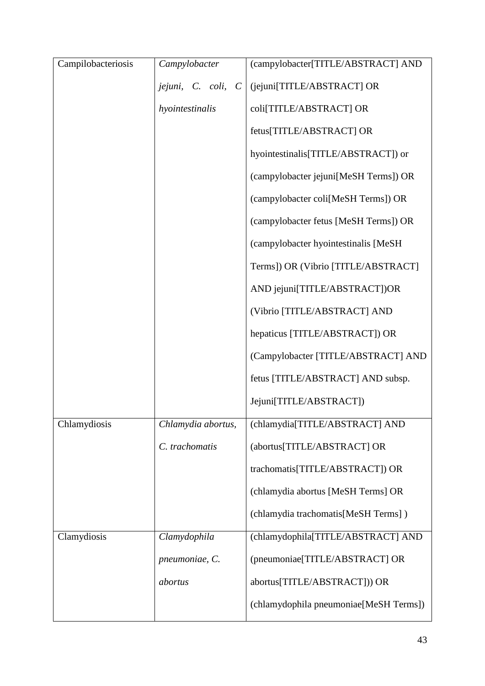| Campilobacteriosis | Campylobacter                                | (campylobacter[TITLE/ABSTRACT] AND     |
|--------------------|----------------------------------------------|----------------------------------------|
|                    | jejuni,<br>C. coli,<br>$\mathcal{C}_{0}^{0}$ | (jejuni[TITLE/ABSTRACT] OR             |
|                    | hyointestinalis                              | coli[TITLE/ABSTRACT] OR                |
|                    |                                              | fetus[TITLE/ABSTRACT] OR               |
|                    |                                              | hyointestinalis[TITLE/ABSTRACT]) or    |
|                    |                                              | (campylobacter jejuni[MeSH Terms]) OR  |
|                    |                                              | (campylobacter coli[MeSH Terms]) OR    |
|                    |                                              | (campylobacter fetus [MeSH Terms]) OR  |
|                    |                                              | (campylobacter hyointestinalis [MeSH   |
|                    |                                              | Terms]) OR (Vibrio [TITLE/ABSTRACT]    |
|                    |                                              | AND jejuni[TITLE/ABSTRACT])OR          |
|                    |                                              | (Vibrio [TITLE/ABSTRACT] AND           |
|                    |                                              | hepaticus [TITLE/ABSTRACT]) OR         |
|                    |                                              | (Campylobacter [TITLE/ABSTRACT] AND    |
|                    |                                              | fetus [TITLE/ABSTRACT] AND subsp.      |
|                    |                                              | Jejuni[TITLE/ABSTRACT])                |
| Chlamydiosis       | Chlamydia abortus,                           | (chlamydia[TITLE/ABSTRACT] AND         |
|                    | C. trachomatis                               | (abortus[TITLE/ABSTRACT] OR            |
|                    |                                              | trachomatis[TITLE/ABSTRACT]) OR        |
|                    |                                              | (chlamydia abortus [MeSH Terms] OR     |
|                    |                                              | (chlamydia trachomatis[MeSH Terms])    |
| Clamydiosis        | Clamydophila                                 | (chlamydophila[TITLE/ABSTRACT] AND     |
|                    | pneumoniae, C.                               | (pneumoniae[TITLE/ABSTRACT] OR         |
|                    | abortus                                      | abortus[TITLE/ABSTRACT])) OR           |
|                    |                                              | (chlamydophila pneumoniae[MeSH Terms]) |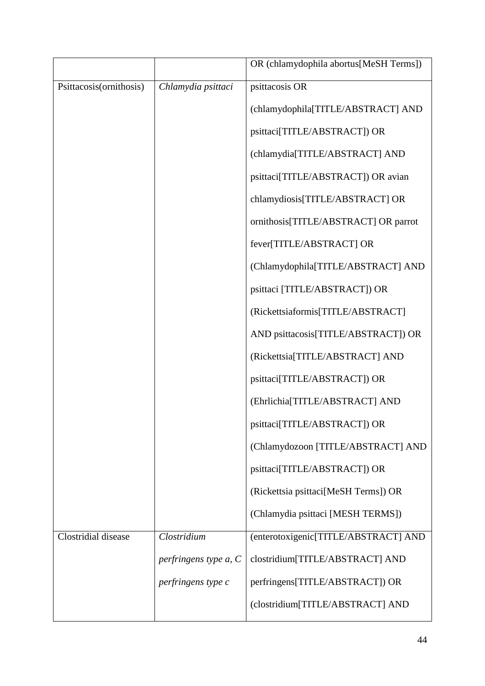|                         |                       | OR (chlamydophila abortus[MeSH Terms]) |
|-------------------------|-----------------------|----------------------------------------|
| Psittacosis(ornithosis) | Chlamydia psittaci    | psittacosis OR                         |
|                         |                       | (chlamydophila[TITLE/ABSTRACT] AND     |
|                         |                       | psittaci[TITLE/ABSTRACT]) OR           |
|                         |                       | (chlamydia[TITLE/ABSTRACT] AND         |
|                         |                       | psittaci[TITLE/ABSTRACT]) OR avian     |
|                         |                       | chlamydiosis[TITLE/ABSTRACT] OR        |
|                         |                       | ornithosis[TITLE/ABSTRACT] OR parrot   |
|                         |                       | fever[TITLE/ABSTRACT] OR               |
|                         |                       | (Chlamydophila[TITLE/ABSTRACT] AND     |
|                         |                       | psittaci [TITLE/ABSTRACT]) OR          |
|                         |                       | (Rickettsiaformis[TITLE/ABSTRACT]      |
|                         |                       | AND psittacosis[TITLE/ABSTRACT]) OR    |
|                         |                       | (Rickettsia[TITLE/ABSTRACT] AND        |
|                         |                       | psittaci[TITLE/ABSTRACT]) OR           |
|                         |                       | (Ehrlichia[TITLE/ABSTRACT] AND         |
|                         |                       | psittaci[TITLE/ABSTRACT]) OR           |
|                         |                       | (Chlamydozoon [TITLE/ABSTRACT] AND     |
|                         |                       | psittaci[TITLE/ABSTRACT]) OR           |
|                         |                       | (Rickettsia psittaci[MeSH Terms]) OR   |
|                         |                       | (Chlamydia psittaci [MESH TERMS])      |
| Clostridial disease     | Clostridium           | (enterotoxigenic[TITLE/ABSTRACT] AND   |
|                         | perfringens type a, C | clostridium[TITLE/ABSTRACT] AND        |
|                         | perfringens type c    | perfringens[TITLE/ABSTRACT]) OR        |
|                         |                       | (clostridium[TITLE/ABSTRACT] AND       |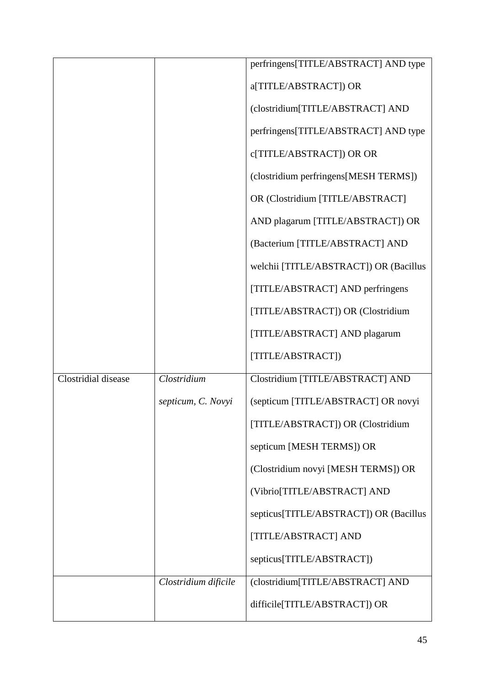|                     |                      | perfringens[TITLE/ABSTRACT] AND type   |
|---------------------|----------------------|----------------------------------------|
|                     |                      | a[TITLE/ABSTRACT]) OR                  |
|                     |                      |                                        |
|                     |                      | (clostridium[TITLE/ABSTRACT] AND       |
|                     |                      | perfringens[TITLE/ABSTRACT] AND type   |
|                     |                      | c[TITLE/ABSTRACT]) OR OR               |
|                     |                      | (clostridium perfringens[MESH TERMS])  |
|                     |                      | OR (Clostridium [TITLE/ABSTRACT]       |
|                     |                      | AND plagarum [TITLE/ABSTRACT]) OR      |
|                     |                      | (Bacterium [TITLE/ABSTRACT] AND        |
|                     |                      | welchii [TITLE/ABSTRACT]) OR (Bacillus |
|                     |                      | [TITLE/ABSTRACT] AND perfringens       |
|                     |                      | [TITLE/ABSTRACT]) OR (Clostridium      |
|                     |                      | [TITLE/ABSTRACT] AND plagarum          |
|                     |                      | [TITLE/ABSTRACT])                      |
| Clostridial disease | Clostridium          | Clostridium [TITLE/ABSTRACT] AND       |
|                     | septicum, C. Novyi   | (septicum [TITLE/ABSTRACT] OR novyi    |
|                     |                      | [TITLE/ABSTRACT]) OR (Clostridium      |
|                     |                      | septicum [MESH TERMS]) OR              |
|                     |                      | (Clostridium novyi [MESH TERMS]) OR    |
|                     |                      | (Vibrio[TITLE/ABSTRACT] AND            |
|                     |                      | septicus[TITLE/ABSTRACT]) OR (Bacillus |
|                     |                      | [TITLE/ABSTRACT] AND                   |
|                     |                      | septicus[TITLE/ABSTRACT])              |
|                     | Clostridium dificile | (clostridium[TITLE/ABSTRACT] AND       |
|                     |                      | difficile[TITLE/ABSTRACT]) OR          |
|                     |                      |                                        |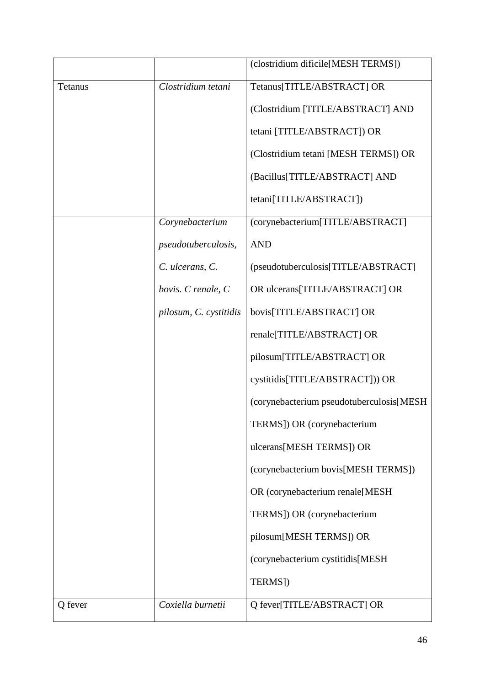|         |                            | (clostridium dificile[MESH TERMS])       |
|---------|----------------------------|------------------------------------------|
| Tetanus | Clostridium tetani         | Tetanus[TITLE/ABSTRACT] OR               |
|         |                            | (Clostridium [TITLE/ABSTRACT] AND        |
|         |                            | tetani [TITLE/ABSTRACT]) OR              |
|         |                            | (Clostridium tetani [MESH TERMS]) OR     |
|         |                            | (Bacillus[TITLE/ABSTRACT] AND            |
|         |                            | tetani[TITLE/ABSTRACT])                  |
|         | Corynebacterium            | (corynebacterium[TITLE/ABSTRACT]         |
|         | <i>pseudotuberculosis,</i> | <b>AND</b>                               |
|         | C. ulcerans, C.            | (pseudotuberculosis[TITLE/ABSTRACT]      |
|         | bovis. C renale, C         | OR ulcerans[TITLE/ABSTRACT] OR           |
|         | pilosum, C. cystitidis     | bovis[TITLE/ABSTRACT] OR                 |
|         |                            | renale[TITLE/ABSTRACT] OR                |
|         |                            | pilosum[TITLE/ABSTRACT] OR               |
|         |                            | cystitidis[TITLE/ABSTRACT])) OR          |
|         |                            | (corynebacterium pseudotuberculosis[MESH |
|         |                            | TERMS]) OR (corynebacterium              |
|         |                            | ulcerans[MESH TERMS]) OR                 |
|         |                            | (corynebacterium bovis[MESH TERMS])      |
|         |                            | OR (corynebacterium renale[MESH          |
|         |                            | TERMS]) OR (corynebacterium              |
|         |                            | pilosum[MESH TERMS]) OR                  |
|         |                            | (corynebacterium cystitidis[MESH         |
|         |                            | TERMS])                                  |
| Q fever | Coxiella burnetii          | Q fever[TITLE/ABSTRACT] OR               |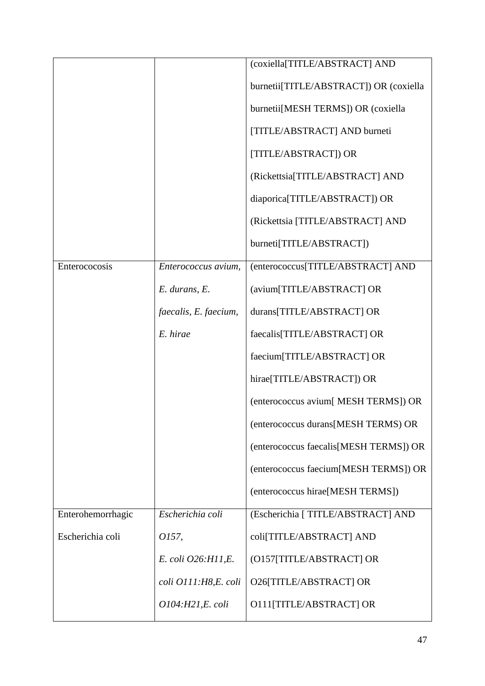|                   |                       | (coxiella[TITLE/ABSTRACT] AND          |
|-------------------|-----------------------|----------------------------------------|
|                   |                       | burnetii[TITLE/ABSTRACT]) OR (coxiella |
|                   |                       | burnetii[MESH TERMS]) OR (coxiella     |
|                   |                       | [TITLE/ABSTRACT] AND burneti           |
|                   |                       | [TITLE/ABSTRACT]) OR                   |
|                   |                       | (Rickettsia[TITLE/ABSTRACT] AND        |
|                   |                       | diaporica[TITLE/ABSTRACT]) OR          |
|                   |                       | (Rickettsia [TITLE/ABSTRACT] AND       |
|                   |                       | burneti[TITLE/ABSTRACT])               |
| Enterococosis     | Enterococcus avium,   | (enterococcus[TITLE/ABSTRACT] AND      |
|                   | E. durans, E.         | (avium[TITLE/ABSTRACT] OR              |
|                   | faecalis, E. faecium, | durans[TITLE/ABSTRACT] OR              |
|                   | E. hirae              | faecalis[TITLE/ABSTRACT] OR            |
|                   |                       | faecium[TITLE/ABSTRACT] OR             |
|                   |                       | hirae[TITLE/ABSTRACT]) OR              |
|                   |                       | (enterococcus avium[MESH TERMS]) OR    |
|                   |                       | (enterococcus durans[MESH TERMS) OR    |
|                   |                       | (enterococcus faecalis[MESH TERMS]) OR |
|                   |                       | (enterococcus faecium[MESH TERMS]) OR  |
|                   |                       | (enterococcus hirae[MESH TERMS])       |
| Enterohemorrhagic | Escherichia coli      | (Escherichia [ TITLE/ABSTRACT] AND     |
| Escherichia coli  | 0157,                 | coli[TITLE/ABSTRACT] AND               |
|                   | E. coli O26:H11,E.    | (O157[TITLE/ABSTRACT] OR               |
|                   | coli O111:H8,E. coli  | O26[TITLE/ABSTRACT] OR                 |
|                   | 0104:H21,E. coli      | O111[TITLE/ABSTRACT] OR                |
|                   |                       |                                        |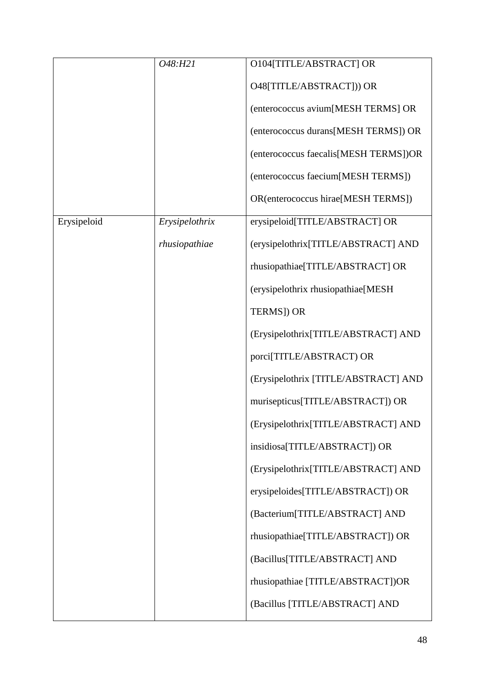|             | O48:H21        | O104[TITLE/ABSTRACT] OR               |
|-------------|----------------|---------------------------------------|
|             |                | O48[TITLE/ABSTRACT])) OR              |
|             |                | (enterococcus avium[MESH TERMS] OR    |
|             |                | (enterococcus durans[MESH TERMS]) OR  |
|             |                | (enterococcus faecalis[MESH TERMS])OR |
|             |                | (enterococcus faecium[MESH TERMS])    |
|             |                | OR(enterococcus hirae[MESH TERMS])    |
| Erysipeloid | Erysipelothrix | erysipeloid[TITLE/ABSTRACT] OR        |
|             | rhusiopathiae  | (erysipelothrix[TITLE/ABSTRACT] AND   |
|             |                | rhusiopathiae[TITLE/ABSTRACT] OR      |
|             |                | (erysipelothrix rhusiopathiae[MESH    |
|             |                | TERMS]) OR                            |
|             |                | (Erysipelothrix[TITLE/ABSTRACT] AND   |
|             |                | porci[TITLE/ABSTRACT) OR              |
|             |                | (Erysipelothrix [TITLE/ABSTRACT] AND  |
|             |                | murisepticus[TITLE/ABSTRACT]) OR      |
|             |                | (Erysipelothrix[TITLE/ABSTRACT] AND   |
|             |                | insidiosa[TITLE/ABSTRACT]) OR         |
|             |                | (Erysipelothrix[TITLE/ABSTRACT] AND   |
|             |                | erysipeloides[TITLE/ABSTRACT]) OR     |
|             |                | (Bacterium[TITLE/ABSTRACT] AND        |
|             |                | rhusiopathiae[TITLE/ABSTRACT]) OR     |
|             |                | (Bacillus[TITLE/ABSTRACT] AND         |
|             |                | rhusiopathiae [TITLE/ABSTRACT])OR     |
|             |                | (Bacillus [TITLE/ABSTRACT] AND        |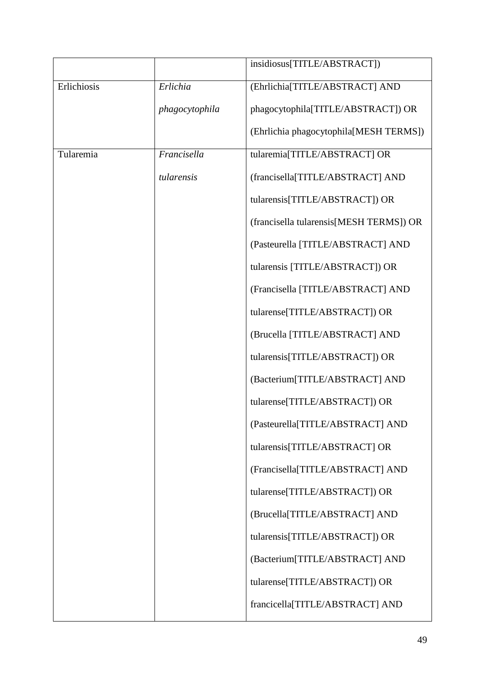|             |                | insidiosus[TITLE/ABSTRACT])             |
|-------------|----------------|-----------------------------------------|
| Erlichiosis | Erlichia       | (Ehrlichia[TITLE/ABSTRACT] AND          |
|             | phagocytophila | phagocytophila[TITLE/ABSTRACT]) OR      |
|             |                | (Ehrlichia phagocytophila[MESH TERMS])  |
| Tularemia   | Francisella    | tularemia[TITLE/ABSTRACT] OR            |
|             | tularensis     | (francisella[TITLE/ABSTRACT] AND        |
|             |                | tularensis[TITLE/ABSTRACT]) OR          |
|             |                | (francisella tularensis[MESH TERMS]) OR |
|             |                | (Pasteurella [TITLE/ABSTRACT] AND       |
|             |                | tularensis [TITLE/ABSTRACT]) OR         |
|             |                | (Francisella [TITLE/ABSTRACT] AND       |
|             |                | tularense[TITLE/ABSTRACT]) OR           |
|             |                | (Brucella [TITLE/ABSTRACT] AND          |
|             |                | tularensis[TITLE/ABSTRACT]) OR          |
|             |                | (Bacterium[TITLE/ABSTRACT] AND          |
|             |                | tularense[TITLE/ABSTRACT]) OR           |
|             |                | (Pasteurella[TITLE/ABSTRACT] AND        |
|             |                | tularensis[TITLE/ABSTRACT] OR           |
|             |                | (Francisella[TITLE/ABSTRACT] AND        |
|             |                | tularense[TITLE/ABSTRACT]) OR           |
|             |                | (Brucella[TITLE/ABSTRACT] AND           |
|             |                | tularensis[TITLE/ABSTRACT]) OR          |
|             |                | (Bacterium[TITLE/ABSTRACT] AND          |
|             |                | tularense[TITLE/ABSTRACT]) OR           |
|             |                | francicella[TITLE/ABSTRACT] AND         |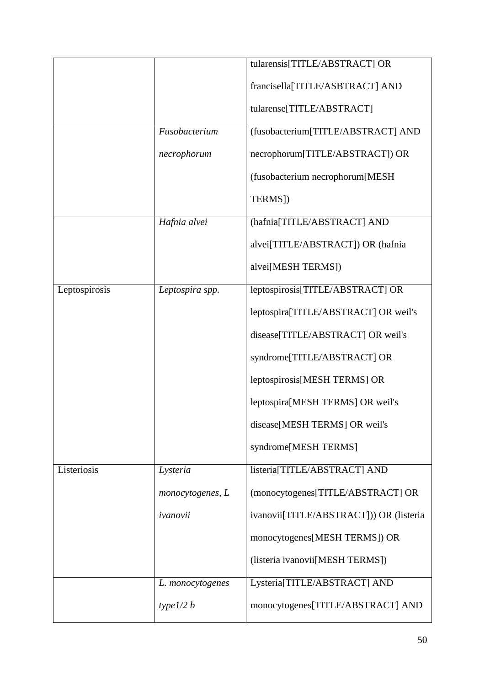|               |                  | tularensis[TITLE/ABSTRACT] OR           |
|---------------|------------------|-----------------------------------------|
|               |                  | francisella[TITLE/ASBTRACT] AND         |
|               |                  |                                         |
|               |                  | tularense[TITLE/ABSTRACT]               |
|               | Fusobacterium    | (fusobacterium[TITLE/ABSTRACT] AND      |
|               | necrophorum      | necrophorum[TITLE/ABSTRACT]) OR         |
|               |                  | (fusobacterium necrophorum[MESH         |
|               |                  | TERMS])                                 |
|               | Hafnia alvei     | (hafnia[TITLE/ABSTRACT] AND             |
|               |                  | alvei[TITLE/ABSTRACT]) OR (hafnia       |
|               |                  | alvei[MESH TERMS])                      |
| Leptospirosis | Leptospira spp.  | leptospirosis[TITLE/ABSTRACT] OR        |
|               |                  | leptospira[TITLE/ABSTRACT] OR weil's    |
|               |                  | disease[TITLE/ABSTRACT] OR weil's       |
|               |                  | syndrome[TITLE/ABSTRACT] OR             |
|               |                  | leptospirosis[MESH TERMS] OR            |
|               |                  | leptospira[MESH TERMS] OR weil's        |
|               |                  | disease[MESH TERMS] OR weil's           |
|               |                  | syndrome[MESH TERMS]                    |
| Listeriosis   | Lysteria         | listeria[TITLE/ABSTRACT] AND            |
|               | monocytogenes, L | (monocytogenes[TITLE/ABSTRACT] OR       |
|               | ivanovii         | ivanovii[TITLE/ABSTRACT])) OR (listeria |
|               |                  | monocytogenes[MESH TERMS]) OR           |
|               |                  | (listeria ivanovii[MESH TERMS])         |
|               | L. monocytogenes | Lysteria[TITLE/ABSTRACT] AND            |
|               | type $1/2 b$     | monocytogenes[TITLE/ABSTRACT] AND       |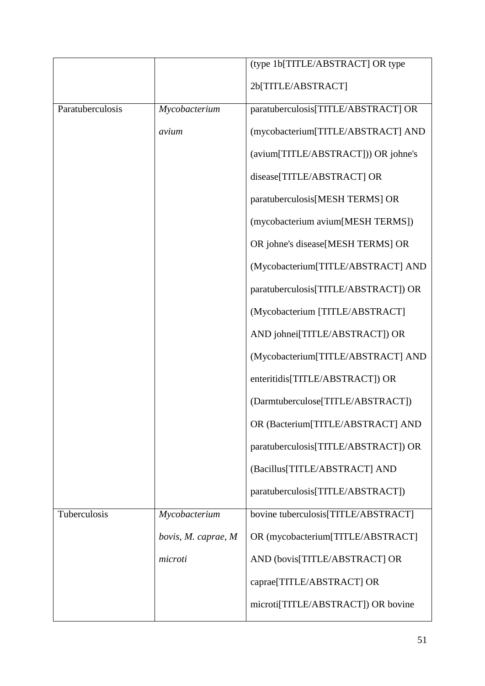|                  |                     | (type 1b[TITLE/ABSTRACT] OR type     |
|------------------|---------------------|--------------------------------------|
|                  |                     | 2b[TITLE/ABSTRACT]                   |
| Paratuberculosis | Mycobacterium       | paratuberculosis[TITLE/ABSTRACT] OR  |
|                  | avium               | (mycobacterium[TITLE/ABSTRACT] AND   |
|                  |                     | (avium[TITLE/ABSTRACT])) OR johne's  |
|                  |                     | disease[TITLE/ABSTRACT] OR           |
|                  |                     | paratuberculosis[MESH TERMS] OR      |
|                  |                     | (mycobacterium avium[MESH TERMS])    |
|                  |                     | OR johne's disease[MESH TERMS] OR    |
|                  |                     | (Mycobacterium[TITLE/ABSTRACT] AND   |
|                  |                     | paratuberculosis[TITLE/ABSTRACT]) OR |
|                  |                     | (Mycobacterium [TITLE/ABSTRACT]      |
|                  |                     | AND johnei[TITLE/ABSTRACT]) OR       |
|                  |                     | (Mycobacterium[TITLE/ABSTRACT] AND   |
|                  |                     | enteritidis[TITLE/ABSTRACT]) OR      |
|                  |                     | (Darmtuberculose[TITLE/ABSTRACT])    |
|                  |                     | OR (Bacterium[TITLE/ABSTRACT] AND    |
|                  |                     | paratuberculosis[TITLE/ABSTRACT]) OR |
|                  |                     | (Bacillus[TITLE/ABSTRACT] AND        |
|                  |                     | paratuberculosis[TITLE/ABSTRACT])    |
| Tuberculosis     | Mycobacterium       | bovine tuberculosis[TITLE/ABSTRACT]  |
|                  | bovis, M. caprae, M | OR (mycobacterium[TITLE/ABSTRACT]    |
|                  | microti             | AND (bovis[TITLE/ABSTRACT] OR        |
|                  |                     | caprae[TITLE/ABSTRACT] OR            |
|                  |                     | microti[TITLE/ABSTRACT]) OR bovine   |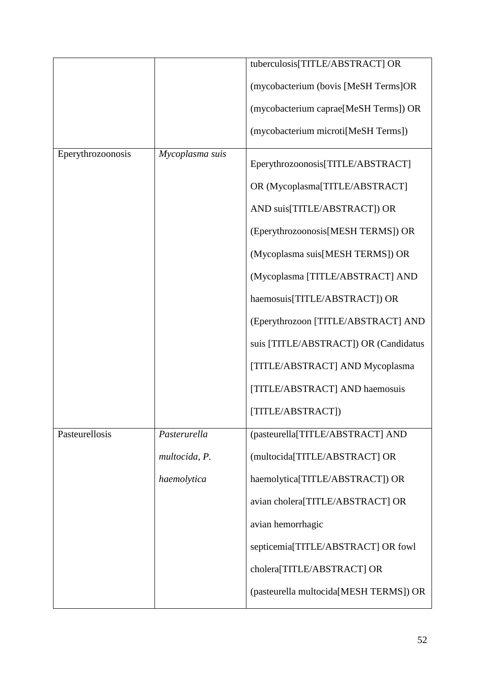|                   |                 | tuberculosis[TITLE/ABSTRACT] OR        |
|-------------------|-----------------|----------------------------------------|
|                   |                 |                                        |
|                   |                 | (mycobacterium (bovis [MeSH Terms]OR   |
|                   |                 | (mycobacterium caprae[MeSH Terms]) OR  |
|                   |                 | (mycobacterium microti[MeSH Terms])    |
| Eperythrozoonosis | Mycoplasma suis | Eperythrozoonosis[TITLE/ABSTRACT]      |
|                   |                 | OR (Mycoplasma[TITLE/ABSTRACT]         |
|                   |                 | AND suis[TITLE/ABSTRACT]) OR           |
|                   |                 | (Eperythrozoonosis[MESH TERMS]) OR     |
|                   |                 | (Mycoplasma suis[MESH TERMS]) OR       |
|                   |                 | (Mycoplasma [TITLE/ABSTRACT] AND       |
|                   |                 | haemosuis[TITLE/ABSTRACT]) OR          |
|                   |                 | (Eperythrozoon [TITLE/ABSTRACT] AND    |
|                   |                 | suis [TITLE/ABSTRACT]) OR (Candidatus  |
|                   |                 | [TITLE/ABSTRACT] AND Mycoplasma        |
|                   |                 | [TITLE/ABSTRACT] AND haemosuis         |
|                   |                 | [TITLE/ABSTRACT])                      |
| Pasteurellosis    | Pasterurella    | (pasteurella[TITLE/ABSTRACT] AND       |
|                   | multocida, P.   | (multocida[TITLE/ABSTRACT] OR          |
|                   | haemolytica     | haemolytica[TITLE/ABSTRACT]) OR        |
|                   |                 | avian cholera[TITLE/ABSTRACT] OR       |
|                   |                 | avian hemorrhagic                      |
|                   |                 | septicemia[TITLE/ABSTRACT] OR fowl     |
|                   |                 | cholera[TITLE/ABSTRACT] OR             |
|                   |                 | (pasteurella multocida[MESH TERMS]) OR |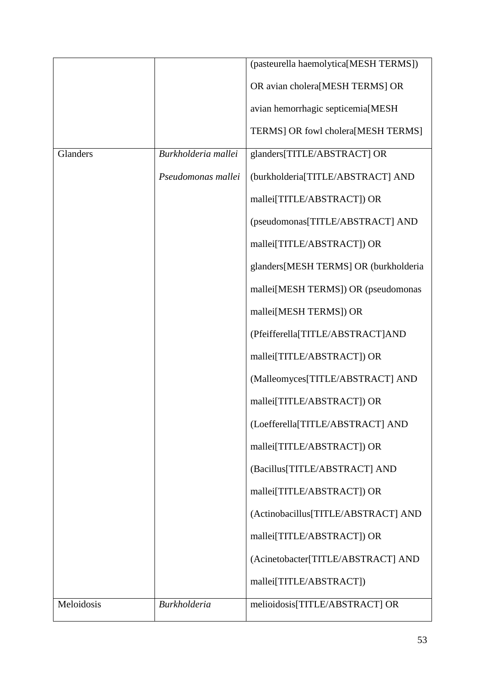|            |                     | (pasteurella haemolytica[MESH TERMS]) |
|------------|---------------------|---------------------------------------|
|            |                     | OR avian cholera[MESH TERMS] OR       |
|            |                     | avian hemorrhagic septicemia[MESH     |
|            |                     | TERMS] OR fowl cholera[MESH TERMS]    |
| Glanders   | Burkholderia mallei | glanders[TITLE/ABSTRACT] OR           |
|            | Pseudomonas mallei  | (burkholderia[TITLE/ABSTRACT] AND     |
|            |                     | mallei[TITLE/ABSTRACT]) OR            |
|            |                     | (pseudomonas[TITLE/ABSTRACT] AND      |
|            |                     | mallei[TITLE/ABSTRACT]) OR            |
|            |                     | glanders[MESH TERMS] OR (burkholderia |
|            |                     | mallei[MESH TERMS]) OR (pseudomonas   |
|            |                     | mallei[MESH TERMS]) OR                |
|            |                     | (Pfeifferella[TITLE/ABSTRACT]AND      |
|            |                     | mallei[TITLE/ABSTRACT]) OR            |
|            |                     | (Malleomyces[TITLE/ABSTRACT] AND      |
|            |                     | mallei[TITLE/ABSTRACT]) OR            |
|            |                     | (Loefferella[TITLE/ABSTRACT] AND      |
|            |                     | mallei[TITLE/ABSTRACT]) OR            |
|            |                     | (Bacillus[TITLE/ABSTRACT] AND         |
|            |                     | mallei[TITLE/ABSTRACT]) OR            |
|            |                     | (Actinobacillus[TITLE/ABSTRACT] AND   |
|            |                     | mallei[TITLE/ABSTRACT]) OR            |
|            |                     | (Acinetobacter[TITLE/ABSTRACT] AND    |
|            |                     | mallei[TITLE/ABSTRACT])               |
| Meloidosis | <b>Burkholderia</b> | melioidosis[TITLE/ABSTRACT] OR        |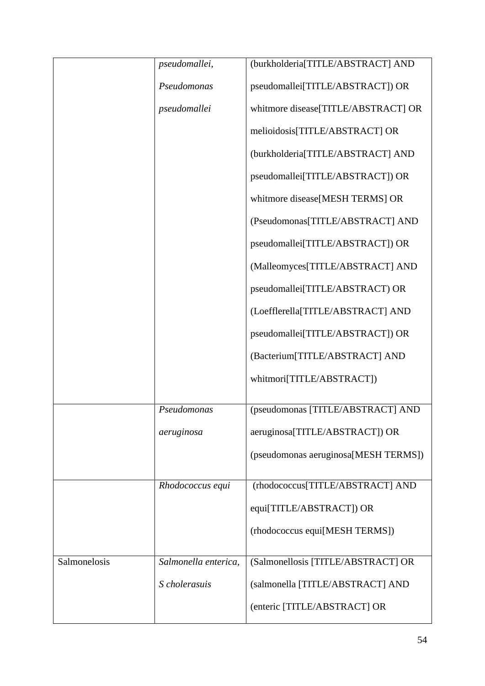|              | pseudomallei,        | (burkholderia[TITLE/ABSTRACT] AND    |
|--------------|----------------------|--------------------------------------|
|              | Pseudomonas          | pseudomallei[TITLE/ABSTRACT]) OR     |
|              | pseudomallei         | whitmore disease[TITLE/ABSTRACT] OR  |
|              |                      | melioidosis[TITLE/ABSTRACT] OR       |
|              |                      | (burkholderia[TITLE/ABSTRACT] AND    |
|              |                      | pseudomallei[TITLE/ABSTRACT]) OR     |
|              |                      | whitmore disease[MESH TERMS] OR      |
|              |                      | (Pseudomonas[TITLE/ABSTRACT] AND     |
|              |                      | pseudomallei[TITLE/ABSTRACT]) OR     |
|              |                      | (Malleomyces[TITLE/ABSTRACT] AND     |
|              |                      | pseudomallei[TITLE/ABSTRACT) OR      |
|              |                      | (Loefflerella[TITLE/ABSTRACT] AND    |
|              |                      | pseudomallei[TITLE/ABSTRACT]) OR     |
|              |                      | (Bacterium[TITLE/ABSTRACT] AND       |
|              |                      | whitmori[TITLE/ABSTRACT])            |
|              |                      |                                      |
|              | Pseudomonas          | (pseudomonas [TITLE/ABSTRACT] AND    |
|              | aeruginosa           | aeruginosa[TITLE/ABSTRACT]) OR       |
|              |                      | (pseudomonas aeruginosa[MESH TERMS]) |
|              | Rhodococcus equi     | (rhodococcus[TITLE/ABSTRACT] AND     |
|              |                      | equi[TITLE/ABSTRACT]) OR             |
|              |                      | (rhodococcus equi[MESH TERMS])       |
| Salmonelosis | Salmonella enterica, | (Salmonellosis [TITLE/ABSTRACT] OR   |
|              |                      |                                      |
|              | S cholerasuis        | (salmonella [TITLE/ABSTRACT] AND     |
|              |                      | (enteric [TITLE/ABSTRACT] OR         |
|              |                      |                                      |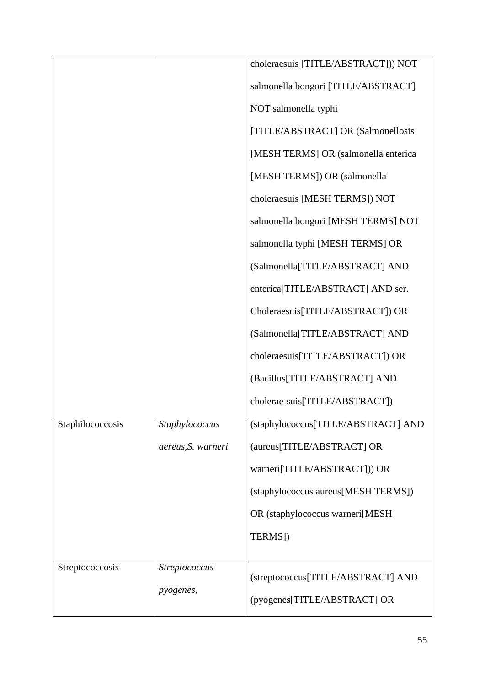|                  |                      | choleraesuis [TITLE/ABSTRACT])) NOT  |
|------------------|----------------------|--------------------------------------|
|                  |                      | salmonella bongori [TITLE/ABSTRACT]  |
|                  |                      | NOT salmonella typhi                 |
|                  |                      | [TITLE/ABSTRACT] OR (Salmonellosis   |
|                  |                      | [MESH TERMS] OR (salmonella enterica |
|                  |                      | [MESH TERMS]) OR (salmonella         |
|                  |                      | choleraesuis [MESH TERMS]) NOT       |
|                  |                      | salmonella bongori [MESH TERMS] NOT  |
|                  |                      | salmonella typhi [MESH TERMS] OR     |
|                  |                      | (Salmonella[TITLE/ABSTRACT] AND      |
|                  |                      | enterica[TITLE/ABSTRACT] AND ser.    |
|                  |                      | Choleraesuis[TITLE/ABSTRACT]) OR     |
|                  |                      | (Salmonella[TITLE/ABSTRACT] AND      |
|                  |                      | choleraesuis[TITLE/ABSTRACT]) OR     |
|                  |                      | (Bacillus[TITLE/ABSTRACT] AND        |
|                  |                      | cholerae-suis[TITLE/ABSTRACT])       |
| Staphilococcosis | Staphylococcus       | (staphylococcus[TITLE/ABSTRACT] AND  |
|                  | aereus, S. warneri   | (aureus[TITLE/ABSTRACT] OR           |
|                  |                      | warneri[TITLE/ABSTRACT])) OR         |
|                  |                      | (staphylococcus aureus[MESH TERMS])  |
|                  |                      | OR (staphylococcus warneri[MESH      |
|                  |                      | TERMS])                              |
| Streptococcosis  | <i>Streptococcus</i> |                                      |
|                  | pyogenes,            | (streptococcus[TITLE/ABSTRACT] AND   |
|                  |                      | (pyogenes[TITLE/ABSTRACT] OR         |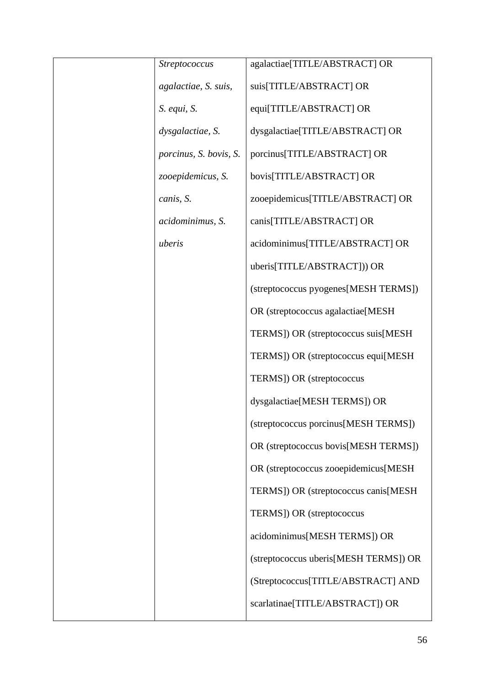| <i>Streptococcus</i>   | agalactiae[TITLE/ABSTRACT] OR         |
|------------------------|---------------------------------------|
| agalactiae, S. suis,   | suis[TITLE/ABSTRACT] OR               |
| S. equi, S.            | equi[TITLE/ABSTRACT] OR               |
| dysgalactiae, S.       | dysgalactiae[TITLE/ABSTRACT] OR       |
| porcinus, S. bovis, S. | porcinus[TITLE/ABSTRACT] OR           |
| zooepidemicus, S.      | bovis[TITLE/ABSTRACT] OR              |
| canis, S.              | zooepidemicus[TITLE/ABSTRACT] OR      |
| acidominimus, S.       | canis[TITLE/ABSTRACT] OR              |
| uberis                 | acidominimus[TITLE/ABSTRACT] OR       |
|                        | uberis[TITLE/ABSTRACT])) OR           |
|                        | (streptococcus pyogenes[MESH TERMS])  |
|                        | OR (streptococcus agalactiae[MESH]    |
|                        | TERMS]) OR (streptococcus suis[MESH   |
|                        | TERMS]) OR (streptococcus equi[MESH   |
|                        | TERMS]) OR (streptococcus             |
|                        | dysgalactiae[MESH TERMS]) OR          |
|                        | (streptococcus porcinus[MESH TERMS])  |
|                        | OR (streptococcus bovis[MESH TERMS])  |
|                        | OR (streptococcus zooepidemicus[MESH  |
|                        | TERMS]) OR (streptococcus canis[MESH  |
|                        | TERMS]) OR (streptococcus             |
|                        | acidominimus[MESH TERMS]) OR          |
|                        | (streptococcus uberis[MESH TERMS]) OR |
|                        | (Streptococcus[TITLE/ABSTRACT] AND    |
|                        | scarlatinae[TITLE/ABSTRACT]) OR       |
|                        |                                       |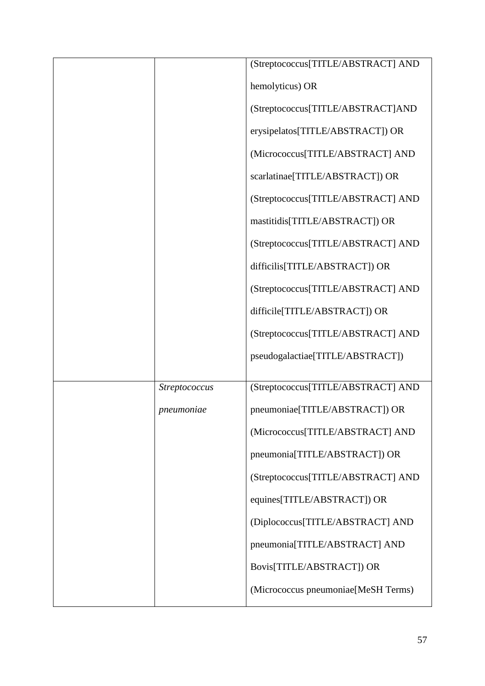|                      | (Streptococcus[TITLE/ABSTRACT] AND  |
|----------------------|-------------------------------------|
|                      | hemolyticus) OR                     |
|                      | (Streptococcus[TITLE/ABSTRACT]AND   |
|                      | erysipelatos[TITLE/ABSTRACT]) OR    |
|                      | (Micrococcus[TITLE/ABSTRACT] AND    |
|                      | scarlatinae[TITLE/ABSTRACT]) OR     |
|                      | (Streptococcus[TITLE/ABSTRACT] AND  |
|                      | mastitidis[TITLE/ABSTRACT]) OR      |
|                      | (Streptococcus[TITLE/ABSTRACT] AND  |
|                      | difficilis[TITLE/ABSTRACT]) OR      |
|                      | (Streptococcus[TITLE/ABSTRACT] AND  |
|                      | difficile[TITLE/ABSTRACT]) OR       |
|                      | (Streptococcus[TITLE/ABSTRACT] AND  |
|                      | pseudogalactiae[TITLE/ABSTRACT])    |
|                      |                                     |
| <i>Streptococcus</i> | (Streptococcus[TITLE/ABSTRACT] AND  |
| pneumoniae           | pneumoniae[TITLE/ABSTRACT]) OR      |
|                      | (Micrococcus[TITLE/ABSTRACT] AND    |
|                      | pneumonia[TITLE/ABSTRACT]) OR       |
|                      | (Streptococcus[TITLE/ABSTRACT] AND  |
|                      | equines[TITLE/ABSTRACT]) OR         |
|                      | (Diplococcus[TITLE/ABSTRACT] AND    |
|                      | pneumonia[TITLE/ABSTRACT] AND       |
|                      | Bovis[TITLE/ABSTRACT]) OR           |
|                      | (Micrococcus pneumoniae[MeSH Terms) |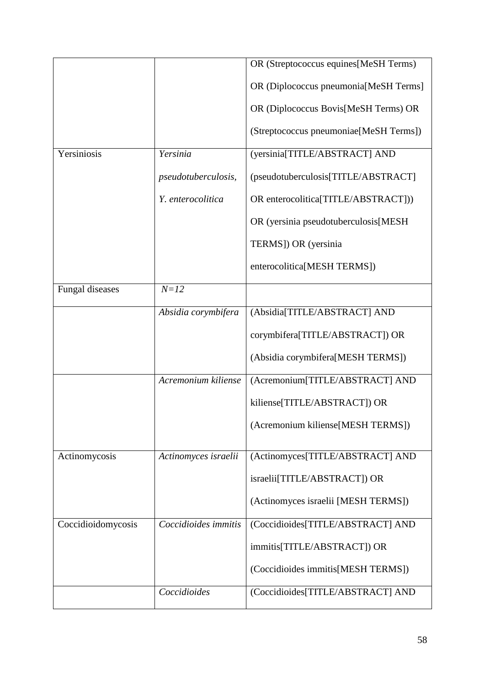|                    |                            | OR (Streptococcus equines[MeSH Terms)  |
|--------------------|----------------------------|----------------------------------------|
|                    |                            | OR (Diplococcus pneumonia[MeSH Terms]  |
|                    |                            | OR (Diplococcus Bovis[MeSH Terms) OR   |
|                    |                            | (Streptococcus pneumoniae[MeSH Terms]) |
| Yersiniosis        | Yersinia                   | (yersinia[TITLE/ABSTRACT] AND          |
|                    | <i>pseudotuberculosis,</i> | (pseudotuberculosis[TITLE/ABSTRACT]    |
|                    | Y. enterocolitica          | OR enterocolitica[TITLE/ABSTRACT]))    |
|                    |                            | OR (yersinia pseudotuberculosis[MESH   |
|                    |                            | TERMS]) OR (yersinia                   |
|                    |                            | enterocolitica[MESH TERMS])            |
| Fungal diseases    | $N = 12$                   |                                        |
|                    | Absidia corymbifera        | (Absidia[TITLE/ABSTRACT] AND           |
|                    |                            | corymbifera[TITLE/ABSTRACT]) OR        |
|                    |                            | (Absidia corymbifera[MESH TERMS])      |
|                    | Acremonium kiliense        | (Acremonium[TITLE/ABSTRACT] AND        |
|                    |                            | kiliense[TITLE/ABSTRACT]) OR           |
|                    |                            | (Acremonium kiliense[MESH TERMS])      |
| Actinomycosis      | Actinomyces israelii       | (Actinomyces[TITLE/ABSTRACT] AND       |
|                    |                            | israelii[TITLE/ABSTRACT]) OR           |
|                    |                            | (Actinomyces israelii [MESH TERMS])    |
| Coccidioidomycosis | Coccidioides immitis       | (Coccidioides[TITLE/ABSTRACT] AND      |
|                    |                            | immitis[TITLE/ABSTRACT]) OR            |
|                    |                            | (Coccidioides immitis[MESH TERMS])     |
|                    | Coccidioides               | (Coccidioides[TITLE/ABSTRACT] AND      |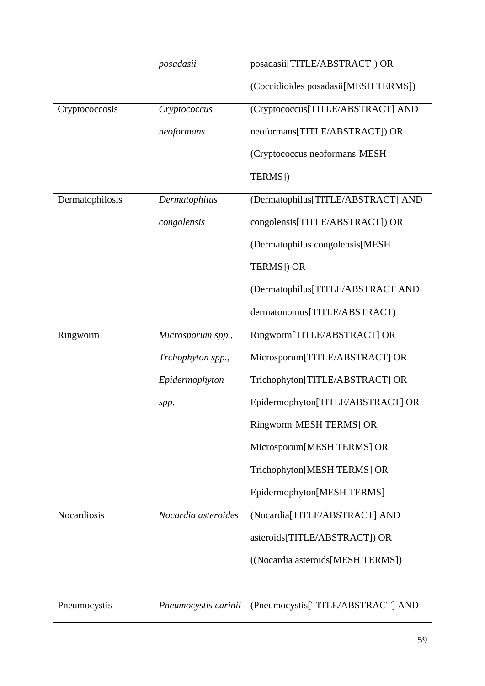|                    | posadasii            | posadasii[TITLE/ABSTRACT]) OR        |
|--------------------|----------------------|--------------------------------------|
|                    |                      | (Coccidioides posadasii[MESH TERMS]) |
| Cryptococcosis     | Cryptococcus         | (Cryptococcus[TITLE/ABSTRACT] AND    |
|                    | neoformans           | neoformans[TITLE/ABSTRACT]) OR       |
|                    |                      | (Cryptococcus neoformans[MESH]       |
|                    |                      | TERMS])                              |
| Dermatophilosis    | Dermatophilus        | (Dermatophilus[TITLE/ABSTRACT] AND   |
|                    | congolensis          | congolensis[TITLE/ABSTRACT]) OR      |
|                    |                      | (Dermatophilus congolensis[MESH      |
|                    |                      | <b>TERMS]) OR</b>                    |
|                    |                      | (Dermatophilus[TITLE/ABSTRACT AND    |
|                    |                      | dermatonomus[TITLE/ABSTRACT)         |
| Ringworm           | Microsporum spp.,    | Ringworm[TITLE/ABSTRACT] OR          |
|                    | Trchophyton spp.,    | Microsporum[TITLE/ABSTRACT] OR       |
|                    | Epidermophyton       | Trichophyton[TITLE/ABSTRACT] OR      |
|                    | spp.                 | Epidermophyton[TITLE/ABSTRACT] OR    |
|                    |                      | Ringworm[MESH TERMS] OR              |
|                    |                      | Microsporum[MESH TERMS] OR           |
|                    |                      | Trichophyton[MESH TERMS] OR          |
|                    |                      | Epidermophyton[MESH TERMS]           |
| <b>Nocardiosis</b> | Nocardia asteroides  | (Nocardia[TITLE/ABSTRACT] AND        |
|                    |                      | asteroids[TITLE/ABSTRACT]) OR        |
|                    |                      | ((Nocardia asteroids[MESH TERMS])    |
|                    |                      |                                      |
| Pneumocystis       | Pneumocystis carinii | (Pneumocystis[TITLE/ABSTRACT] AND    |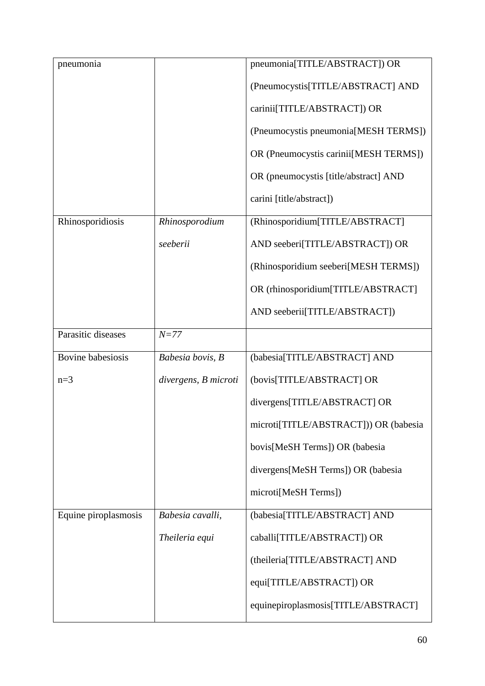| pneumonia                |                      | pneumonia[TITLE/ABSTRACT]) OR         |
|--------------------------|----------------------|---------------------------------------|
|                          |                      | (Pneumocystis[TITLE/ABSTRACT] AND     |
|                          |                      | carinii[TITLE/ABSTRACT]) OR           |
|                          |                      | (Pneumocystis pneumonia[MESH TERMS])  |
|                          |                      | OR (Pneumocystis carinii[MESH TERMS]) |
|                          |                      | OR (pneumocystis [title/abstract] AND |
|                          |                      | carini [title/abstract])              |
| Rhinosporidiosis         | Rhinosporodium       | (Rhinosporidium[TITLE/ABSTRACT]       |
|                          | seeberii             | AND seeberi[TITLE/ABSTRACT]) OR       |
|                          |                      | (Rhinosporidium seeberi[MESH TERMS])  |
|                          |                      | OR (rhinosporidium[TITLE/ABSTRACT]    |
|                          |                      | AND seeberii[TITLE/ABSTRACT])         |
| Parasitic diseases       | $N = 77$             |                                       |
| <b>Bovine babesiosis</b> | Babesia bovis, B     | (babesia[TITLE/ABSTRACT] AND          |
| $n=3$                    | divergens, B microti | (bovis[TITLE/ABSTRACT] OR             |
|                          |                      | divergens[TITLE/ABSTRACT] OR          |
|                          |                      | microti[TITLE/ABSTRACT])) OR (babesia |
|                          |                      | bovis[MeSH Terms]) OR (babesia        |
|                          |                      | divergens[MeSH Terms]) OR (babesia    |
|                          |                      | microti[MeSH Terms])                  |
| Equine piroplasmosis     | Babesia cavalli,     | (babesia[TITLE/ABSTRACT] AND          |
|                          | Theileria equi       | caballi[TITLE/ABSTRACT]) OR           |
|                          |                      | (theileria[TITLE/ABSTRACT] AND        |
|                          |                      | equi[TITLE/ABSTRACT]) OR              |
|                          |                      | equinepiroplasmosis[TITLE/ABSTRACT]   |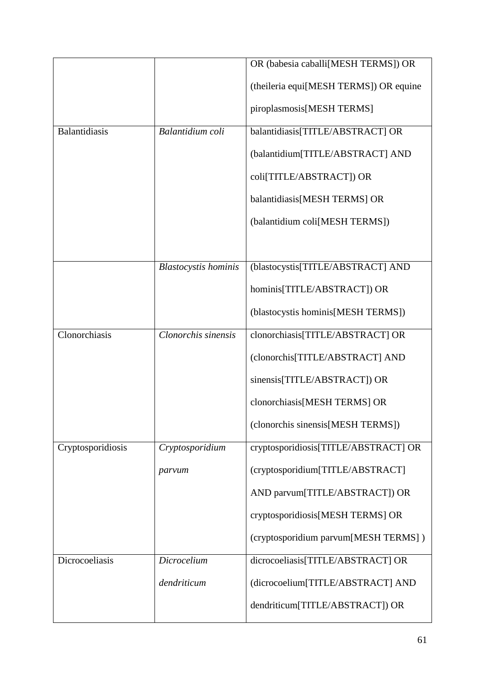|                      |                             | OR (babesia caballi[MESH TERMS]) OR    |
|----------------------|-----------------------------|----------------------------------------|
|                      |                             | (theileria equi[MESH TERMS]) OR equine |
|                      |                             | piroplasmosis[MESH TERMS]              |
| <b>Balantidiasis</b> | Balantidium coli            | balantidiasis[TITLE/ABSTRACT] OR       |
|                      |                             | (balantidium[TITLE/ABSTRACT] AND       |
|                      |                             | coli[TITLE/ABSTRACT]) OR               |
|                      |                             | balantidiasis[MESH TERMS] OR           |
|                      |                             | (balantidium coli[MESH TERMS])         |
|                      |                             |                                        |
|                      | <b>Blastocystis</b> hominis | (blastocystis[TITLE/ABSTRACT] AND      |
|                      |                             | hominis[TITLE/ABSTRACT]) OR            |
|                      |                             | (blastocystis hominis [MESH TERMS])    |
| Clonorchiasis        | Clonorchis sinensis         | clonorchiasis[TITLE/ABSTRACT] OR       |
|                      |                             | (clonorchis[TITLE/ABSTRACT] AND        |
|                      |                             | sinensis[TITLE/ABSTRACT]) OR           |
|                      |                             | clonorchiasis[MESH TERMS] OR           |
|                      |                             |                                        |
|                      |                             | (clonorchis sinensis[MESH TERMS])      |
| Cryptosporidiosis    | Cryptosporidium             | cryptosporidiosis[TITLE/ABSTRACT] OR   |
|                      | parvum                      | (cryptosporidium[TITLE/ABSTRACT]       |
|                      |                             | AND parvum[TITLE/ABSTRACT]) OR         |
|                      |                             | cryptosporidiosis[MESH TERMS] OR       |
|                      |                             | (cryptosporidium parvum[MESH TERMS])   |
| Dicrocoeliasis       | Dicrocelium                 | dicrocoeliasis[TITLE/ABSTRACT] OR      |
|                      | dendriticum                 | (dicrocoelium[TITLE/ABSTRACT] AND      |
|                      |                             | dendriticum[TITLE/ABSTRACT]) OR        |
|                      |                             |                                        |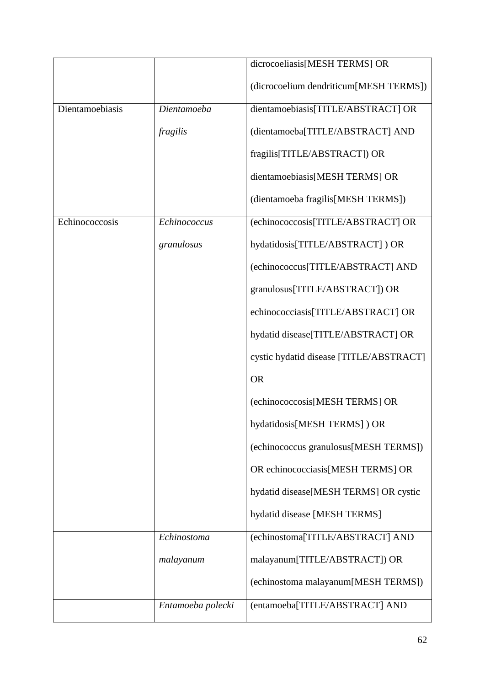|                 |                   | dicrocoeliasis[MESH TERMS] OR           |
|-----------------|-------------------|-----------------------------------------|
|                 |                   |                                         |
|                 |                   | (dicrocoelium dendriticum[MESH TERMS])  |
| Dientamoebiasis | Dientamoeba       | dientamoebiasis[TITLE/ABSTRACT] OR      |
|                 | fragilis          | (dientamoeba[TITLE/ABSTRACT] AND        |
|                 |                   | fragilis[TITLE/ABSTRACT]) OR            |
|                 |                   | dientamoebiasis[MESH TERMS] OR          |
|                 |                   | (dientamoeba fragilis[MESH TERMS])      |
| Echinococcosis  | Echinococcus      | (echinococcosis[TITLE/ABSTRACT] OR      |
|                 | granulosus        | hydatidosis[TITLE/ABSTRACT]) OR         |
|                 |                   | (echinococcus[TITLE/ABSTRACT] AND       |
|                 |                   | granulosus[TITLE/ABSTRACT]) OR          |
|                 |                   | echinococciasis[TITLE/ABSTRACT] OR      |
|                 |                   | hydatid disease[TITLE/ABSTRACT] OR      |
|                 |                   | cystic hydatid disease [TITLE/ABSTRACT] |
|                 |                   | <b>OR</b>                               |
|                 |                   | (echinococcosis[MESH TERMS] OR          |
|                 |                   | hydatidosis[MESH TERMS]) OR             |
|                 |                   | (echinococcus granulosus[MESH TERMS])   |
|                 |                   | OR echinococciasis[MESH TERMS] OR       |
|                 |                   | hydatid disease[MESH TERMS] OR cystic   |
|                 |                   | hydatid disease [MESH TERMS]            |
|                 | Echinostoma       | (echinostoma[TITLE/ABSTRACT] AND        |
|                 | malayanum         | malayanum[TITLE/ABSTRACT]) OR           |
|                 |                   | (echinostoma malayanum[MESH TERMS])     |
|                 | Entamoeba polecki | (entamoeba[TITLE/ABSTRACT] AND          |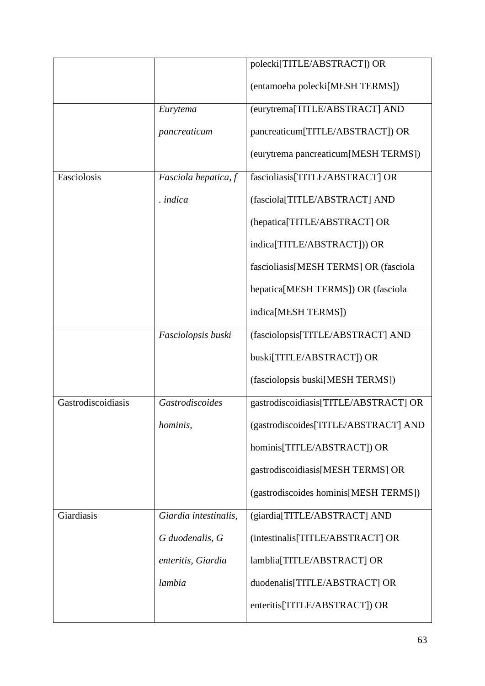|                    |                       | polecki[TITLE/ABSTRACT]) OR            |
|--------------------|-----------------------|----------------------------------------|
|                    |                       | (entamoeba polecki[MESH TERMS])        |
|                    | Eurytema              | (eurytrema[TITLE/ABSTRACT] AND         |
|                    | pancreaticum          | pancreaticum[TITLE/ABSTRACT]) OR       |
|                    |                       | (eurytrema pancreaticum[MESH TERMS])   |
| Fasciolosis        | Fasciola hepatica, f  | fascioliasis[TITLE/ABSTRACT] OR        |
|                    | . indica              | (fasciola[TITLE/ABSTRACT] AND          |
|                    |                       | (hepatica[TITLE/ABSTRACT] OR           |
|                    |                       | indica[TITLE/ABSTRACT])) OR            |
|                    |                       | fascioliasis[MESH TERMS] OR (fasciola  |
|                    |                       | hepatica[MESH TERMS]) OR (fasciola     |
|                    |                       | indica[MESH TERMS])                    |
|                    | Fasciolopsis buski    | (fasciolopsis[TITLE/ABSTRACT] AND      |
|                    |                       | buski[TITLE/ABSTRACT]) OR              |
|                    |                       | (fasciolopsis buski[MESH TERMS])       |
| Gastrodiscoidiasis | Gastrodiscoides       | gastrodiscoidiasis[TITLE/ABSTRACT] OR  |
|                    | hominis,              | (gastrodiscoides[TITLE/ABSTRACT] AND   |
|                    |                       | hominis[TITLE/ABSTRACT]) OR            |
|                    |                       | gastrodiscoidiasis [MESH TERMS] OR     |
|                    |                       | (gastrodiscoides hominis [MESH TERMS]) |
| Giardiasis         | Giardia intestinalis, | (giardia[TITLE/ABSTRACT] AND           |
|                    | G duodenalis, G       | (intestinalis[TITLE/ABSTRACT] OR       |
|                    | enteritis, Giardia    | lamblia[TITLE/ABSTRACT] OR             |
|                    | lambia                | duodenalis[TITLE/ABSTRACT] OR          |
|                    |                       | enteritis[TITLE/ABSTRACT]) OR          |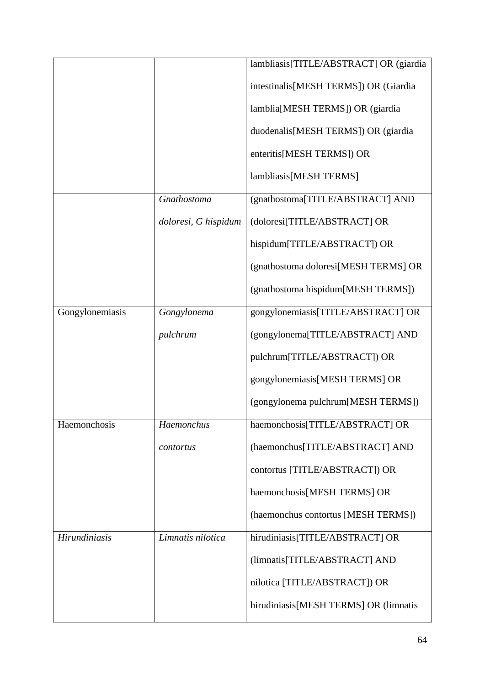|                      |                      | lambliasis[TITLE/ABSTRACT] OR (giardia |
|----------------------|----------------------|----------------------------------------|
|                      |                      | intestinalis[MESH TERMS]) OR (Giardia  |
|                      |                      | lamblia[MESH TERMS]) OR (giardia       |
|                      |                      | duodenalis[MESH TERMS]) OR (giardia    |
|                      |                      | enteritis[MESH TERMS]) OR              |
|                      |                      | lambliasis[MESH TERMS]                 |
|                      | Gnathostoma          | (gnathostoma[TITLE/ABSTRACT] AND       |
|                      | doloresi, G hispidum | (doloresi[TITLE/ABSTRACT] OR           |
|                      |                      | hispidum[TITLE/ABSTRACT]) OR           |
|                      |                      | (gnathostoma doloresi[MESH TERMS] OR   |
|                      |                      | (gnathostoma hispidum[MESH TERMS])     |
| Gongylonemiasis      | Gongylonema          | gongylonemiasis[TITLE/ABSTRACT] OR     |
|                      | pulchrum             | (gongylonema[TITLE/ABSTRACT] AND       |
|                      |                      | pulchrum[TITLE/ABSTRACT]) OR           |
|                      |                      | gongylonemiasis[MESH TERMS] OR         |
|                      |                      | (gongylonema pulchrum[MESH TERMS])     |
| Haemonchosis         | Haemonchus           | haemonchosis[TITLE/ABSTRACT] OR        |
|                      | contortus            | (haemonchus[TITLE/ABSTRACT] AND        |
|                      |                      | contortus [TITLE/ABSTRACT]) OR         |
|                      |                      | haemonchosis[MESH TERMS] OR            |
|                      |                      | (haemonchus contortus [MESH TERMS])    |
| <b>Hirundiniasis</b> | Limnatis nilotica    | hirudiniasis[TITLE/ABSTRACT] OR        |
|                      |                      | (limnatis[TITLE/ABSTRACT] AND          |
|                      |                      | nilotica [TITLE/ABSTRACT]) OR          |
|                      |                      | hirudiniasis[MESH TERMS] OR (limnatis  |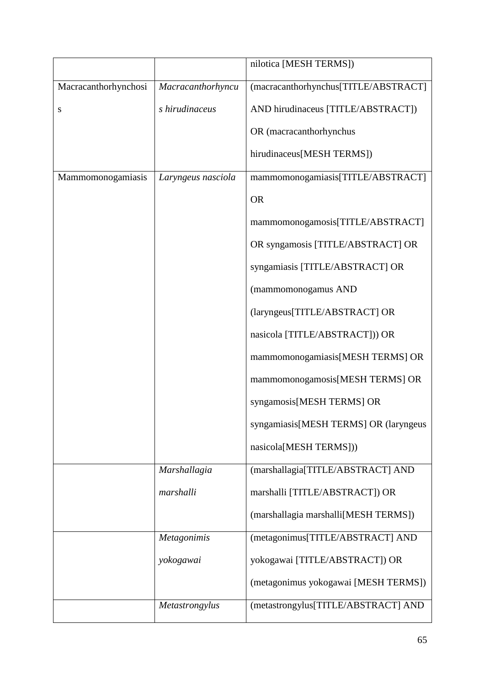|                      |                    | nilotica [MESH TERMS])                |
|----------------------|--------------------|---------------------------------------|
| Macracanthorhynchosi | Macracanthorhyncu  | (macracanthorhynchus[TITLE/ABSTRACT]  |
| S                    | s hirudinaceus     | AND hirudinaceus [TITLE/ABSTRACT])    |
|                      |                    | OR (macracanthorhynchus               |
|                      |                    | hirudinaceus[MESH TERMS])             |
| Mammomonogamiasis    | Laryngeus nasciola | mammomonogamiasis[TITLE/ABSTRACT]     |
|                      |                    | <b>OR</b>                             |
|                      |                    | mammomonogamosis[TITLE/ABSTRACT]      |
|                      |                    | OR syngamosis [TITLE/ABSTRACT] OR     |
|                      |                    | syngamiasis [TITLE/ABSTRACT] OR       |
|                      |                    | (mammomonogamus AND                   |
|                      |                    | (laryngeus[TITLE/ABSTRACT] OR         |
|                      |                    | nasicola [TITLE/ABSTRACT])) OR        |
|                      |                    | mammomonogamiasis[MESH TERMS] OR      |
|                      |                    | mammomonogamosis[MESH TERMS] OR       |
|                      |                    | syngamosis[MESH TERMS] OR             |
|                      |                    | syngamiasis[MESH TERMS] OR (laryngeus |
|                      |                    | nasicola[MESH TERMS]))                |
|                      | Marshallagia       | (marshallagia[TITLE/ABSTRACT] AND     |
|                      | marshalli          | marshalli [TITLE/ABSTRACT]) OR        |
|                      |                    | (marshallagia marshalli[MESH TERMS])  |
|                      | <b>Metagonimis</b> | (metagonimus[TITLE/ABSTRACT] AND      |
|                      | yokogawai          | yokogawai [TITLE/ABSTRACT]) OR        |
|                      |                    | (metagonimus yokogawai [MESH TERMS])  |
|                      | Metastrongylus     | (metastrongylus[TITLE/ABSTRACT] AND   |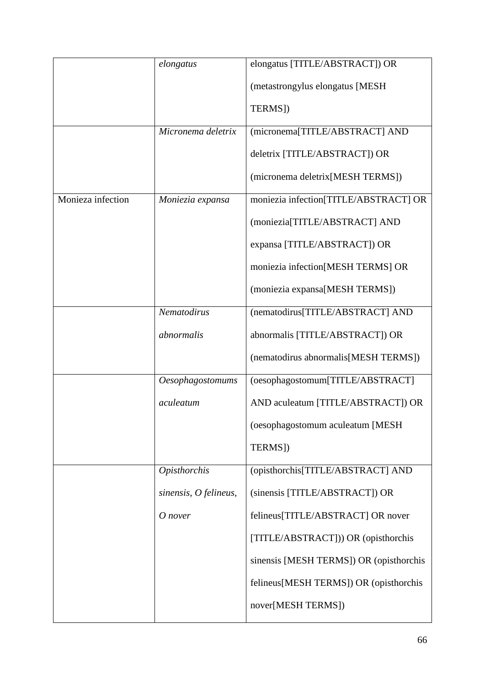|                   | elongatus               | elongatus [TITLE/ABSTRACT]) OR          |
|-------------------|-------------------------|-----------------------------------------|
|                   |                         | (metastrongylus elongatus [MESH         |
|                   |                         | TERMS])                                 |
|                   | Micronema deletrix      | (micronema[TITLE/ABSTRACT] AND          |
|                   |                         | deletrix [TITLE/ABSTRACT]) OR           |
|                   |                         | (micronema deletrix [MESH TERMS])       |
| Monieza infection | Moniezia expansa        | moniezia infection[TITLE/ABSTRACT] OR   |
|                   |                         | (moniezia[TITLE/ABSTRACT] AND           |
|                   |                         | expansa [TITLE/ABSTRACT]) OR            |
|                   |                         | moniezia infection[MESH TERMS] OR       |
|                   |                         | (moniezia expansa[MESH TERMS])          |
|                   | Nematodirus             | (nematodirus[TITLE/ABSTRACT] AND        |
|                   | abnormalis              | abnormalis [TITLE/ABSTRACT]) OR         |
|                   |                         | (nematodirus abnormalis[MESH TERMS])    |
|                   | <b>Oesophagostomums</b> | (oesophagostomum[TITLE/ABSTRACT]        |
|                   | aculeatum               | AND aculeatum [TITLE/ABSTRACT]) OR      |
|                   |                         | (oesophagostomum aculeatum [MESH        |
|                   |                         | TERMS])                                 |
|                   | <b>Opisthorchis</b>     | (opisthorchis[TITLE/ABSTRACT] AND       |
|                   | sinensis, $O$ felineus, | (sinensis [TITLE/ABSTRACT]) OR          |
|                   | O nover                 | felineus[TITLE/ABSTRACT] OR nover       |
|                   |                         | [TITLE/ABSTRACT])) OR (opisthorchis     |
|                   |                         | sinensis [MESH TERMS]) OR (opisthorchis |
|                   |                         | felineus[MESH TERMS]) OR (opisthorchis  |
|                   |                         | nover[MESH TERMS])                      |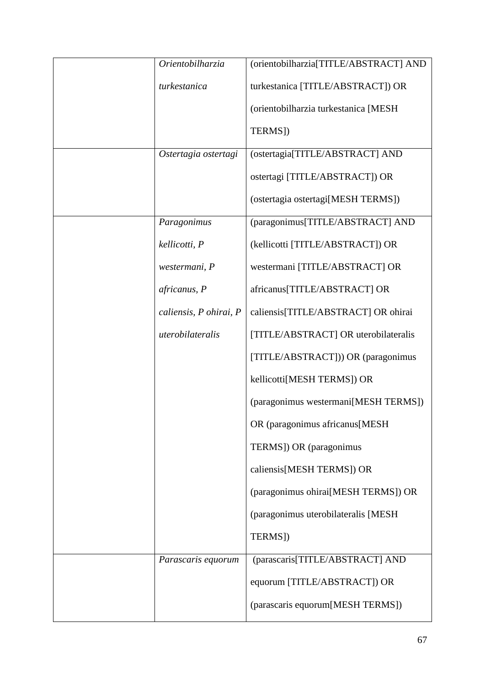| Orientobilharzia       | (orientobilharzia[TITLE/ABSTRACT] AND |
|------------------------|---------------------------------------|
| turkestanica           | turkestanica [TITLE/ABSTRACT]) OR     |
|                        | (orientobilharzia turkestanica [MESH  |
|                        | TERMS])                               |
| Ostertagia ostertagi   | (ostertagia[TITLE/ABSTRACT] AND       |
|                        | ostertagi [TITLE/ABSTRACT]) OR        |
|                        | (ostertagia ostertagi[MESH TERMS])    |
| Paragonimus            | (paragonimus[TITLE/ABSTRACT] AND      |
| kellicotti, P          | (kellicotti [TITLE/ABSTRACT]) OR      |
| westermani, P          | westermani [TITLE/ABSTRACT] OR        |
| africanus, P           | africanus[TITLE/ABSTRACT] OR          |
| caliensis, P ohirai, P | caliensis[TITLE/ABSTRACT] OR ohirai   |
| uterobilateralis       | [TITLE/ABSTRACT] OR uterobilateralis  |
|                        | [TITLE/ABSTRACT])) OR (paragonimus    |
|                        | kellicotti[MESH TERMS]) OR            |
|                        | (paragonimus westermani[MESH TERMS])  |
|                        | OR (paragonimus africanus[MESH        |
|                        | TERMS]) OR (paragonimus               |
|                        | caliensis[MESH TERMS]) OR             |
|                        | (paragonimus ohirai[MESH TERMS]) OR   |
|                        | (paragonimus uterobilateralis [MESH   |
|                        | TERMS])                               |
| Parascaris equorum     | (parascaris[TITLE/ABSTRACT] AND       |
|                        | equorum [TITLE/ABSTRACT]) OR          |
|                        | (parascaris equorum[MESH TERMS])      |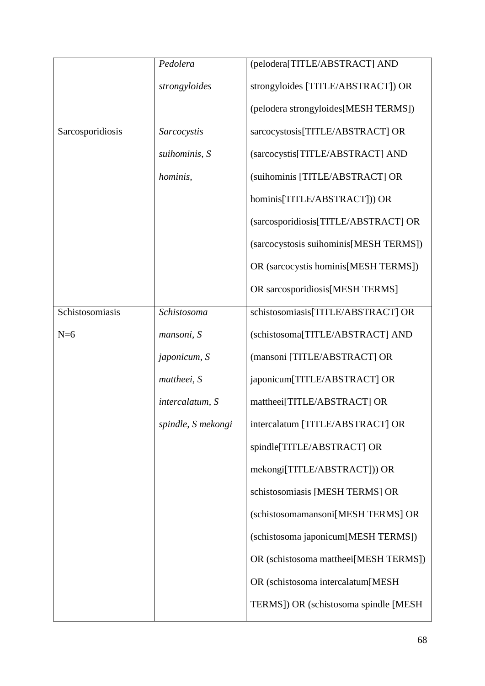|                  | Pedolera           | (pelodera[TITLE/ABSTRACT] AND           |
|------------------|--------------------|-----------------------------------------|
|                  | strongyloides      | strongyloides [TITLE/ABSTRACT]) OR      |
|                  |                    | (pelodera strongyloides[MESH TERMS])    |
| Sarcosporidiosis | Sarcocystis        | sarcocystosis[TITLE/ABSTRACT] OR        |
|                  | suihominis, S      | (sarcocystis[TITLE/ABSTRACT] AND        |
|                  | hominis,           | (suihominis [TITLE/ABSTRACT] OR         |
|                  |                    | hominis[TITLE/ABSTRACT])) OR            |
|                  |                    | (sarcosporidiosis[TITLE/ABSTRACT] OR    |
|                  |                    | (sarcocystosis suihominis [MESH TERMS]) |
|                  |                    | OR (sarcocystis hominis [MESH TERMS])   |
|                  |                    | OR sarcosporidiosis[MESH TERMS]         |
| Schistosomiasis  | Schistosoma        | schistosomiasis[TITLE/ABSTRACT] OR      |
| $N=6$            | mansoni, S         | (schistosoma[TITLE/ABSTRACT] AND        |
|                  | japonicum, S       | (mansoni [TITLE/ABSTRACT] OR            |
|                  | mattheei, S        | japonicum[TITLE/ABSTRACT] OR            |
|                  | intercalatum, S    | mattheei[TITLE/ABSTRACT] OR             |
|                  | spindle, S mekongi | intercalatum [TITLE/ABSTRACT] OR        |
|                  |                    | spindle[TITLE/ABSTRACT] OR              |
|                  |                    | mekongi[TITLE/ABSTRACT])) OR            |
|                  |                    | schistosomiasis [MESH TERMS] OR         |
|                  |                    | (schistosomamansoni[MESH TERMS] OR      |
|                  |                    | (schistosoma japonicum[MESH TERMS])     |
|                  |                    | OR (schistosoma mattheei[MESH TERMS])   |
|                  |                    | OR (schistosoma intercalatum[MESH       |
|                  |                    | TERMS]) OR (schistosoma spindle [MESH]  |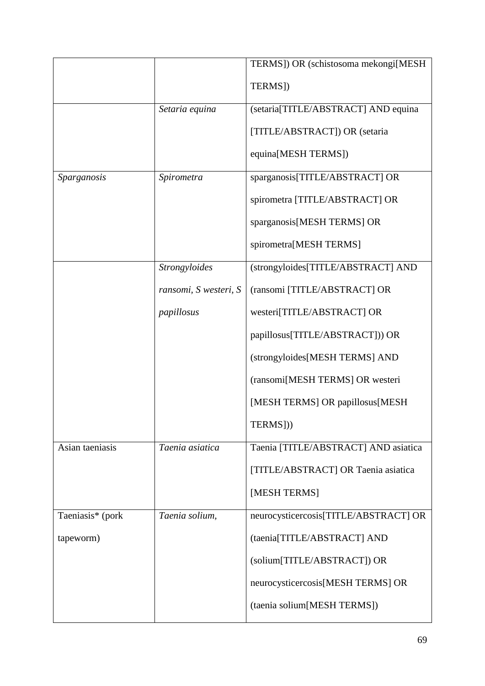|                  |                       | TERMS]) OR (schistosoma mekongi[MESH  |
|------------------|-----------------------|---------------------------------------|
|                  |                       | TERMS])                               |
|                  | Setaria equina        | (setaria[TITLE/ABSTRACT] AND equina   |
|                  |                       | [TITLE/ABSTRACT]) OR (setaria         |
|                  |                       | equina[MESH TERMS])                   |
| Sparganosis      | Spirometra            | sparganosis[TITLE/ABSTRACT] OR        |
|                  |                       | spirometra [TITLE/ABSTRACT] OR        |
|                  |                       | sparganosis[MESH TERMS] OR            |
|                  |                       | spirometra[MESH TERMS]                |
|                  | Strongyloides         | (strongyloides[TITLE/ABSTRACT] AND    |
|                  | ransomi, S westeri, S | (ransomi [TITLE/ABSTRACT] OR          |
|                  | papillosus            | westeri[TITLE/ABSTRACT] OR            |
|                  |                       | papillosus[TITLE/ABSTRACT])) OR       |
|                  |                       | (strongyloides[MESH TERMS] AND        |
|                  |                       | (ransomi[MESH TERMS] OR westeri       |
|                  |                       | [MESH TERMS] OR papillosus[MESH       |
|                  |                       | TERMS]))                              |
| Asian taeniasis  | Taenia asiatica       | Taenia [TITLE/ABSTRACT] AND asiatica  |
|                  |                       | [TITLE/ABSTRACT] OR Taenia asiatica   |
|                  |                       | [MESH TERMS]                          |
| Taeniasis* (pork | Taenia solium,        | neurocysticercosis[TITLE/ABSTRACT] OR |
| tapeworm)        |                       | (taenia[TITLE/ABSTRACT] AND           |
|                  |                       | (solium[TITLE/ABSTRACT]) OR           |
|                  |                       | neurocysticercosis[MESH TERMS] OR     |
|                  |                       | (taenia solium[MESH TERMS])           |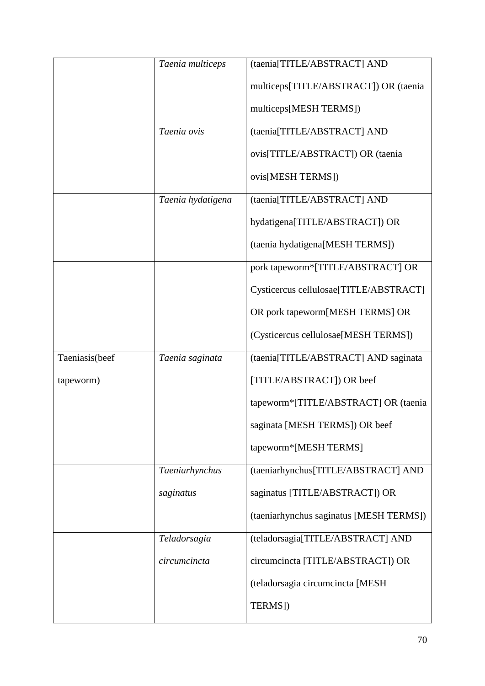|                | Taenia multiceps  | (taenia[TITLE/ABSTRACT] AND             |
|----------------|-------------------|-----------------------------------------|
|                |                   | multiceps[TITLE/ABSTRACT]) OR (taenia   |
|                |                   | multiceps[MESH TERMS])                  |
|                | Taenia ovis       | (taenia[TITLE/ABSTRACT] AND             |
|                |                   | ovis[TITLE/ABSTRACT]) OR (taenia        |
|                |                   | ovis[MESH TERMS])                       |
|                | Taenia hydatigena | (taenia[TITLE/ABSTRACT] AND             |
|                |                   | hydatigena[TITLE/ABSTRACT]) OR          |
|                |                   | (taenia hydatigena[MESH TERMS])         |
|                |                   | pork tapeworm*[TITLE/ABSTRACT] OR       |
|                |                   | Cysticercus cellulosae[TITLE/ABSTRACT]  |
|                |                   | OR pork tapeworm[MESH TERMS] OR         |
|                |                   | (Cysticercus cellulosae[MESH TERMS])    |
| Taeniasis(beef | Taenia saginata   | (taenia[TITLE/ABSTRACT] AND saginata    |
| tapeworm)      |                   | [TITLE/ABSTRACT]) OR beef               |
|                |                   | tapeworm*[TITLE/ABSTRACT] OR (taenia    |
|                |                   | saginata [MESH TERMS]) OR beef          |
|                |                   | tapeworm*[MESH TERMS]                   |
|                | Taeniarhynchus    | (taeniarhynchus[TITLE/ABSTRACT] AND     |
|                | saginatus         | saginatus [TITLE/ABSTRACT]) OR          |
|                |                   | (taeniarhynchus saginatus [MESH TERMS]) |
|                | Teladorsagia      | (teladorsagia[TITLE/ABSTRACT] AND       |
|                | circumcincta      | circumcincta [TITLE/ABSTRACT]) OR       |
|                |                   | (teladorsagia circumcincta [MESH        |
|                |                   | TERMS])                                 |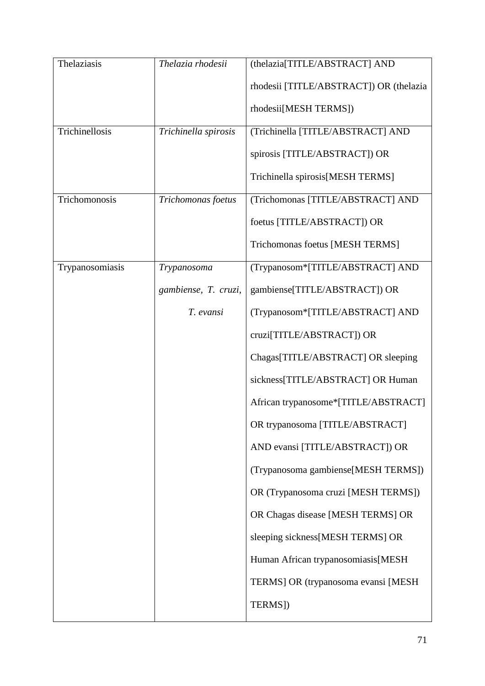| Thelaziasis     | Thelazia rhodesii    | (thelazia[TITLE/ABSTRACT] AND           |
|-----------------|----------------------|-----------------------------------------|
|                 |                      | rhodesii [TITLE/ABSTRACT]) OR (thelazia |
|                 |                      | rhodesii[MESH TERMS])                   |
| Trichinellosis  | Trichinella spirosis | (Trichinella [TITLE/ABSTRACT] AND       |
|                 |                      | spirosis [TITLE/ABSTRACT]) OR           |
|                 |                      | Trichinella spirosis[MESH TERMS]        |
| Trichomonosis   | Trichomonas foetus   | (Trichomonas [TITLE/ABSTRACT] AND       |
|                 |                      | foetus [TITLE/ABSTRACT]) OR             |
|                 |                      | Trichomonas foetus [MESH TERMS]         |
| Trypanosomiasis | Trypanosoma          | (Trypanosom*[TITLE/ABSTRACT] AND        |
|                 | gambiense, T. cruzi, | gambiense[TITLE/ABSTRACT]) OR           |
|                 | T. evansi            | (Trypanosom*[TITLE/ABSTRACT] AND        |
|                 |                      | cruzi[TITLE/ABSTRACT]) OR               |
|                 |                      | Chagas[TITLE/ABSTRACT] OR sleeping      |
|                 |                      | sickness[TITLE/ABSTRACT] OR Human       |
|                 |                      | African trypanosome*[TITLE/ABSTRACT]    |
|                 |                      | OR trypanosoma [TITLE/ABSTRACT]         |
|                 |                      | AND evansi [TITLE/ABSTRACT]) OR         |
|                 |                      | (Trypanosoma gambiense[MESH TERMS])     |
|                 |                      | OR (Trypanosoma cruzi [MESH TERMS])     |
|                 |                      | OR Chagas disease [MESH TERMS] OR       |
|                 |                      | sleeping sickness[MESH TERMS] OR        |
|                 |                      | Human African trypanosomiasis[MESH      |
|                 |                      | TERMS] OR (trypanosoma evansi [MESH     |
|                 |                      | TERMS])                                 |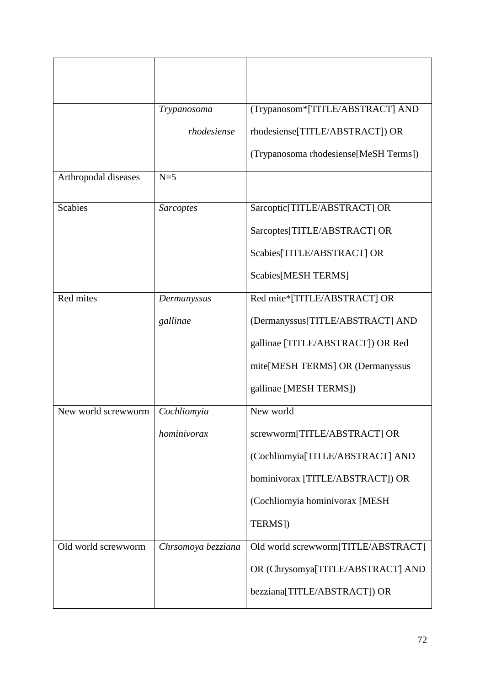|                      | Trypanosoma        | (Trypanosom*[TITLE/ABSTRACT] AND      |
|----------------------|--------------------|---------------------------------------|
|                      | rhodesiense        | rhodesiense[TITLE/ABSTRACT]) OR       |
|                      |                    | (Trypanosoma rhodesiense[MeSH Terms]) |
| Arthropodal diseases | $N=5$              |                                       |
| <b>Scabies</b>       | Sarcoptes          | Sarcoptic[TITLE/ABSTRACT] OR          |
|                      |                    | Sarcoptes[TITLE/ABSTRACT] OR          |
|                      |                    | Scabies[TITLE/ABSTRACT] OR            |
|                      |                    | Scabies[MESH TERMS]                   |
| Red mites            | Dermanyssus        | Red mite*[TITLE/ABSTRACT] OR          |
|                      | gallinae           | (Dermanyssus[TITLE/ABSTRACT] AND      |
|                      |                    | gallinae [TITLE/ABSTRACT]) OR Red     |
|                      |                    | mite[MESH TERMS] OR (Dermanyssus      |
|                      |                    | gallinae [MESH TERMS])                |
| New world screwworm  | Cochliomyia        | New world                             |
|                      | hominivorax        | screwworm[TITLE/ABSTRACT] OR          |
|                      |                    | (Cochliomyia[TITLE/ABSTRACT] AND      |
|                      |                    | hominivorax [TITLE/ABSTRACT]) OR      |
|                      |                    | (Cochliomyia hominivorax [MESH        |
|                      |                    | TERMS])                               |
| Old world screwworm  | Chrsomoya bezziana | Old world screwworm[TITLE/ABSTRACT]   |
|                      |                    | OR (Chrysomya[TITLE/ABSTRACT] AND     |
|                      |                    | bezziana[TITLE/ABSTRACT]) OR          |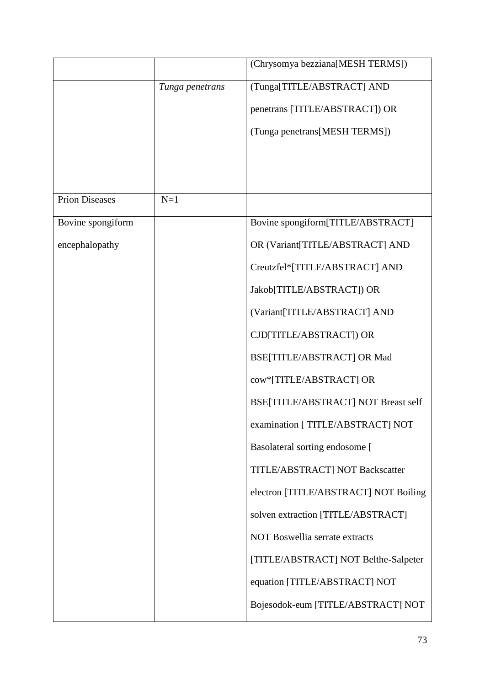|                       |                 | (Chrysomya bezziana[MESH TERMS])           |
|-----------------------|-----------------|--------------------------------------------|
|                       | Tunga penetrans | (Tunga[TITLE/ABSTRACT] AND                 |
|                       |                 | penetrans [TITLE/ABSTRACT]) OR             |
|                       |                 | (Tunga penetrans[MESH TERMS])              |
|                       |                 |                                            |
|                       |                 |                                            |
| <b>Prion Diseases</b> | $N=1$           |                                            |
| Bovine spongiform     |                 | Bovine spongiform[TITLE/ABSTRACT]          |
| encephalopathy        |                 | OR (Variant[TITLE/ABSTRACT] AND            |
|                       |                 | Creutzfel*[TITLE/ABSTRACT] AND             |
|                       |                 | Jakob[TITLE/ABSTRACT]) OR                  |
|                       |                 | (Variant[TITLE/ABSTRACT] AND               |
|                       |                 | CJD[TITLE/ABSTRACT]) OR                    |
|                       |                 | BSE[TITLE/ABSTRACT] OR Mad                 |
|                       |                 | cow*[TITLE/ABSTRACT] OR                    |
|                       |                 | <b>BSE[TITLE/ABSTRACT] NOT Breast self</b> |
|                       |                 | examination [ TITLE/ABSTRACT] NOT          |
|                       |                 | Basolateral sorting endosome [             |
|                       |                 | TITLE/ABSTRACT] NOT Backscatter            |
|                       |                 | electron [TITLE/ABSTRACT] NOT Boiling      |
|                       |                 | solven extraction [TITLE/ABSTRACT]         |
|                       |                 | NOT Boswellia serrate extracts             |
|                       |                 | [TITLE/ABSTRACT] NOT Belthe-Salpeter       |
|                       |                 | equation [TITLE/ABSTRACT] NOT              |
|                       |                 | Bojesodok-eum [TITLE/ABSTRACT] NOT         |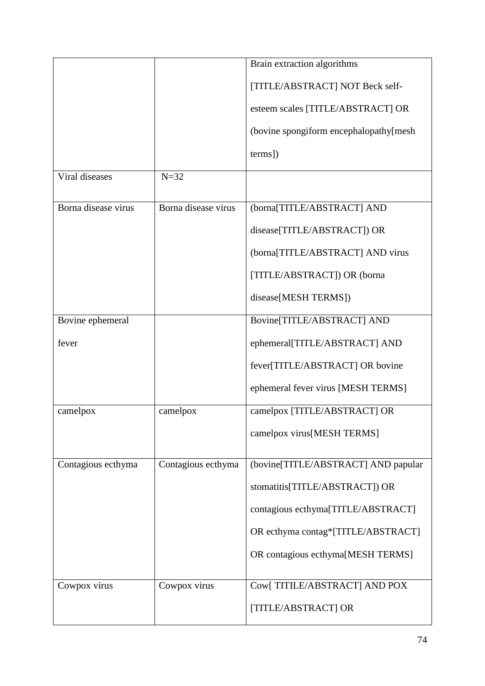|                     |                     | Brain extraction algorithms             |
|---------------------|---------------------|-----------------------------------------|
|                     |                     | [TITLE/ABSTRACT] NOT Beck self-         |
|                     |                     | esteem scales [TITLE/ABSTRACT] OR       |
|                     |                     | (bovine spongiform encephalopathy[mesh] |
|                     |                     | terms])                                 |
| Viral diseases      | $N = 32$            |                                         |
| Borna disease virus | Borna disease virus | (borna[TITLE/ABSTRACT] AND              |
|                     |                     | disease[TITLE/ABSTRACT]) OR             |
|                     |                     | (borna[TITLE/ABSTRACT] AND virus        |
|                     |                     | [TITLE/ABSTRACT]) OR (borna             |
|                     |                     | disease[MESH TERMS])                    |
| Bovine ephemeral    |                     | Bovine[TITLE/ABSTRACT] AND              |
| fever               |                     | ephemeral[TITLE/ABSTRACT] AND           |
|                     |                     | fever[TITLE/ABSTRACT] OR bovine         |
|                     |                     | ephemeral fever virus [MESH TERMS]      |
| camelpox            | camelpox            | camelpox [TITLE/ABSTRACT] OR            |
|                     |                     | camelpox virus[MESH TERMS]              |
| Contagious ecthyma  | Contagious ecthyma  | (bovine[TITLE/ABSTRACT] AND papular     |
|                     |                     | stomatitis[TITLE/ABSTRACT]) OR          |
|                     |                     | contagious ecthyma[TITLE/ABSTRACT]      |
|                     |                     | OR ecthyma contag*[TITLE/ABSTRACT]      |
|                     |                     | OR contagious ecthyma[MESH TERMS]       |
| Cowpox virus        | Cowpox virus        | Cow[TITILE/ABSTRACT] AND POX            |
|                     |                     | [TITLE/ABSTRACT] OR                     |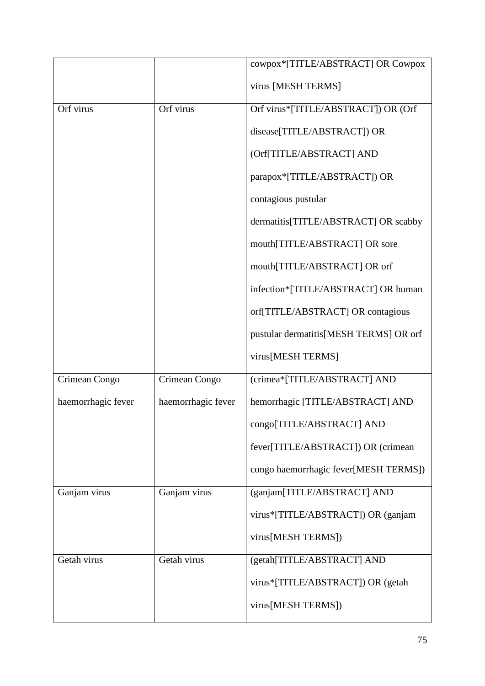|                    |                    | cowpox*[TITLE/ABSTRACT] OR Cowpox      |
|--------------------|--------------------|----------------------------------------|
|                    |                    |                                        |
|                    |                    | virus [MESH TERMS]                     |
| Orf virus          | Orf virus          | Orf virus*[TITLE/ABSTRACT]) OR (Orf    |
|                    |                    | disease[TITLE/ABSTRACT]) OR            |
|                    |                    | (Orf[TITLE/ABSTRACT] AND               |
|                    |                    | parapox*[TITLE/ABSTRACT]) OR           |
|                    |                    | contagious pustular                    |
|                    |                    | dermatitis[TITLE/ABSTRACT] OR scabby   |
|                    |                    | mouth[TITLE/ABSTRACT] OR sore          |
|                    |                    | mouth[TITLE/ABSTRACT] OR orf           |
|                    |                    | infection*[TITLE/ABSTRACT] OR human    |
|                    |                    | orf[TITLE/ABSTRACT] OR contagious      |
|                    |                    | pustular dermatitis[MESH TERMS] OR orf |
|                    |                    | virus[MESH TERMS]                      |
| Crimean Congo      | Crimean Congo      | (crimea*[TITLE/ABSTRACT] AND           |
| haemorrhagic fever | haemorrhagic fever | hemorrhagic [TITLE/ABSTRACT] AND       |
|                    |                    | congo[TITLE/ABSTRACT] AND              |
|                    |                    | fever[TITLE/ABSTRACT]) OR (crimean     |
|                    |                    | congo haemorrhagic fever[MESH TERMS])  |
| Ganjam virus       | Ganjam virus       | (ganjam[TITLE/ABSTRACT] AND            |
|                    |                    | virus*[TITLE/ABSTRACT]) OR (ganjam     |
|                    |                    | virus[MESH TERMS])                     |
| Getah virus        | Getah virus        | (getah[TITLE/ABSTRACT] AND             |
|                    |                    | virus*[TITLE/ABSTRACT]) OR (getah      |
|                    |                    | virus[MESH TERMS])                     |
|                    |                    |                                        |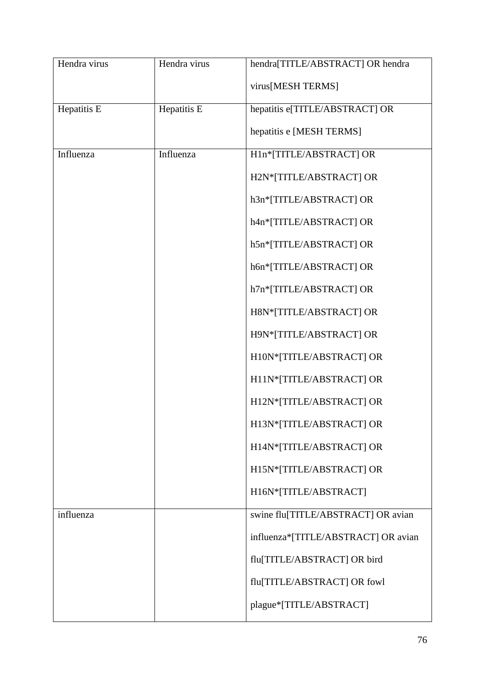| Hendra virus | Hendra virus | hendra[TITLE/ABSTRACT] OR hendra    |
|--------------|--------------|-------------------------------------|
|              |              | virus[MESH TERMS]                   |
| Hepatitis E  | Hepatitis E  | hepatitis e[TITLE/ABSTRACT] OR      |
|              |              | hepatitis e [MESH TERMS]            |
| Influenza    | Influenza    | H1n*[TITLE/ABSTRACT] OR             |
|              |              | H2N*[TITLE/ABSTRACT] OR             |
|              |              | h3n*[TITLE/ABSTRACT] OR             |
|              |              | h4n*[TITLE/ABSTRACT] OR             |
|              |              | h5n*[TITLE/ABSTRACT] OR             |
|              |              | h6n*[TITLE/ABSTRACT] OR             |
|              |              | h7n*[TITLE/ABSTRACT] OR             |
|              |              | H8N*[TITLE/ABSTRACT] OR             |
|              |              | H9N*[TITLE/ABSTRACT] OR             |
|              |              | H10N*[TITLE/ABSTRACT] OR            |
|              |              | H11N*[TITLE/ABSTRACT] OR            |
|              |              | H12N*[TITLE/ABSTRACT] OR            |
|              |              | H13N*[TITLE/ABSTRACT] OR            |
|              |              | H14N*[TITLE/ABSTRACT] OR            |
|              |              | H15N*[TITLE/ABSTRACT] OR            |
|              |              | H16N*[TITLE/ABSTRACT]               |
| influenza    |              | swine flu[TITLE/ABSTRACT] OR avian  |
|              |              | influenza*[TITLE/ABSTRACT] OR avian |
|              |              | flu[TITLE/ABSTRACT] OR bird         |
|              |              | flu[TITLE/ABSTRACT] OR fowl         |
|              |              | plague*[TITLE/ABSTRACT]             |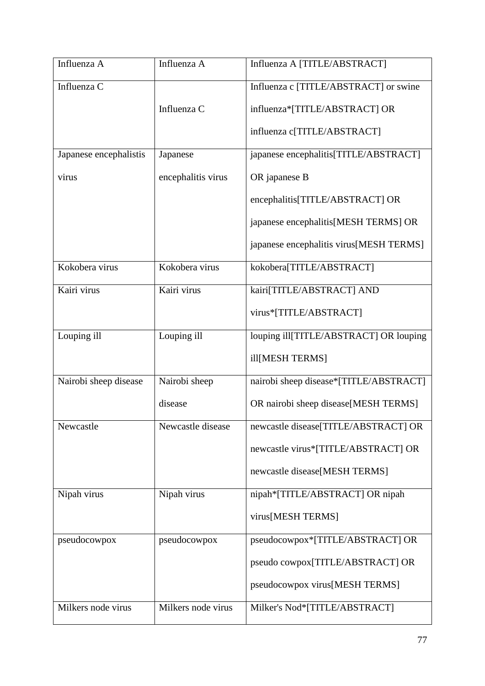| Influenza A            | Influenza A        | Influenza A [TITLE/ABSTRACT]            |
|------------------------|--------------------|-----------------------------------------|
| Influenza C            |                    | Influenza c [TITLE/ABSTRACT] or swine   |
|                        | Influenza C        | influenza*[TITLE/ABSTRACT] OR           |
|                        |                    | influenza c[TITLE/ABSTRACT]             |
| Japanese encephalistis | Japanese           | japanese encephalitis[TITLE/ABSTRACT]   |
| virus                  | encephalitis virus | OR japanese B                           |
|                        |                    | encephalitis[TITLE/ABSTRACT] OR         |
|                        |                    | japanese encephalitis[MESH TERMS] OR    |
|                        |                    | japanese encephalitis virus[MESH TERMS] |
| Kokobera virus         | Kokobera virus     | kokobera[TITLE/ABSTRACT]                |
| Kairi virus            | Kairi virus        | kairi[TITLE/ABSTRACT] AND               |
|                        |                    | virus*[TITLE/ABSTRACT]                  |
| Louping ill            | Louping ill        | louping ill[TITLE/ABSTRACT] OR louping  |
|                        |                    | ill[MESH TERMS]                         |
| Nairobi sheep disease  | Nairobi sheep      | nairobi sheep disease*[TITLE/ABSTRACT]  |
|                        | disease            | OR nairobi sheep disease[MESH TERMS]    |
| Newcastle              | Newcastle disease  | newcastle disease[TITLE/ABSTRACT] OR    |
|                        |                    | newcastle virus*[TITLE/ABSTRACT] OR     |
|                        |                    | newcastle disease[MESH TERMS]           |
| Nipah virus            | Nipah virus        | nipah*[TITLE/ABSTRACT] OR nipah         |
|                        |                    | virus[MESH TERMS]                       |
| pseudocowpox           | pseudocowpox       | pseudocowpox*[TITLE/ABSTRACT] OR        |
|                        |                    | pseudo cowpox[TITLE/ABSTRACT] OR        |
|                        |                    | pseudocowpox virus[MESH TERMS]          |
| Milkers node virus     | Milkers node virus | Milker's Nod*[TITLE/ABSTRACT]           |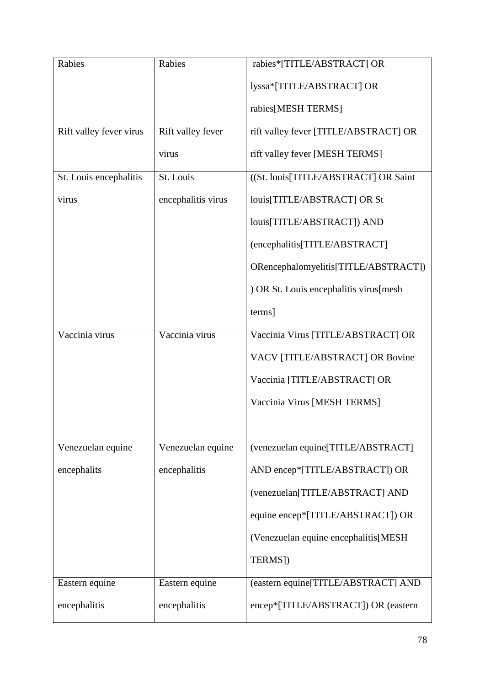| Rabies                  | Rabies             | rabies*[TITLE/ABSTRACT] OR             |
|-------------------------|--------------------|----------------------------------------|
|                         |                    | lyssa*[TITLE/ABSTRACT] OR              |
|                         |                    | rabies[MESH TERMS]                     |
| Rift valley fever virus | Rift valley fever  | rift valley fever [TITLE/ABSTRACT] OR  |
|                         | virus              | rift valley fever [MESH TERMS]         |
| St. Louis encephalitis  | St. Louis          | ((St. louis[TITLE/ABSTRACT] OR Saint   |
| virus                   | encephalitis virus | louis[TITLE/ABSTRACT] OR St            |
|                         |                    | louis[TITLE/ABSTRACT]) AND             |
|                         |                    | (encephalitis[TITLE/ABSTRACT]          |
|                         |                    | ORencephalomyelitis[TITLE/ABSTRACT])   |
|                         |                    | ) OR St. Louis encephalitis virus[mesh |
|                         |                    | terms]                                 |
| Vaccinia virus          | Vaccinia virus     | Vaccinia Virus [TITLE/ABSTRACT] OR     |
|                         |                    | VACV [TITLE/ABSTRACT] OR Bovine        |
|                         |                    | Vaccinia [TITLE/ABSTRACT] OR           |
|                         |                    | Vaccinia Virus [MESH TERMS]            |
|                         |                    |                                        |
| Venezuelan equine       | Venezuelan equine  | (venezuelan equine[TITLE/ABSTRACT]     |
| encephalits             | encephalitis       | AND encep*[TITLE/ABSTRACT]) OR         |
|                         |                    | (venezuelan[TITLE/ABSTRACT] AND        |
|                         |                    | equine encep*[TITLE/ABSTRACT]) OR      |
|                         |                    | (Venezuelan equine encephalitis[MESH   |
|                         |                    | TERMS])                                |
| Eastern equine          | Eastern equine     | (eastern equine[TITLE/ABSTRACT] AND    |
| encephalitis            | encephalitis       | encep*[TITLE/ABSTRACT]) OR (eastern    |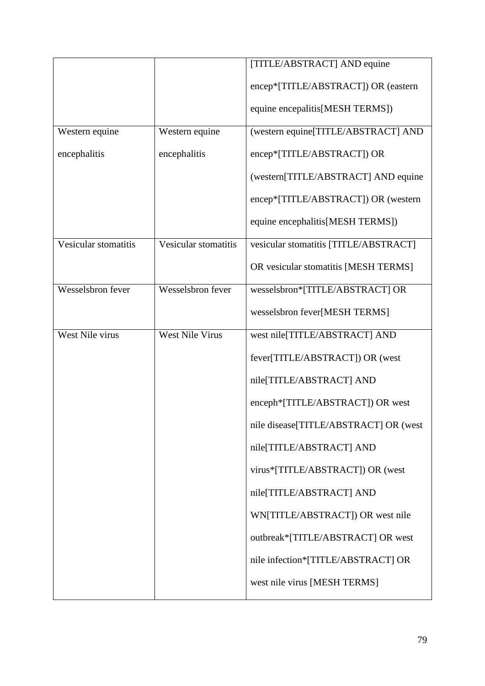|                      |                        | [TITLE/ABSTRACT] AND equine           |
|----------------------|------------------------|---------------------------------------|
|                      |                        | encep*[TITLE/ABSTRACT]) OR (eastern   |
|                      |                        | equine encepalitis [MESH TERMS])      |
| Western equine       | Western equine         | (western equine[TITLE/ABSTRACT] AND   |
| encephalitis         | encephalitis           | encep*[TITLE/ABSTRACT]) OR            |
|                      |                        | (western[TITLE/ABSTRACT] AND equine   |
|                      |                        | encep*[TITLE/ABSTRACT]) OR (western   |
|                      |                        | equine encephalitis [MESH TERMS])     |
| Vesicular stomatitis | Vesicular stomatitis   | vesicular stomatitis [TITLE/ABSTRACT] |
|                      |                        | OR vesicular stomatitis [MESH TERMS]  |
| Wesselsbron fever    | Wesselsbron fever      | wesselsbron*[TITLE/ABSTRACT] OR       |
|                      |                        | wesselsbron fever[MESH TERMS]         |
| West Nile virus      | <b>West Nile Virus</b> | west nile[TITLE/ABSTRACT] AND         |
|                      |                        | fever[TITLE/ABSTRACT]) OR (west       |
|                      |                        | nile[TITLE/ABSTRACT] AND              |
|                      |                        | enceph*[TITLE/ABSTRACT]) OR west      |
|                      |                        | nile disease[TITLE/ABSTRACT] OR (west |
|                      |                        | nile[TITLE/ABSTRACT] AND              |
|                      |                        | virus*[TITLE/ABSTRACT]) OR (west      |
|                      |                        | nile[TITLE/ABSTRACT] AND              |
|                      |                        | WN[TITLE/ABSTRACT]) OR west nile      |
|                      |                        | outbreak*[TITLE/ABSTRACT] OR west     |
|                      |                        | nile infection*[TITLE/ABSTRACT] OR    |
|                      |                        | west nile virus [MESH TERMS]          |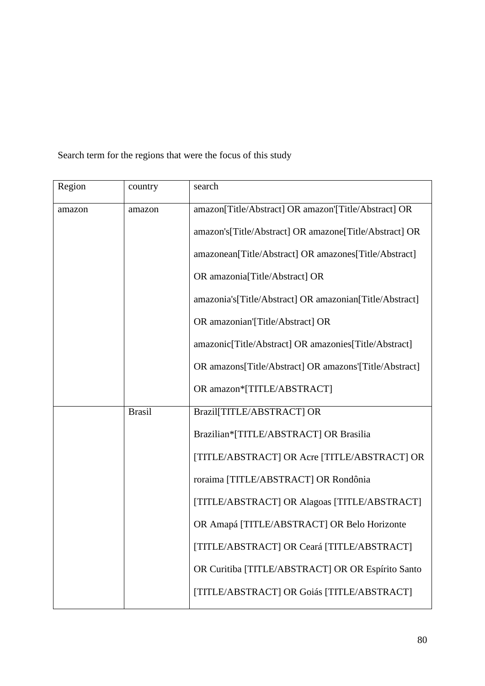| Region | country       | search                                                  |
|--------|---------------|---------------------------------------------------------|
| amazon | amazon        | amazon[Title/Abstract] OR amazon][Title/Abstract] OR    |
|        |               | amazon's[Title/Abstract] OR amazone[Title/Abstract] OR  |
|        |               | amazonean[Title/Abstract] OR amazones[Title/Abstract]   |
|        |               | OR amazonia[Title/Abstract] OR                          |
|        |               | amazonia's[Title/Abstract] OR amazonian[Title/Abstract] |
|        |               | OR amazonian'[Title/Abstract] OR                        |
|        |               | amazonic[Title/Abstract] OR amazonies[Title/Abstract]   |
|        |               | OR amazons[Title/Abstract] OR amazons'[Title/Abstract]  |
|        |               | OR amazon*[TITLE/ABSTRACT]                              |
|        | <b>Brasil</b> | Brazil [TITLE/ABSTRACT] OR                              |
|        |               | Brazilian*[TITLE/ABSTRACT] OR Brasilia                  |
|        |               | [TITLE/ABSTRACT] OR Acre [TITLE/ABSTRACT] OR            |
|        |               | roraima [TITLE/ABSTRACT] OR Rondônia                    |
|        |               | [TITLE/ABSTRACT] OR Alagoas [TITLE/ABSTRACT]            |
|        |               | OR Amapá [TITLE/ABSTRACT] OR Belo Horizonte             |
|        |               | [TITLE/ABSTRACT] OR Ceará [TITLE/ABSTRACT]              |
|        |               | OR Curitiba [TITLE/ABSTRACT] OR OR Espírito Santo       |
|        |               | [TITLE/ABSTRACT] OR Goiás [TITLE/ABSTRACT]              |

Search term for the regions that were the focus of this study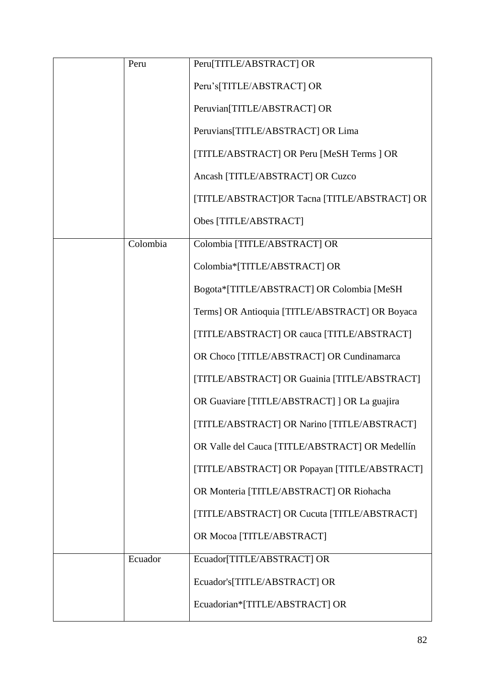| Peru     | Peru[TITLE/ABSTRACT] OR                         |
|----------|-------------------------------------------------|
|          | Peru's[TITLE/ABSTRACT] OR                       |
|          | Peruvian[TITLE/ABSTRACT] OR                     |
|          | Peruvians[TITLE/ABSTRACT] OR Lima               |
|          | [TITLE/ABSTRACT] OR Peru [MeSH Terms ] OR       |
|          | Ancash [TITLE/ABSTRACT] OR Cuzco                |
|          | [TITLE/ABSTRACT]OR Tacna [TITLE/ABSTRACT] OR    |
|          | Obes [TITLE/ABSTRACT]                           |
| Colombia | Colombia [TITLE/ABSTRACT] OR                    |
|          | Colombia*[TITLE/ABSTRACT] OR                    |
|          | Bogota*[TITLE/ABSTRACT] OR Colombia [MeSH       |
|          | Terms] OR Antioquia [TITLE/ABSTRACT] OR Boyaca  |
|          | [TITLE/ABSTRACT] OR cauca [TITLE/ABSTRACT]      |
|          | OR Choco [TITLE/ABSTRACT] OR Cundinamarca       |
|          | [TITLE/ABSTRACT] OR Guainia [TITLE/ABSTRACT]    |
|          | OR Guaviare [TITLE/ABSTRACT] ] OR La guajira    |
|          | [TITLE/ABSTRACT] OR Narino [TITLE/ABSTRACT]     |
|          | OR Valle del Cauca [TITLE/ABSTRACT] OR Medellín |
|          | [TITLE/ABSTRACT] OR Popayan [TITLE/ABSTRACT]    |
|          | OR Monteria [TITLE/ABSTRACT] OR Riohacha        |
|          | [TITLE/ABSTRACT] OR Cucuta [TITLE/ABSTRACT]     |
|          | OR Mocoa [TITLE/ABSTRACT]                       |
| Ecuador  | Ecuador[TITLE/ABSTRACT] OR                      |
|          | Ecuador's[TITLE/ABSTRACT] OR                    |
|          | Ecuadorian*[TITLE/ABSTRACT] OR                  |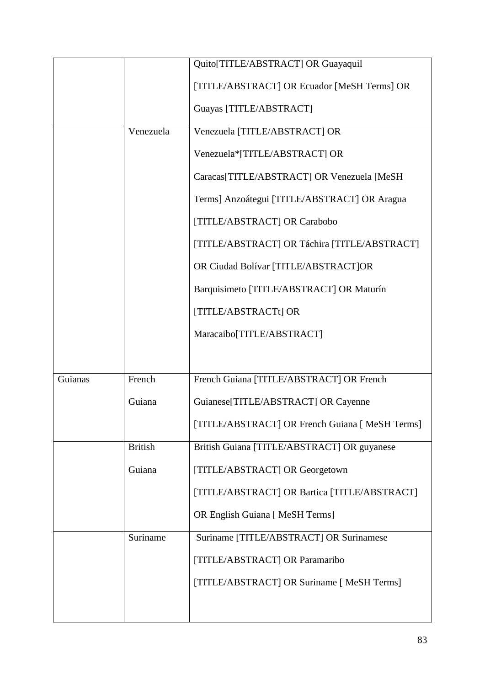|         |                | Quito[TITLE/ABSTRACT] OR Guayaquil              |
|---------|----------------|-------------------------------------------------|
|         |                | [TITLE/ABSTRACT] OR Ecuador [MeSH Terms] OR     |
|         |                | Guayas [TITLE/ABSTRACT]                         |
|         | Venezuela      | Venezuela [TITLE/ABSTRACT] OR                   |
|         |                | Venezuela*[TITLE/ABSTRACT] OR                   |
|         |                | Caracas[TITLE/ABSTRACT] OR Venezuela [MeSH      |
|         |                | Terms] Anzoátegui [TITLE/ABSTRACT] OR Aragua    |
|         |                | [TITLE/ABSTRACT] OR Carabobo                    |
|         |                | [TITLE/ABSTRACT] OR Táchira [TITLE/ABSTRACT]    |
|         |                | OR Ciudad Bolívar [TITLE/ABSTRACT]OR            |
|         |                | Barquisimeto [TITLE/ABSTRACT] OR Maturín        |
|         |                | [TITLE/ABSTRACTt] OR                            |
|         |                | Maracaibo[TITLE/ABSTRACT]                       |
|         |                |                                                 |
| Guianas | French         | French Guiana [TITLE/ABSTRACT] OR French        |
|         | Guiana         | Guianese[TITLE/ABSTRACT] OR Cayenne             |
|         |                | [TITLE/ABSTRACT] OR French Guiana [ MeSH Terms] |
|         | <b>British</b> | British Guiana [TITLE/ABSTRACT] OR guyanese     |
|         | Guiana         | [TITLE/ABSTRACT] OR Georgetown                  |
|         |                | [TITLE/ABSTRACT] OR Bartica [TITLE/ABSTRACT]    |
|         |                | OR English Guiana [ MeSH Terms]                 |
|         | Suriname       | Suriname [TITLE/ABSTRACT] OR Surinamese         |
|         |                | [TITLE/ABSTRACT] OR Paramaribo                  |
|         |                | [TITLE/ABSTRACT] OR Suriname [ MeSH Terms]      |
|         |                |                                                 |
|         |                |                                                 |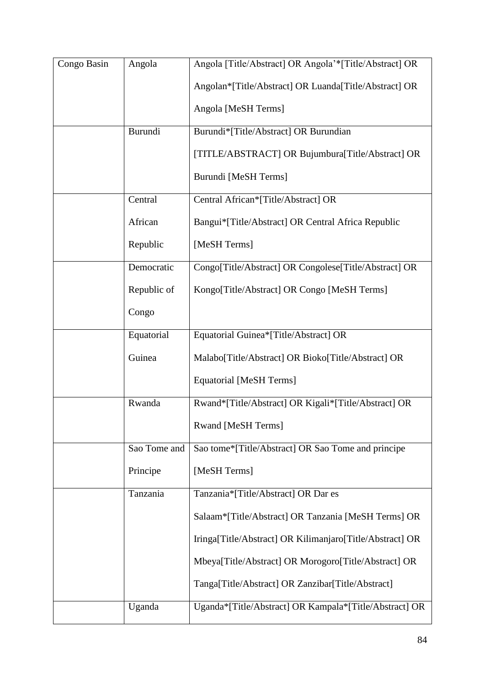| Congo Basin | Angola       | Angola [Title/Abstract] OR Angola'*[Title/Abstract] OR   |
|-------------|--------------|----------------------------------------------------------|
|             |              | Angolan*[Title/Abstract] OR Luanda[Title/Abstract] OR    |
|             |              | Angola [MeSH Terms]                                      |
|             | Burundi      | Burundi*[Title/Abstract] OR Burundian                    |
|             |              | [TITLE/ABSTRACT] OR Bujumbura[Title/Abstract] OR         |
|             |              | Burundi [MeSH Terms]                                     |
|             | Central      | Central African*[Title/Abstract] OR                      |
|             | African      | Bangui*[Title/Abstract] OR Central Africa Republic       |
|             | Republic     | [MeSH Terms]                                             |
|             | Democratic   | Congo[Title/Abstract] OR Congolese[Title/Abstract] OR    |
|             | Republic of  | Kongo[Title/Abstract] OR Congo [MeSH Terms]              |
|             | Congo        |                                                          |
|             | Equatorial   | Equatorial Guinea*[Title/Abstract] OR                    |
|             | Guinea       | Malabo[Title/Abstract] OR Bioko[Title/Abstract] OR       |
|             |              | <b>Equatorial [MeSH Terms]</b>                           |
|             | Rwanda       | Rwand*[Title/Abstract] OR Kigali*[Title/Abstract] OR     |
|             |              | <b>Rwand [MeSH Terms]</b>                                |
|             | Sao Tome and | Sao tome*[Title/Abstract] OR Sao Tome and principe       |
|             | Principe     | [MeSH Terms]                                             |
|             | Tanzania     | Tanzania*[Title/Abstract] OR Dar es                      |
|             |              | Salaam*[Title/Abstract] OR Tanzania [MeSH Terms] OR      |
|             |              | Iringa[Title/Abstract] OR Kilimanjaro[Title/Abstract] OR |
|             |              | Mbeya[Title/Abstract] OR Morogoro[Title/Abstract] OR     |
|             |              | Tanga[Title/Abstract] OR Zanzibar[Title/Abstract]        |
|             | Uganda       | Uganda*[Title/Abstract] OR Kampala*[Title/Abstract] OR   |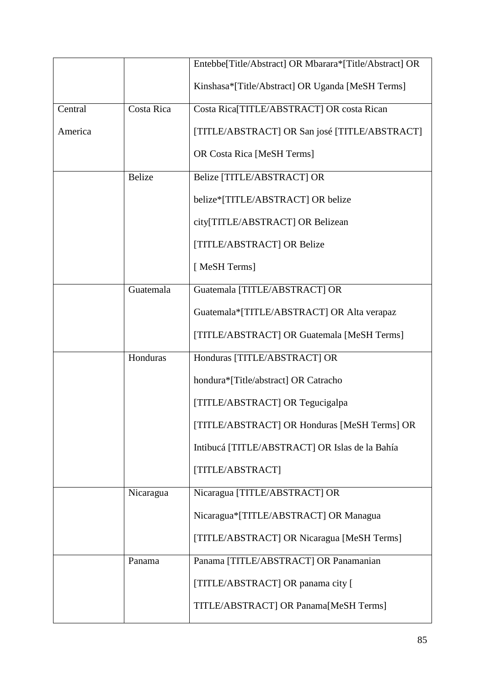|         |               | Entebbe[Title/Abstract] OR Mbarara*[Title/Abstract] OR |
|---------|---------------|--------------------------------------------------------|
|         |               | Kinshasa*[Title/Abstract] OR Uganda [MeSH Terms]       |
| Central | Costa Rica    | Costa Rica[TITLE/ABSTRACT] OR costa Rican              |
| America |               | [TITLE/ABSTRACT] OR San josé [TITLE/ABSTRACT]          |
|         |               | <b>OR Costa Rica [MeSH Terms]</b>                      |
|         | <b>Belize</b> | Belize [TITLE/ABSTRACT] OR                             |
|         |               | belize*[TITLE/ABSTRACT] OR belize                      |
|         |               | city[TITLE/ABSTRACT] OR Belizean                       |
|         |               | [TITLE/ABSTRACT] OR Belize                             |
|         |               | [MeSH Terms]                                           |
|         | Guatemala     | Guatemala [TITLE/ABSTRACT] OR                          |
|         |               | Guatemala*[TITLE/ABSTRACT] OR Alta verapaz             |
|         |               | [TITLE/ABSTRACT] OR Guatemala [MeSH Terms]             |
|         | Honduras      | Honduras [TITLE/ABSTRACT] OR                           |
|         |               | hondura*[Title/abstract] OR Catracho                   |
|         |               | [TITLE/ABSTRACT] OR Tegucigalpa                        |
|         |               | [TITLE/ABSTRACT] OR Honduras [MeSH Terms] OR           |
|         |               | Intibucá [TITLE/ABSTRACT] OR Islas de la Bahía         |
|         |               | [TITLE/ABSTRACT]                                       |
|         | Nicaragua     | Nicaragua [TITLE/ABSTRACT] OR                          |
|         |               | Nicaragua*[TITLE/ABSTRACT] OR Managua                  |
|         |               | [TITLE/ABSTRACT] OR Nicaragua [MeSH Terms]             |
|         | Panama        | Panama [TITLE/ABSTRACT] OR Panamanian                  |
|         |               | [TITLE/ABSTRACT] OR panama city [                      |
|         |               | TITLE/ABSTRACT] OR Panama[MeSH Terms]                  |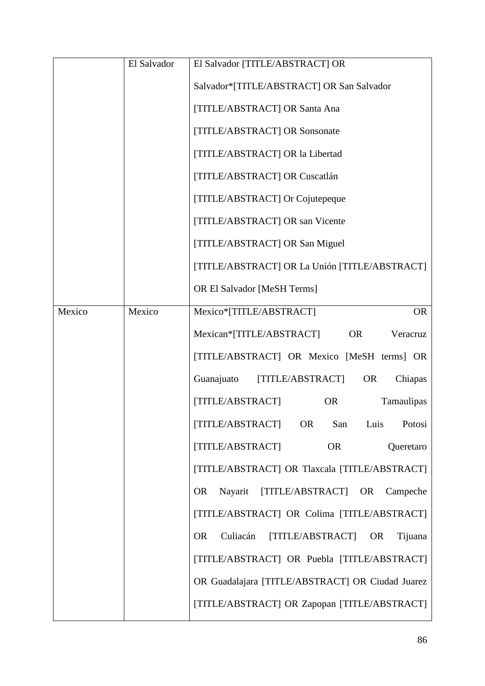|        | El Salvador | El Salvador [TITLE/ABSTRACT] OR                         |
|--------|-------------|---------------------------------------------------------|
|        |             | Salvador*[TITLE/ABSTRACT] OR San Salvador               |
|        |             | [TITLE/ABSTRACT] OR Santa Ana                           |
|        |             | [TITLE/ABSTRACT] OR Sonsonate                           |
|        |             | [TITLE/ABSTRACT] OR la Libertad                         |
|        |             | [TITLE/ABSTRACT] OR Cuscatlán                           |
|        |             | [TITLE/ABSTRACT] Or Cojutepeque                         |
|        |             | [TITLE/ABSTRACT] OR san Vicente                         |
|        |             | [TITLE/ABSTRACT] OR San Miguel                          |
|        |             | [TITLE/ABSTRACT] OR La Unión [TITLE/ABSTRACT]           |
|        |             | <b>OR El Salvador [MeSH Terms]</b>                      |
| Mexico | Mexico      | Mexico*[TITLE/ABSTRACT]<br><b>OR</b>                    |
|        |             | Mexican*[TITLE/ABSTRACT]<br><b>OR</b><br>Veracruz       |
|        |             | [TITLE/ABSTRACT] OR Mexico [MeSH terms] OR              |
|        |             | Guanajuato<br>[TITLE/ABSTRACT]<br><b>OR</b><br>Chiapas  |
|        |             | <b>OR</b><br>Tamaulipas<br>[TITLE/ABSTRACT]             |
|        |             | [TITLE/ABSTRACT]<br><b>OR</b><br>San<br>Luis<br>Potosi  |
|        |             | [TITLE/ABSTRACT]<br><b>OR</b><br>Queretaro              |
|        |             | [TITLE/ABSTRACT] OR Tlaxcala [TITLE/ABSTRACT]           |
|        |             | [TITLE/ABSTRACT] OR<br>Nayarit<br><b>OR</b><br>Campeche |
|        |             | [TITLE/ABSTRACT] OR Colima [TITLE/ABSTRACT]             |
|        |             | [TITLE/ABSTRACT] OR<br><b>OR</b><br>Culiacán<br>Tijuana |
|        |             | [TITLE/ABSTRACT] OR Puebla [TITLE/ABSTRACT]             |
|        |             | OR Guadalajara [TITLE/ABSTRACT] OR Ciudad Juarez        |
|        |             | [TITLE/ABSTRACT] OR Zapopan [TITLE/ABSTRACT]            |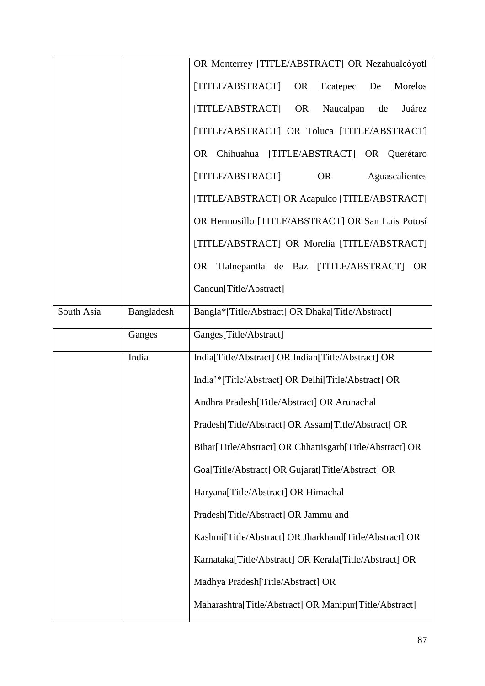|            |            | OR Monterrey [TITLE/ABSTRACT] OR Nezahualcóyotl            |
|------------|------------|------------------------------------------------------------|
|            |            |                                                            |
|            |            | [TITLE/ABSTRACT]<br><b>OR</b><br>Ecatepec<br>De<br>Morelos |
|            |            | [TITLE/ABSTRACT]<br><b>OR</b><br>Juárez<br>Naucalpan<br>de |
|            |            | [TITLE/ABSTRACT] OR Toluca [TITLE/ABSTRACT]                |
|            |            | OR Chihuahua<br>[TITLE/ABSTRACT] OR Querétaro              |
|            |            | [TITLE/ABSTRACT]<br><b>OR</b><br>Aguascalientes            |
|            |            | [TITLE/ABSTRACT] OR Acapulco [TITLE/ABSTRACT]              |
|            |            | OR Hermosillo [TITLE/ABSTRACT] OR San Luis Potosí          |
|            |            | [TITLE/ABSTRACT] OR Morelia [TITLE/ABSTRACT]               |
|            |            | OR Tlalnepantla de Baz [TITLE/ABSTRACT]<br>OR              |
|            |            | Cancun[Title/Abstract]                                     |
| South Asia | Bangladesh | Bangla*[Title/Abstract] OR Dhaka[Title/Abstract]           |
|            | Ganges     | Ganges[Title/Abstract]                                     |
|            | India      | India[Title/Abstract] OR Indian[Title/Abstract] OR         |
|            |            | India'*[Title/Abstract] OR Delhi[Title/Abstract] OR        |
|            |            | Andhra Pradesh[Title/Abstract] OR Arunachal                |
|            |            | Pradesh[Title/Abstract] OR Assam[Title/Abstract] OR        |
|            |            | Bihar[Title/Abstract] OR Chhattisgarh[Title/Abstract] OR   |
|            |            | Goa[Title/Abstract] OR Gujarat[Title/Abstract] OR          |
|            |            | Haryana[Title/Abstract] OR Himachal                        |
|            |            | Pradesh[Title/Abstract] OR Jammu and                       |
|            |            | Kashmi[Title/Abstract] OR Jharkhand[Title/Abstract] OR     |
|            |            | Karnataka[Title/Abstract] OR Kerala[Title/Abstract] OR     |
|            |            | Madhya Pradesh[Title/Abstract] OR                          |
|            |            | Maharashtra[Title/Abstract] OR Manipur[Title/Abstract]     |
|            |            |                                                            |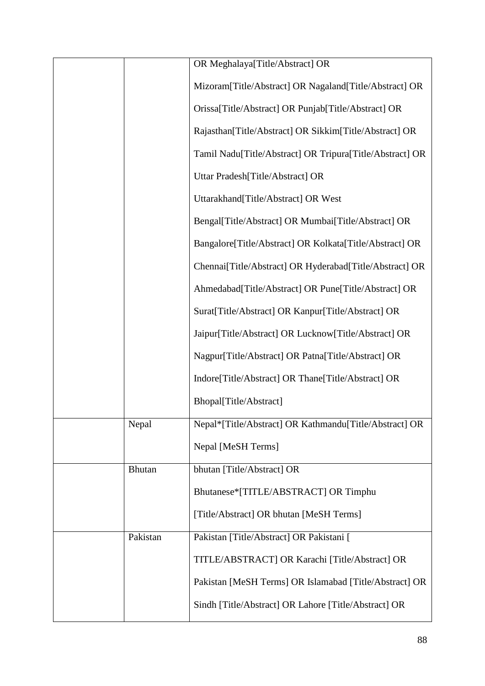|               | OR Meghalaya[Title/Abstract] OR                           |
|---------------|-----------------------------------------------------------|
|               | Mizoram[Title/Abstract] OR Nagaland[Title/Abstract] OR    |
|               | Orissa[Title/Abstract] OR Punjab[Title/Abstract] OR       |
|               | Rajasthan[Title/Abstract] OR Sikkim[Title/Abstract] OR    |
|               | Tamil Nadu[Title/Abstract] OR Tripura[Title/Abstract] OR  |
|               | Uttar Pradesh[Title/Abstract] OR                          |
|               | Uttarakhand[Title/Abstract] OR West                       |
|               | Bengal[Title/Abstract] OR Mumbai[Title/Abstract] OR       |
|               | Bangalore [Title/Abstract] OR Kolkata [Title/Abstract] OR |
|               | Chennai[Title/Abstract] OR Hyderabad[Title/Abstract] OR   |
|               | Ahmedabad[Title/Abstract] OR Pune[Title/Abstract] OR      |
|               | Surat[Title/Abstract] OR Kanpur[Title/Abstract] OR        |
|               | Jaipur[Title/Abstract] OR Lucknow[Title/Abstract] OR      |
|               | Nagpur[Title/Abstract] OR Patna[Title/Abstract] OR        |
|               | Indore[Title/Abstract] OR Thane[Title/Abstract] OR        |
|               | Bhopal[Title/Abstract]                                    |
| Nepal         | Nepal*[Title/Abstract] OR Kathmandu[Title/Abstract] OR    |
|               | Nepal [MeSH Terms]                                        |
| <b>Bhutan</b> | bhutan [Title/Abstract] OR                                |
|               | Bhutanese*[TITLE/ABSTRACT] OR Timphu                      |
|               | [Title/Abstract] OR bhutan [MeSH Terms]                   |
| Pakistan      | Pakistan [Title/Abstract] OR Pakistani [                  |
|               | TITLE/ABSTRACT] OR Karachi [Title/Abstract] OR            |
|               | Pakistan [MeSH Terms] OR Islamabad [Title/Abstract] OR    |
|               | Sindh [Title/Abstract] OR Lahore [Title/Abstract] OR      |
|               |                                                           |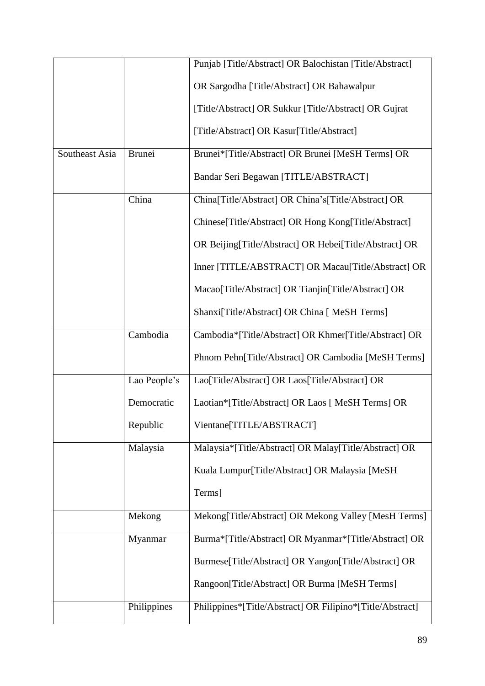|                |               | Punjab [Title/Abstract] OR Balochistan [Title/Abstract]   |
|----------------|---------------|-----------------------------------------------------------|
|                |               | OR Sargodha [Title/Abstract] OR Bahawalpur                |
|                |               | [Title/Abstract] OR Sukkur [Title/Abstract] OR Gujrat     |
|                |               | [Title/Abstract] OR Kasur[Title/Abstract]                 |
| Southeast Asia | <b>Brunei</b> | Brunei*[Title/Abstract] OR Brunei [MeSH Terms] OR         |
|                |               | Bandar Seri Begawan [TITLE/ABSTRACT]                      |
|                | China         | China[Title/Abstract] OR China's[Title/Abstract] OR       |
|                |               | Chinese[Title/Abstract] OR Hong Kong[Title/Abstract]      |
|                |               | OR Beijing[Title/Abstract] OR Hebei[Title/Abstract] OR    |
|                |               | Inner [TITLE/ABSTRACT] OR Macau[Title/Abstract] OR        |
|                |               | Macao[Title/Abstract] OR Tianjin[Title/Abstract] OR       |
|                |               | Shanxi[Title/Abstract] OR China [ MeSH Terms]             |
|                | Cambodia      | Cambodia*[Title/Abstract] OR Khmer[Title/Abstract] OR     |
|                |               | Phnom Pehn[Title/Abstract] OR Cambodia [MeSH Terms]       |
|                | Lao People's  | Lao[Title/Abstract] OR Laos[Title/Abstract] OR            |
|                | Democratic    | Laotian*[Title/Abstract] OR Laos [ MeSH Terms] OR         |
|                | Republic      | Vientane[TITLE/ABSTRACT]                                  |
|                | Malaysia      | Malaysia*[Title/Abstract] OR Malay[Title/Abstract] OR     |
|                |               | Kuala Lumpur[Title/Abstract] OR Malaysia [MeSH            |
|                |               | Terms]                                                    |
|                | Mekong        | Mekong[Title/Abstract] OR Mekong Valley [MesH Terms]      |
|                | Myanmar       | Burma*[Title/Abstract] OR Myanmar*[Title/Abstract] OR     |
|                |               | Burmese[Title/Abstract] OR Yangon[Title/Abstract] OR      |
|                |               | Rangoon[Title/Abstract] OR Burma [MeSH Terms]             |
|                | Philippines   | Philippines*[Title/Abstract] OR Filipino*[Title/Abstract] |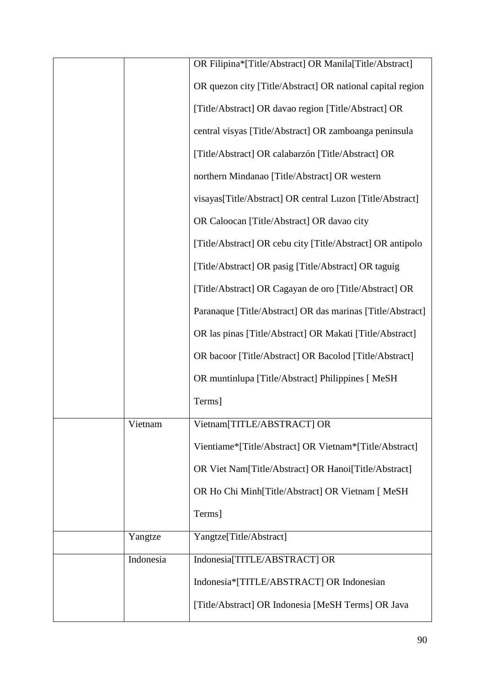|           | OR Filipina*[Title/Abstract] OR Manila[Title/Abstract]     |
|-----------|------------------------------------------------------------|
|           | OR quezon city [Title/Abstract] OR national capital region |
|           | [Title/Abstract] OR davao region [Title/Abstract] OR       |
|           | central visyas [Title/Abstract] OR zamboanga peninsula     |
|           | [Title/Abstract] OR calabarzón [Title/Abstract] OR         |
|           | northern Mindanao [Title/Abstract] OR western              |
|           | visayas[Title/Abstract] OR central Luzon [Title/Abstract]  |
|           | OR Caloocan [Title/Abstract] OR davao city                 |
|           | [Title/Abstract] OR cebu city [Title/Abstract] OR antipolo |
|           | [Title/Abstract] OR pasig [Title/Abstract] OR taguig       |
|           | [Title/Abstract] OR Cagayan de oro [Title/Abstract] OR     |
|           | Paranaque [Title/Abstract] OR das marinas [Title/Abstract] |
|           | OR las pinas [Title/Abstract] OR Makati [Title/Abstract]   |
|           | OR bacoor [Title/Abstract] OR Bacolod [Title/Abstract]     |
|           | OR muntinlupa [Title/Abstract] Philippines [ MeSH          |
|           | Terms]                                                     |
| Vietnam   | Vietnam[TITLE/ABSTRACT] OR                                 |
|           | Vientiame*[Title/Abstract] OR Vietnam*[Title/Abstract]     |
|           | OR Viet Nam[Title/Abstract] OR Hanoi[Title/Abstract]       |
|           | OR Ho Chi Minh[Title/Abstract] OR Vietnam [ MeSH           |
|           | Terms]                                                     |
| Yangtze   | Yangtze[Title/Abstract]                                    |
| Indonesia | Indonesia[TITLE/ABSTRACT] OR                               |
|           | Indonesia*[TITLE/ABSTRACT] OR Indonesian                   |
|           |                                                            |
|           | [Title/Abstract] OR Indonesia [MeSH Terms] OR Java         |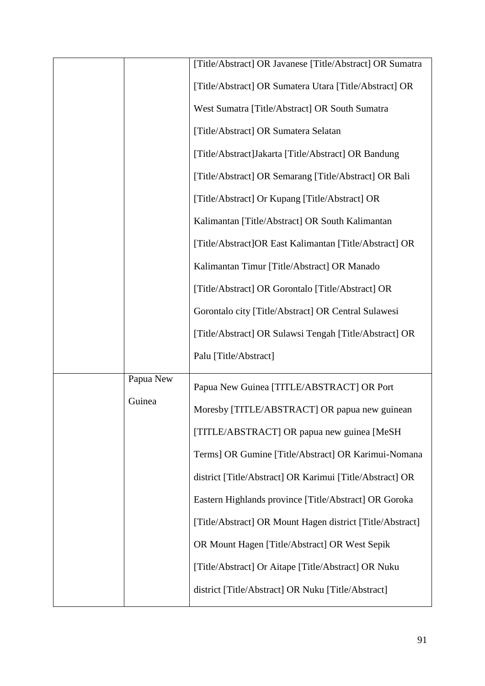|           | [Title/Abstract] OR Javanese [Title/Abstract] OR Sumatra  |
|-----------|-----------------------------------------------------------|
|           | [Title/Abstract] OR Sumatera Utara [Title/Abstract] OR    |
|           | West Sumatra [Title/Abstract] OR South Sumatra            |
|           | [Title/Abstract] OR Sumatera Selatan                      |
|           | [Title/Abstract]Jakarta [Title/Abstract] OR Bandung       |
|           | [Title/Abstract] OR Semarang [Title/Abstract] OR Bali     |
|           | [Title/Abstract] Or Kupang [Title/Abstract] OR            |
|           | Kalimantan [Title/Abstract] OR South Kalimantan           |
|           | [Title/Abstract]OR East Kalimantan [Title/Abstract] OR    |
|           | Kalimantan Timur [Title/Abstract] OR Manado               |
|           | [Title/Abstract] OR Gorontalo [Title/Abstract] OR         |
|           | Gorontalo city [Title/Abstract] OR Central Sulawesi       |
|           | [Title/Abstract] OR Sulawsi Tengah [Title/Abstract] OR    |
|           | Palu [Title/Abstract]                                     |
| Papua New |                                                           |
| Guinea    | Papua New Guinea [TITLE/ABSTRACT] OR Port                 |
|           | Moresby [TITLE/ABSTRACT] OR papua new guinean             |
|           | [TITLE/ABSTRACT] OR papua new guinea [MeSH                |
|           | Terms] OR Gumine [Title/Abstract] OR Karimui-Nomana       |
|           | district [Title/Abstract] OR Karimui [Title/Abstract] OR  |
|           | Eastern Highlands province [Title/Abstract] OR Goroka     |
|           | [Title/Abstract] OR Mount Hagen district [Title/Abstract] |
|           | OR Mount Hagen [Title/Abstract] OR West Sepik             |
|           | [Title/Abstract] Or Aitape [Title/Abstract] OR Nuku       |
|           | district [Title/Abstract] OR Nuku [Title/Abstract]        |
|           |                                                           |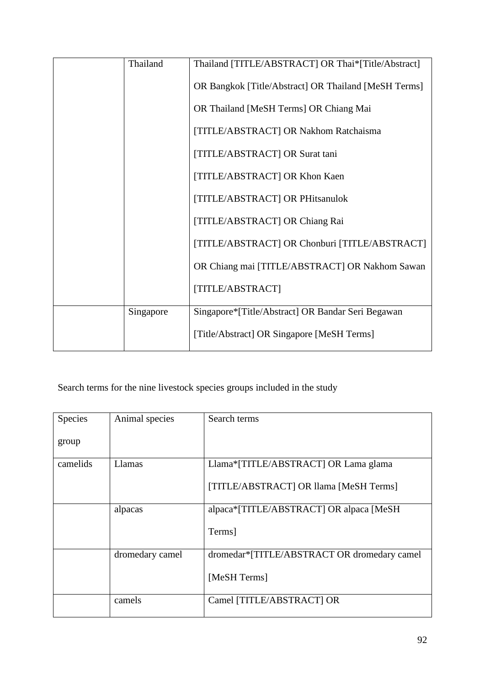| Thailand  | Thailand [TITLE/ABSTRACT] OR Thai*[Title/Abstract]   |
|-----------|------------------------------------------------------|
|           | OR Bangkok [Title/Abstract] OR Thailand [MeSH Terms] |
|           | OR Thailand [MeSH Terms] OR Chiang Mai               |
|           | [TITLE/ABSTRACT] OR Nakhom Ratchaisma                |
|           | [TITLE/ABSTRACT] OR Surat tani                       |
|           | [TITLE/ABSTRACT] OR Khon Kaen                        |
|           | [TITLE/ABSTRACT] OR PHitsanulok                      |
|           | [TITLE/ABSTRACT] OR Chiang Rai                       |
|           | [TITLE/ABSTRACT] OR Chonburi [TITLE/ABSTRACT]        |
|           | OR Chiang mai [TITLE/ABSTRACT] OR Nakhom Sawan       |
|           | [TITLE/ABSTRACT]                                     |
| Singapore | Singapore*[Title/Abstract] OR Bandar Seri Begawan    |
|           | [Title/Abstract] OR Singapore [MeSH Terms]           |

## Search terms for the nine livestock species groups included in the study

| Species  | Animal species  | Search terms                                |
|----------|-----------------|---------------------------------------------|
|          |                 |                                             |
|          |                 |                                             |
| group    |                 |                                             |
|          |                 |                                             |
| camelids | Llamas          | Llama*[TITLE/ABSTRACT] OR Lama glama        |
|          |                 |                                             |
|          |                 | [TITLE/ABSTRACT] OR Ilama [MeSH Terms]      |
|          |                 |                                             |
|          |                 |                                             |
|          | alpacas         | alpaca*[TITLE/ABSTRACT] OR alpaca [MeSH]    |
|          |                 |                                             |
|          |                 | Terms]                                      |
|          |                 |                                             |
|          |                 |                                             |
|          | dromedary camel | dromedar*[TITLE/ABSTRACT OR dromedary camel |
|          |                 |                                             |
|          |                 | [MeSH Terms]                                |
|          |                 |                                             |
|          |                 |                                             |
|          | camels          | Camel [TITLE/ABSTRACT] OR                   |
|          |                 |                                             |
|          |                 |                                             |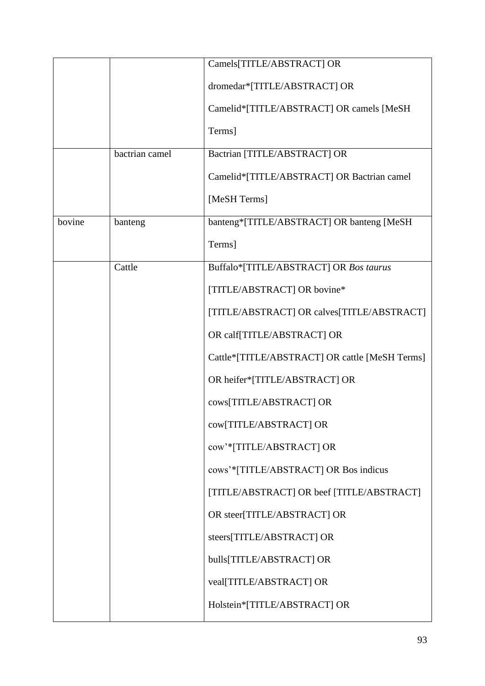|        |                | Camels[TITLE/ABSTRACT] OR                      |
|--------|----------------|------------------------------------------------|
|        |                | dromedar*[TITLE/ABSTRACT] OR                   |
|        |                | Camelid*[TITLE/ABSTRACT] OR camels [MeSH       |
|        |                | Terms]                                         |
|        | bactrian camel | Bactrian [TITLE/ABSTRACT] OR                   |
|        |                | Camelid*[TITLE/ABSTRACT] OR Bactrian camel     |
|        |                | [MeSH Terms]                                   |
| bovine | banteng        | banteng*[TITLE/ABSTRACT] OR banteng [MeSH      |
|        |                | Terms]                                         |
|        | Cattle         | Buffalo*[TITLE/ABSTRACT] OR Bos taurus         |
|        |                | [TITLE/ABSTRACT] OR bovine*                    |
|        |                | [TITLE/ABSTRACT] OR calves[TITLE/ABSTRACT]     |
|        |                | OR calf[TITLE/ABSTRACT] OR                     |
|        |                | Cattle*[TITLE/ABSTRACT] OR cattle [MeSH Terms] |
|        |                | OR heifer*[TITLE/ABSTRACT] OR                  |
|        |                | cows[TITLE/ABSTRACT] OR                        |
|        |                | cow[TITLE/ABSTRACT] OR                         |
|        |                | cow'*[TITLE/ABSTRACT] OR                       |
|        |                | cows'*[TITLE/ABSTRACT] OR Bos indicus          |
|        |                | [TITLE/ABSTRACT] OR beef [TITLE/ABSTRACT]      |
|        |                | OR steer[TITLE/ABSTRACT] OR                    |
|        |                | steers[TITLE/ABSTRACT] OR                      |
|        |                | bulls[TITLE/ABSTRACT] OR                       |
|        |                | veal[TITLE/ABSTRACT] OR                        |
|        |                | Holstein*[TITLE/ABSTRACT] OR                   |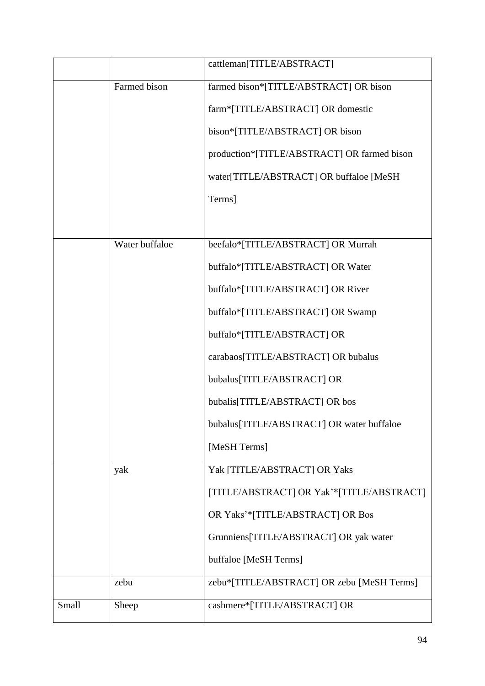|       |                | cattleman[TITLE/ABSTRACT]                   |
|-------|----------------|---------------------------------------------|
|       | Farmed bison   | farmed bison*[TITLE/ABSTRACT] OR bison      |
|       |                | farm*[TITLE/ABSTRACT] OR domestic           |
|       |                | bison*[TITLE/ABSTRACT] OR bison             |
|       |                | production*[TITLE/ABSTRACT] OR farmed bison |
|       |                | water[TITLE/ABSTRACT] OR buffaloe [MeSH     |
|       |                | Terms]                                      |
|       |                |                                             |
|       | Water buffaloe | beefalo*[TITLE/ABSTRACT] OR Murrah          |
|       |                | buffalo*[TITLE/ABSTRACT] OR Water           |
|       |                | buffalo*[TITLE/ABSTRACT] OR River           |
|       |                | buffalo*[TITLE/ABSTRACT] OR Swamp           |
|       |                | buffalo*[TITLE/ABSTRACT] OR                 |
|       |                | carabaos[TITLE/ABSTRACT] OR bubalus         |
|       |                | bubalus[TITLE/ABSTRACT] OR                  |
|       |                | bubalis[TITLE/ABSTRACT] OR bos              |
|       |                | bubalus[TITLE/ABSTRACT] OR water buffaloe   |
|       |                | [MeSH Terms]                                |
|       | yak            | Yak [TITLE/ABSTRACT] OR Yaks                |
|       |                | [TITLE/ABSTRACT] OR Yak'*[TITLE/ABSTRACT]   |
|       |                | OR Yaks'*[TITLE/ABSTRACT] OR Bos            |
|       |                | Grunniens[TITLE/ABSTRACT] OR yak water      |
|       |                | buffaloe [MeSH Terms]                       |
|       | zebu           | zebu*[TITLE/ABSTRACT] OR zebu [MeSH Terms]  |
| Small | Sheep          | cashmere*[TITLE/ABSTRACT] OR                |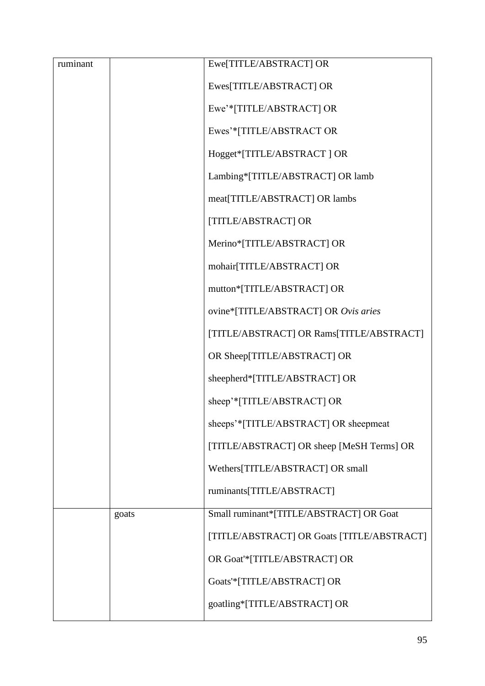|       | Ewe[TITLE/ABSTRACT] OR                     |
|-------|--------------------------------------------|
|       | Ewes[TITLE/ABSTRACT] OR                    |
|       | Ewe'*[TITLE/ABSTRACT] OR                   |
|       | Ewes'*[TITLE/ABSTRACT OR                   |
|       | Hogget*[TITLE/ABSTRACT] OR                 |
|       | Lambing*[TITLE/ABSTRACT] OR lamb           |
|       | meat[TITLE/ABSTRACT] OR lambs              |
|       | [TITLE/ABSTRACT] OR                        |
|       | Merino*[TITLE/ABSTRACT] OR                 |
|       | mohair[TITLE/ABSTRACT] OR                  |
|       | mutton*[TITLE/ABSTRACT] OR                 |
|       | ovine*[TITLE/ABSTRACT] OR Ovis aries       |
|       | [TITLE/ABSTRACT] OR Rams[TITLE/ABSTRACT]   |
|       | OR Sheep[TITLE/ABSTRACT] OR                |
|       | sheepherd*[TITLE/ABSTRACT] OR              |
|       | sheep'*[TITLE/ABSTRACT] OR                 |
|       | sheeps'*[TITLE/ABSTRACT] OR sheepmeat      |
|       | [TITLE/ABSTRACT] OR sheep [MeSH Terms] OR  |
|       | Wethers[TITLE/ABSTRACT] OR small           |
|       | ruminants[TITLE/ABSTRACT]                  |
| goats | Small ruminant*[TITLE/ABSTRACT] OR Goat    |
|       | [TITLE/ABSTRACT] OR Goats [TITLE/ABSTRACT] |
|       | OR Goat'*[TITLE/ABSTRACT] OR               |
|       | Goats'*[TITLE/ABSTRACT] OR                 |
|       | goatling*[TITLE/ABSTRACT] OR               |
|       |                                            |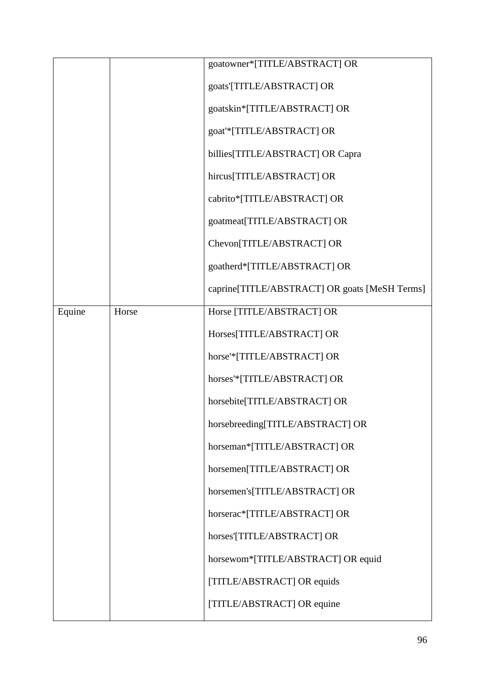|        |       | goatowner*[TITLE/ABSTRACT] OR                 |
|--------|-------|-----------------------------------------------|
|        |       | goats'[TITLE/ABSTRACT] OR                     |
|        |       | goatskin*[TITLE/ABSTRACT] OR                  |
|        |       | goat'*[TITLE/ABSTRACT] OR                     |
|        |       | billies[TITLE/ABSTRACT] OR Capra              |
|        |       | hircus[TITLE/ABSTRACT] OR                     |
|        |       | cabrito*[TITLE/ABSTRACT] OR                   |
|        |       | goatmeat[TITLE/ABSTRACT] OR                   |
|        |       | Chevon[TITLE/ABSTRACT] OR                     |
|        |       | goatherd*[TITLE/ABSTRACT] OR                  |
|        |       | caprine[TITLE/ABSTRACT] OR goats [MeSH Terms] |
| Equine | Horse | Horse [TITLE/ABSTRACT] OR                     |
|        |       | Horses[TITLE/ABSTRACT] OR                     |
|        |       | horse'*[TITLE/ABSTRACT] OR                    |
|        |       | horses'*[TITLE/ABSTRACT] OR                   |
|        |       | horsebite[TITLE/ABSTRACT] OR                  |
|        |       | horsebreeding[TITLE/ABSTRACT] OR              |
|        |       | horseman*[TITLE/ABSTRACT] OR                  |
|        |       | horsemen[TITLE/ABSTRACT] OR                   |
|        |       | horsemen's[TITLE/ABSTRACT] OR                 |
|        |       | horserac*[TITLE/ABSTRACT] OR                  |
|        |       | horses'[TITLE/ABSTRACT] OR                    |
|        |       | horsewom*[TITLE/ABSTRACT] OR equid            |
|        |       | [TITLE/ABSTRACT] OR equids                    |
|        |       | [TITLE/ABSTRACT] OR equine                    |
|        |       |                                               |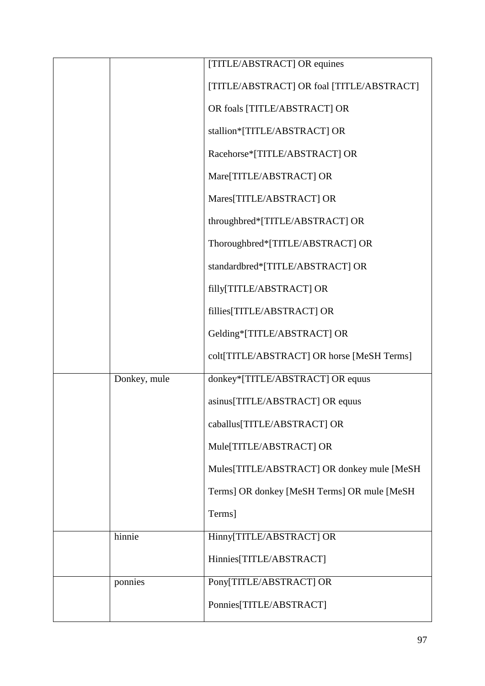|              | [TITLE/ABSTRACT] OR equines                 |
|--------------|---------------------------------------------|
|              | [TITLE/ABSTRACT] OR foal [TITLE/ABSTRACT]   |
|              | OR foals [TITLE/ABSTRACT] OR                |
|              | stallion*[TITLE/ABSTRACT] OR                |
|              | Racehorse*[TITLE/ABSTRACT] OR               |
|              | Mare[TITLE/ABSTRACT] OR                     |
|              | Mares[TITLE/ABSTRACT] OR                    |
|              | throughbred*[TITLE/ABSTRACT] OR             |
|              | Thoroughbred*[TITLE/ABSTRACT] OR            |
|              | standardbred*[TITLE/ABSTRACT] OR            |
|              | filly[TITLE/ABSTRACT] OR                    |
|              | fillies[TITLE/ABSTRACT] OR                  |
|              | Gelding*[TITLE/ABSTRACT] OR                 |
|              | colt[TITLE/ABSTRACT] OR horse [MeSH Terms]  |
| Donkey, mule | donkey*[TITLE/ABSTRACT] OR equus            |
|              | asinus[TITLE/ABSTRACT] OR equus             |
|              | caballus[TITLE/ABSTRACT] OR                 |
|              | Mule[TITLE/ABSTRACT] OR                     |
|              | Mules[TITLE/ABSTRACT] OR donkey mule [MeSH  |
|              | Terms] OR donkey [MeSH Terms] OR mule [MeSH |
|              | Terms]                                      |
| hinnie       | Hinny[TITLE/ABSTRACT] OR                    |
|              | Hinnies[TITLE/ABSTRACT]                     |
| ponnies      | Pony[TITLE/ABSTRACT] OR                     |
|              | Ponnies[TITLE/ABSTRACT]                     |
|              |                                             |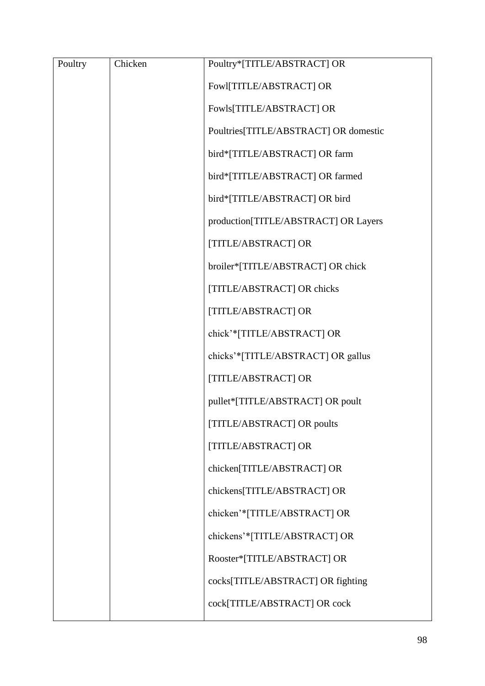| Poultry | Chicken | Poultry*[TITLE/ABSTRACT] OR           |
|---------|---------|---------------------------------------|
|         |         | Fowl[TITLE/ABSTRACT] OR               |
|         |         | Fowls[TITLE/ABSTRACT] OR              |
|         |         | Poultries[TITLE/ABSTRACT] OR domestic |
|         |         | bird*[TITLE/ABSTRACT] OR farm         |
|         |         | bird*[TITLE/ABSTRACT] OR farmed       |
|         |         | bird*[TITLE/ABSTRACT] OR bird         |
|         |         | production[TITLE/ABSTRACT] OR Layers  |
|         |         | [TITLE/ABSTRACT] OR                   |
|         |         | broiler*[TITLE/ABSTRACT] OR chick     |
|         |         | [TITLE/ABSTRACT] OR chicks            |
|         |         | [TITLE/ABSTRACT] OR                   |
|         |         | chick'*[TITLE/ABSTRACT] OR            |
|         |         | chicks'*[TITLE/ABSTRACT] OR gallus    |
|         |         | [TITLE/ABSTRACT] OR                   |
|         |         | pullet*[TITLE/ABSTRACT] OR poult      |
|         |         | [TITLE/ABSTRACT] OR poults            |
|         |         | [TITLE/ABSTRACT] OR                   |
|         |         | chicken[TITLE/ABSTRACT] OR            |
|         |         | chickens[TITLE/ABSTRACT] OR           |
|         |         | chicken'*[TITLE/ABSTRACT] OR          |
|         |         | chickens'*[TITLE/ABSTRACT] OR         |
|         |         | Rooster*[TITLE/ABSTRACT] OR           |
|         |         | cocks[TITLE/ABSTRACT] OR fighting     |
|         |         | cock[TITLE/ABSTRACT] OR cock          |
|         |         |                                       |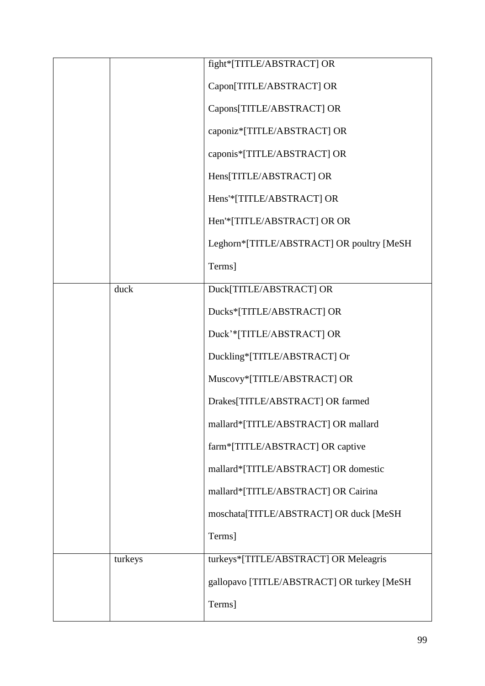|         | fight*[TITLE/ABSTRACT] OR                  |
|---------|--------------------------------------------|
|         | Capon[TITLE/ABSTRACT] OR                   |
|         | Capons[TITLE/ABSTRACT] OR                  |
|         | caponiz*[TITLE/ABSTRACT] OR                |
|         | caponis*[TITLE/ABSTRACT] OR                |
|         | Hens[TITLE/ABSTRACT] OR                    |
|         | Hens'*[TITLE/ABSTRACT] OR                  |
|         | Hen'*[TITLE/ABSTRACT] OR OR                |
|         | Leghorn*[TITLE/ABSTRACT] OR poultry [MeSH  |
|         | Terms]                                     |
| duck    | Duck[TITLE/ABSTRACT] OR                    |
|         | Ducks*[TITLE/ABSTRACT] OR                  |
|         | Duck'*[TITLE/ABSTRACT] OR                  |
|         | Duckling*[TITLE/ABSTRACT] Or               |
|         | Muscovy*[TITLE/ABSTRACT] OR                |
|         | Drakes[TITLE/ABSTRACT] OR farmed           |
|         | mallard*[TITLE/ABSTRACT] OR mallard        |
|         | farm*[TITLE/ABSTRACT] OR captive           |
|         | mallard*[TITLE/ABSTRACT] OR domestic       |
|         | mallard*[TITLE/ABSTRACT] OR Cairina        |
|         | moschata[TITLE/ABSTRACT] OR duck [MeSH     |
|         | Terms]                                     |
| turkeys | turkeys*[TITLE/ABSTRACT] OR Meleagris      |
|         | gallopavo [TITLE/ABSTRACT] OR turkey [MeSH |
|         | Terms]                                     |
|         |                                            |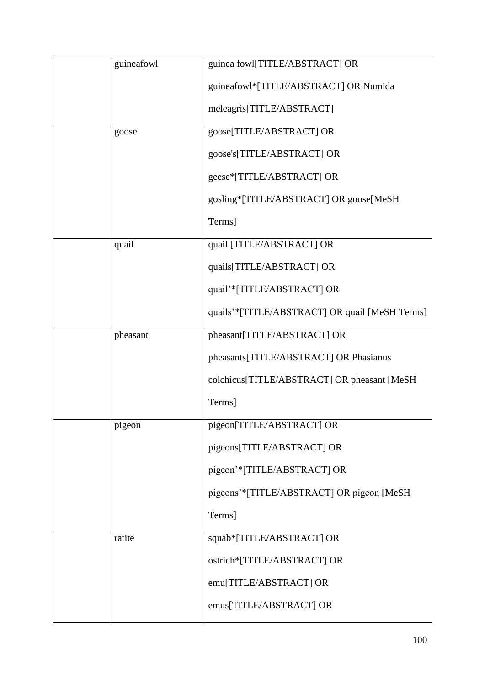| guineafowl | guinea fowl[TITLE/ABSTRACT] OR                 |
|------------|------------------------------------------------|
|            | guineafowl*[TITLE/ABSTRACT] OR Numida          |
|            | meleagris[TITLE/ABSTRACT]                      |
| goose      | goose[TITLE/ABSTRACT] OR                       |
|            | goose's[TITLE/ABSTRACT] OR                     |
|            | geese*[TITLE/ABSTRACT] OR                      |
|            | gosling*[TITLE/ABSTRACT] OR goose[MeSH         |
|            | Terms]                                         |
| quail      | quail [TITLE/ABSTRACT] OR                      |
|            | quails[TITLE/ABSTRACT] OR                      |
|            | quail'*[TITLE/ABSTRACT] OR                     |
|            | quails'*[TITLE/ABSTRACT] OR quail [MeSH Terms] |
| pheasant   | pheasant[TITLE/ABSTRACT] OR                    |
|            | pheasants[TITLE/ABSTRACT] OR Phasianus         |
|            | colchicus[TITLE/ABSTRACT] OR pheasant [MeSH    |
|            | Terms]                                         |
| pigeon     | pigeon[TITLE/ABSTRACT] OR                      |
|            | pigeons[TITLE/ABSTRACT] OR                     |
|            | pigeon'*[TITLE/ABSTRACT] OR                    |
|            | pigeons'*[TITLE/ABSTRACT] OR pigeon [MeSH      |
|            | Terms]                                         |
| ratite     | squab*[TITLE/ABSTRACT] OR                      |
|            | ostrich*[TITLE/ABSTRACT] OR                    |
|            | emu[TITLE/ABSTRACT] OR                         |
|            | emus[TITLE/ABSTRACT] OR                        |
|            |                                                |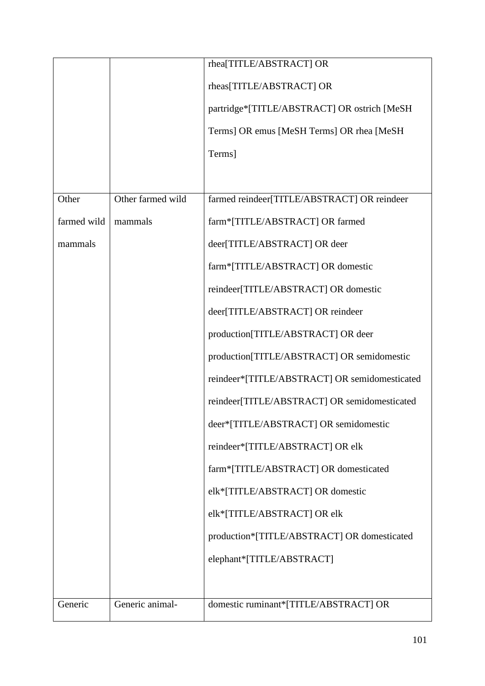|             |                   | rhea[TITLE/ABSTRACT] OR                       |
|-------------|-------------------|-----------------------------------------------|
|             |                   | rheas[TITLE/ABSTRACT] OR                      |
|             |                   | partridge*[TITLE/ABSTRACT] OR ostrich [MeSH   |
|             |                   | Terms] OR emus [MeSH Terms] OR rhea [MeSH     |
|             |                   | Terms]                                        |
|             |                   |                                               |
| Other       | Other farmed wild | farmed reindeer[TITLE/ABSTRACT] OR reindeer   |
| farmed wild | mammals           | farm*[TITLE/ABSTRACT] OR farmed               |
| mammals     |                   | deer[TITLE/ABSTRACT] OR deer                  |
|             |                   | farm*[TITLE/ABSTRACT] OR domestic             |
|             |                   | reindeer[TITLE/ABSTRACT] OR domestic          |
|             |                   | deer[TITLE/ABSTRACT] OR reindeer              |
|             |                   | production[TITLE/ABSTRACT] OR deer            |
|             |                   | production[TITLE/ABSTRACT] OR semidomestic    |
|             |                   | reindeer*[TITLE/ABSTRACT] OR semidomesticated |
|             |                   | reindeer[TITLE/ABSTRACT] OR semidomesticated  |
|             |                   | deer*[TITLE/ABSTRACT] OR semidomestic         |
|             |                   | reindeer*[TITLE/ABSTRACT] OR elk              |
|             |                   | farm*[TITLE/ABSTRACT] OR domesticated         |
|             |                   | elk*[TITLE/ABSTRACT] OR domestic              |
|             |                   | elk*[TITLE/ABSTRACT] OR elk                   |
|             |                   | production*[TITLE/ABSTRACT] OR domesticated   |
|             |                   | elephant*[TITLE/ABSTRACT]                     |
|             |                   |                                               |
| Generic     | Generic animal-   | domestic ruminant*[TITLE/ABSTRACT] OR         |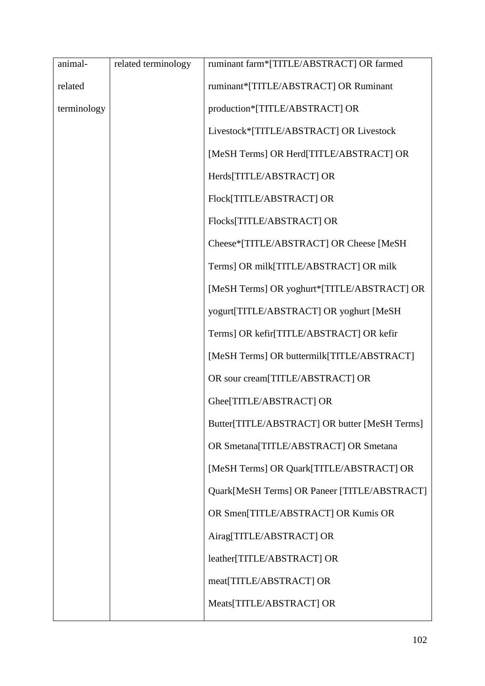| related terminology | ruminant farm*[TITLE/ABSTRACT] OR farmed      |
|---------------------|-----------------------------------------------|
|                     | ruminant*[TITLE/ABSTRACT] OR Ruminant         |
|                     | production*[TITLE/ABSTRACT] OR                |
|                     | Livestock*[TITLE/ABSTRACT] OR Livestock       |
|                     | [MeSH Terms] OR Herd[TITLE/ABSTRACT] OR       |
|                     | Herds[TITLE/ABSTRACT] OR                      |
|                     | Flock[TITLE/ABSTRACT] OR                      |
|                     | Flocks[TITLE/ABSTRACT] OR                     |
|                     | Cheese*[TITLE/ABSTRACT] OR Cheese [MeSH       |
|                     | Terms] OR milk[TITLE/ABSTRACT] OR milk        |
|                     | [MeSH Terms] OR yoghurt*[TITLE/ABSTRACT] OR   |
|                     | yogurt[TITLE/ABSTRACT] OR yoghurt [MeSH       |
|                     | Terms] OR kefir[TITLE/ABSTRACT] OR kefir      |
|                     | [MeSH Terms] OR buttermilk[TITLE/ABSTRACT]    |
|                     | OR sour cream[TITLE/ABSTRACT] OR              |
|                     | Ghee[TITLE/ABSTRACT] OR                       |
|                     | Butter[TITLE/ABSTRACT] OR butter [MeSH Terms] |
|                     | OR Smetana[TITLE/ABSTRACT] OR Smetana         |
|                     | [MeSH Terms] OR Quark[TITLE/ABSTRACT] OR      |
|                     | Quark[MeSH Terms] OR Paneer [TITLE/ABSTRACT]  |
|                     | OR Smen[TITLE/ABSTRACT] OR Kumis OR           |
|                     | Airag[TITLE/ABSTRACT] OR                      |
|                     | leather[TITLE/ABSTRACT] OR                    |
|                     | meat[TITLE/ABSTRACT] OR                       |
|                     | Meats[TITLE/ABSTRACT] OR                      |
|                     |                                               |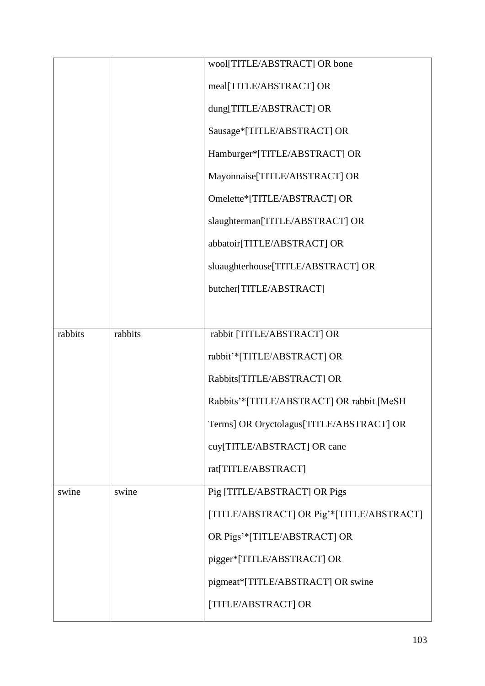|         |         | wool[TITLE/ABSTRACT] OR bone              |
|---------|---------|-------------------------------------------|
|         |         | meal[TITLE/ABSTRACT] OR                   |
|         |         | dung[TITLE/ABSTRACT] OR                   |
|         |         | Sausage*[TITLE/ABSTRACT] OR               |
|         |         | Hamburger*[TITLE/ABSTRACT] OR             |
|         |         | Mayonnaise[TITLE/ABSTRACT] OR             |
|         |         | Omelette*[TITLE/ABSTRACT] OR              |
|         |         | slaughterman[TITLE/ABSTRACT] OR           |
|         |         | abbatoir[TITLE/ABSTRACT] OR               |
|         |         | sluaughterhouse[TITLE/ABSTRACT] OR        |
|         |         | butcher[TITLE/ABSTRACT]                   |
|         |         |                                           |
| rabbits | rabbits | rabbit [TITLE/ABSTRACT] OR                |
|         |         | rabbit'*[TITLE/ABSTRACT] OR               |
|         |         | Rabbits[TITLE/ABSTRACT] OR                |
|         |         | Rabbits'*[TITLE/ABSTRACT] OR rabbit [MeSH |
|         |         | Terms] OR Oryctolagus[TITLE/ABSTRACT] OR  |
|         |         | cuy[TITLE/ABSTRACT] OR cane               |
|         |         | rat[TITLE/ABSTRACT]                       |
| swine   | swine   | Pig [TITLE/ABSTRACT] OR Pigs              |
|         |         | [TITLE/ABSTRACT] OR Pig'*[TITLE/ABSTRACT] |
|         |         | OR Pigs'*[TITLE/ABSTRACT] OR              |
|         |         | pigger*[TITLE/ABSTRACT] OR                |
|         |         | pigmeat*[TITLE/ABSTRACT] OR swine         |
|         |         | [TITLE/ABSTRACT] OR                       |
|         |         |                                           |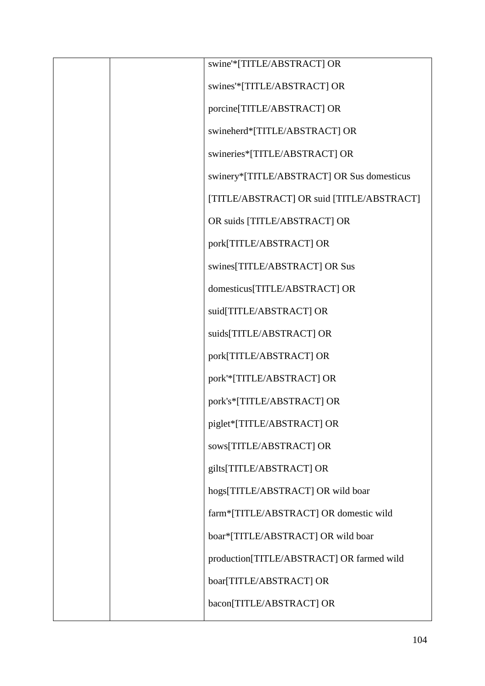|  | swine'*[TITLE/ABSTRACT] OR                 |
|--|--------------------------------------------|
|  | swines'*[TITLE/ABSTRACT] OR                |
|  | porcine[TITLE/ABSTRACT] OR                 |
|  | swineherd*[TITLE/ABSTRACT] OR              |
|  | swineries*[TITLE/ABSTRACT] OR              |
|  | swinery*[TITLE/ABSTRACT] OR Sus domesticus |
|  | [TITLE/ABSTRACT] OR suid [TITLE/ABSTRACT]  |
|  | OR suids [TITLE/ABSTRACT] OR               |
|  | pork[TITLE/ABSTRACT] OR                    |
|  | swines[TITLE/ABSTRACT] OR Sus              |
|  | domesticus[TITLE/ABSTRACT] OR              |
|  | suid[TITLE/ABSTRACT] OR                    |
|  | suids[TITLE/ABSTRACT] OR                   |
|  | pork[TITLE/ABSTRACT] OR                    |
|  | pork'*[TITLE/ABSTRACT] OR                  |
|  | pork's*[TITLE/ABSTRACT] OR                 |
|  | piglet*[TITLE/ABSTRACT] OR                 |
|  | sows[TITLE/ABSTRACT] OR                    |
|  | gilts[TITLE/ABSTRACT] OR                   |
|  | hogs[TITLE/ABSTRACT] OR wild boar          |
|  | farm*[TITLE/ABSTRACT] OR domestic wild     |
|  | boar*[TITLE/ABSTRACT] OR wild boar         |
|  | production[TITLE/ABSTRACT] OR farmed wild  |
|  | boar[TITLE/ABSTRACT] OR                    |
|  | bacon[TITLE/ABSTRACT] OR                   |
|  |                                            |